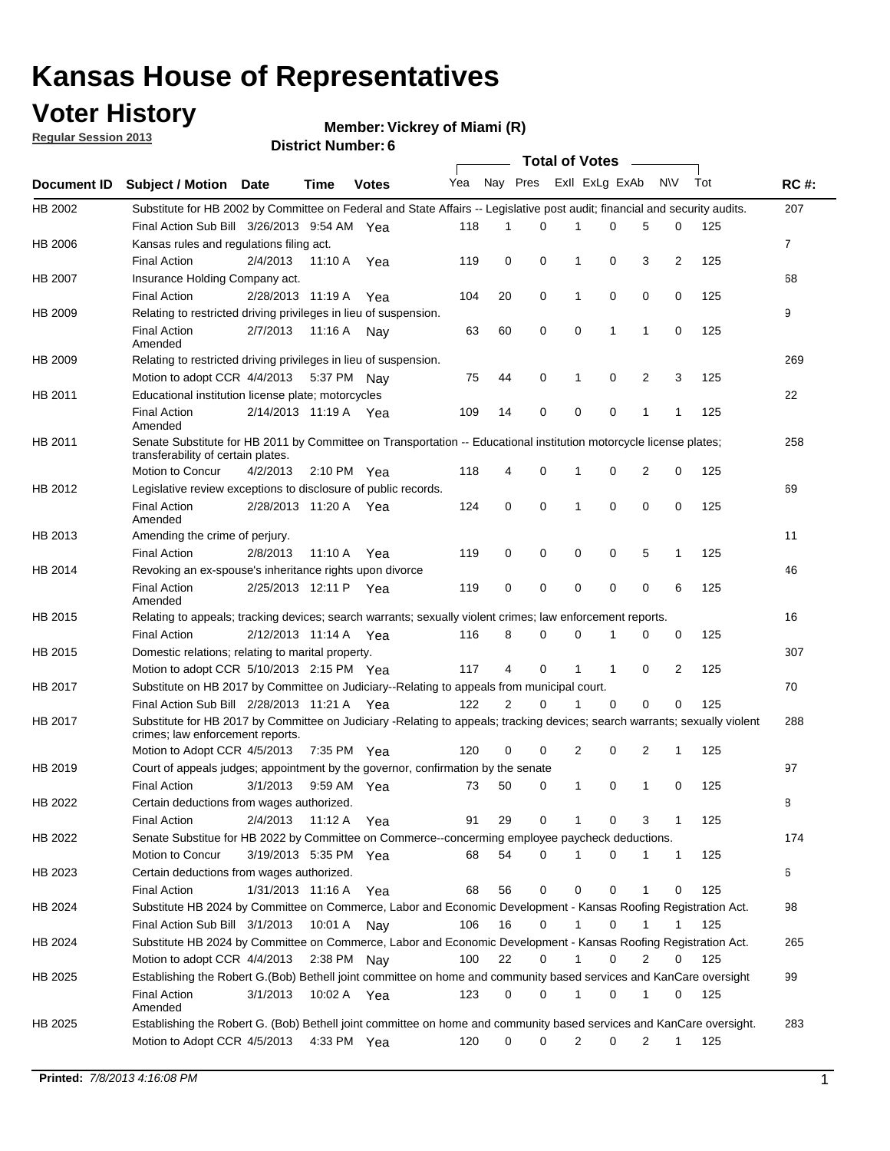### **Voter History**

**Vickrey of Miami (R)**

**Regular Session 2013**

| Yea Nay Pres ExII ExLg ExAb<br><b>NV</b><br>Tot<br><b>Subject / Motion Date</b><br>Time<br><b>Votes</b><br>207<br>HB 2002<br>Substitute for HB 2002 by Committee on Federal and State Affairs -- Legislative post audit; financial and security audits.<br>Final Action Sub Bill 3/26/2013 9:54 AM Yea<br>0<br>5<br>125<br>118<br>1<br>0<br>0<br>$\overline{7}$<br>HB 2006<br>Kansas rules and regulations filing act.<br><b>Final Action</b><br>2/4/2013<br>0<br>0<br>0<br>3<br>2<br>125<br>11:10 A<br>119<br>1<br>Yea<br>68<br>HB 2007<br>Insurance Holding Company act.<br>20<br><b>Final Action</b><br>0<br>0<br>0<br>0<br>125<br>2/28/2013 11:19 A<br>104<br>1<br>Yea<br>9<br>HB 2009<br>Relating to restricted driving privileges in lieu of suspension.<br>60<br>0<br>0<br>1<br>1<br>0<br>125<br>Final Action<br>2/7/2013<br>11:16 A Nay<br>63<br>Amended<br>Relating to restricted driving privileges in lieu of suspension.<br>269<br>0<br>0<br>2<br>3<br>125<br>Motion to adopt CCR 4/4/2013<br>5:37 PM Nav<br>75<br>44<br>1<br>22<br>HB 2011<br>Educational institution license plate; motorcycles<br><b>Final Action</b><br>0<br>0<br>125<br>2/14/2013 11:19 A Yea<br>109<br>14<br>0<br>1<br>1<br>Amended<br>Senate Substitute for HB 2011 by Committee on Transportation -- Educational institution motorcycle license plates;<br>258<br>transferability of certain plates.<br>Motion to Concur<br>4<br>0<br>0<br>2<br>0<br>125<br>4/2/2013<br>118<br>$2:10 \text{ PM}$ Yea<br>1<br>69<br>Legislative review exceptions to disclosure of public records.<br>0<br>0<br>0<br>0<br>0<br><b>Final Action</b><br>2/28/2013 11:20 A Yea<br>125<br>124<br>1<br>Amended<br>11<br>Amending the crime of perjury.<br><b>Final Action</b><br>0<br>0<br>0<br>5<br>125<br>2/8/2013<br>11:10 A<br>119<br>0<br>1<br>Yea<br>HB 2014<br>Revoking an ex-spouse's inheritance rights upon divorce<br>46<br><b>Final Action</b><br>0<br>0<br>0<br>0<br>6<br>125<br>2/25/2013 12:11 P Yea<br>119<br>0<br>Amended<br>Relating to appeals; tracking devices; search warrants; sexually violent crimes; law enforcement reports.<br>16<br>2/12/2013 11:14 A<br>8<br>125<br><b>Final Action</b><br>116<br>0<br>0<br>0<br>0<br>Yea<br>1<br>307<br>HB 2015<br>Domestic relations; relating to marital property.<br>Motion to adopt CCR 5/10/2013 2:15 PM Yea<br>4<br>0<br>2<br>125<br>117<br>1<br>1<br>0<br>70<br>Substitute on HB 2017 by Committee on Judiciary--Relating to appeals from municipal court.<br>Final Action Sub Bill 2/28/2013 11:21 A Yea<br>122<br>2<br>0<br>0<br>0<br>125<br>1<br>0<br>Substitute for HB 2017 by Committee on Judiciary -Relating to appeals; tracking devices; search warrants; sexually violent<br>288<br>crimes; law enforcement reports.<br>0<br>Motion to Adopt CCR 4/5/2013<br>120<br>0<br>2<br>0<br>2<br>125<br>7:35 PM Yea<br>1<br>97<br>Court of appeals judges; appointment by the governor, confirmation by the senate<br>3/1/2013<br>0<br>125<br>Final Action<br>9:59 AM Yea<br>50<br>0<br>1<br>1<br>0<br>73<br>HB 2022<br>Certain deductions from wages authorized.<br>В<br>Final Action<br>2/4/2013<br>29<br>0<br>3<br>125<br>11:12 A<br>91<br>0<br>1<br>Yea<br>Senate Substitue for HB 2022 by Committee on Commerce--concerming employee paycheck deductions.<br>174<br>HB 2022<br>54<br>0<br>0<br>Motion to Concur<br>3/19/2013 5:35 PM Yea<br>68<br>1<br>1<br>$\mathbf{1}$<br>125<br>6<br>HB 2023<br>Certain deductions from wages authorized.<br>0<br>125<br>Final Action<br>1/31/2013 11:16 A Yea<br>68<br>56<br>0<br>0<br>1<br>0<br>Substitute HB 2024 by Committee on Commerce, Labor and Economic Development - Kansas Roofing Registration Act.<br>HB 2024<br>98<br>16<br>0<br>0<br>1<br>1<br>1<br>125<br>Final Action Sub Bill 3/1/2013<br>10:01 A Nay<br>106<br>Substitute HB 2024 by Committee on Commerce, Labor and Economic Development - Kansas Roofing Registration Act.<br>HB 2024<br>265<br>22<br>Motion to adopt CCR 4/4/2013<br>2:38 PM Nay<br>0<br>0<br>$\overline{2}$<br>100<br>1<br>0<br>125<br>Establishing the Robert G.(Bob) Bethell joint committee on home and community based services and KanCare oversight<br>HB 2025<br>99<br>0<br>3/1/2013<br>0<br>1<br>0<br>0<br>Final Action<br>10:02 A Yea<br>123<br>1<br>125<br>Amended<br>Establishing the Robert G. (Bob) Bethell joint committee on home and community based services and KanCare oversight.<br>283<br>HB 2025<br>Motion to Adopt CCR 4/5/2013<br>4:33 PM Yea<br>120<br>0<br>0<br>2<br>0<br>2<br>1<br>125 |             |  |  |  | Total of Votes ______ |  |  |             |
|-----------------------------------------------------------------------------------------------------------------------------------------------------------------------------------------------------------------------------------------------------------------------------------------------------------------------------------------------------------------------------------------------------------------------------------------------------------------------------------------------------------------------------------------------------------------------------------------------------------------------------------------------------------------------------------------------------------------------------------------------------------------------------------------------------------------------------------------------------------------------------------------------------------------------------------------------------------------------------------------------------------------------------------------------------------------------------------------------------------------------------------------------------------------------------------------------------------------------------------------------------------------------------------------------------------------------------------------------------------------------------------------------------------------------------------------------------------------------------------------------------------------------------------------------------------------------------------------------------------------------------------------------------------------------------------------------------------------------------------------------------------------------------------------------------------------------------------------------------------------------------------------------------------------------------------------------------------------------------------------------------------------------------------------------------------------------------------------------------------------------------------------------------------------------------------------------------------------------------------------------------------------------------------------------------------------------------------------------------------------------------------------------------------------------------------------------------------------------------------------------------------------------------------------------------------------------------------------------------------------------------------------------------------------------------------------------------------------------------------------------------------------------------------------------------------------------------------------------------------------------------------------------------------------------------------------------------------------------------------------------------------------------------------------------------------------------------------------------------------------------------------------------------------------------------------------------------------------------------------------------------------------------------------------------------------------------------------------------------------------------------------------------------------------------------------------------------------------------------------------------------------------------------------------------------------------------------------------------------------------------------------------------------------------------------------------------------------------------------------------------------------------------------------------------------------------------------------------------------------------------------------------------------------------------------------------------------------------------------------------------------------------------------------------------------------------------------------------------------------------------------------------------------------------------------------------------------------------------------------------------------------------------------------------------------------------------------------------------------------------------------------------------------------------------------------------------------------------------------------------------------------------------------------------|-------------|--|--|--|-----------------------|--|--|-------------|
|                                                                                                                                                                                                                                                                                                                                                                                                                                                                                                                                                                                                                                                                                                                                                                                                                                                                                                                                                                                                                                                                                                                                                                                                                                                                                                                                                                                                                                                                                                                                                                                                                                                                                                                                                                                                                                                                                                                                                                                                                                                                                                                                                                                                                                                                                                                                                                                                                                                                                                                                                                                                                                                                                                                                                                                                                                                                                                                                                                                                                                                                                                                                                                                                                                                                                                                                                                                                                                                                                                                                                                                                                                                                                                                                                                                                                                                                                                                                                                                                                                                                                                                                                                                                                                                                                                                                                                                                                                                                                                                                         | Document ID |  |  |  |                       |  |  | <b>RC#:</b> |
|                                                                                                                                                                                                                                                                                                                                                                                                                                                                                                                                                                                                                                                                                                                                                                                                                                                                                                                                                                                                                                                                                                                                                                                                                                                                                                                                                                                                                                                                                                                                                                                                                                                                                                                                                                                                                                                                                                                                                                                                                                                                                                                                                                                                                                                                                                                                                                                                                                                                                                                                                                                                                                                                                                                                                                                                                                                                                                                                                                                                                                                                                                                                                                                                                                                                                                                                                                                                                                                                                                                                                                                                                                                                                                                                                                                                                                                                                                                                                                                                                                                                                                                                                                                                                                                                                                                                                                                                                                                                                                                                         |             |  |  |  |                       |  |  |             |
|                                                                                                                                                                                                                                                                                                                                                                                                                                                                                                                                                                                                                                                                                                                                                                                                                                                                                                                                                                                                                                                                                                                                                                                                                                                                                                                                                                                                                                                                                                                                                                                                                                                                                                                                                                                                                                                                                                                                                                                                                                                                                                                                                                                                                                                                                                                                                                                                                                                                                                                                                                                                                                                                                                                                                                                                                                                                                                                                                                                                                                                                                                                                                                                                                                                                                                                                                                                                                                                                                                                                                                                                                                                                                                                                                                                                                                                                                                                                                                                                                                                                                                                                                                                                                                                                                                                                                                                                                                                                                                                                         |             |  |  |  |                       |  |  |             |
|                                                                                                                                                                                                                                                                                                                                                                                                                                                                                                                                                                                                                                                                                                                                                                                                                                                                                                                                                                                                                                                                                                                                                                                                                                                                                                                                                                                                                                                                                                                                                                                                                                                                                                                                                                                                                                                                                                                                                                                                                                                                                                                                                                                                                                                                                                                                                                                                                                                                                                                                                                                                                                                                                                                                                                                                                                                                                                                                                                                                                                                                                                                                                                                                                                                                                                                                                                                                                                                                                                                                                                                                                                                                                                                                                                                                                                                                                                                                                                                                                                                                                                                                                                                                                                                                                                                                                                                                                                                                                                                                         |             |  |  |  |                       |  |  |             |
|                                                                                                                                                                                                                                                                                                                                                                                                                                                                                                                                                                                                                                                                                                                                                                                                                                                                                                                                                                                                                                                                                                                                                                                                                                                                                                                                                                                                                                                                                                                                                                                                                                                                                                                                                                                                                                                                                                                                                                                                                                                                                                                                                                                                                                                                                                                                                                                                                                                                                                                                                                                                                                                                                                                                                                                                                                                                                                                                                                                                                                                                                                                                                                                                                                                                                                                                                                                                                                                                                                                                                                                                                                                                                                                                                                                                                                                                                                                                                                                                                                                                                                                                                                                                                                                                                                                                                                                                                                                                                                                                         |             |  |  |  |                       |  |  |             |
|                                                                                                                                                                                                                                                                                                                                                                                                                                                                                                                                                                                                                                                                                                                                                                                                                                                                                                                                                                                                                                                                                                                                                                                                                                                                                                                                                                                                                                                                                                                                                                                                                                                                                                                                                                                                                                                                                                                                                                                                                                                                                                                                                                                                                                                                                                                                                                                                                                                                                                                                                                                                                                                                                                                                                                                                                                                                                                                                                                                                                                                                                                                                                                                                                                                                                                                                                                                                                                                                                                                                                                                                                                                                                                                                                                                                                                                                                                                                                                                                                                                                                                                                                                                                                                                                                                                                                                                                                                                                                                                                         |             |  |  |  |                       |  |  |             |
|                                                                                                                                                                                                                                                                                                                                                                                                                                                                                                                                                                                                                                                                                                                                                                                                                                                                                                                                                                                                                                                                                                                                                                                                                                                                                                                                                                                                                                                                                                                                                                                                                                                                                                                                                                                                                                                                                                                                                                                                                                                                                                                                                                                                                                                                                                                                                                                                                                                                                                                                                                                                                                                                                                                                                                                                                                                                                                                                                                                                                                                                                                                                                                                                                                                                                                                                                                                                                                                                                                                                                                                                                                                                                                                                                                                                                                                                                                                                                                                                                                                                                                                                                                                                                                                                                                                                                                                                                                                                                                                                         |             |  |  |  |                       |  |  |             |
|                                                                                                                                                                                                                                                                                                                                                                                                                                                                                                                                                                                                                                                                                                                                                                                                                                                                                                                                                                                                                                                                                                                                                                                                                                                                                                                                                                                                                                                                                                                                                                                                                                                                                                                                                                                                                                                                                                                                                                                                                                                                                                                                                                                                                                                                                                                                                                                                                                                                                                                                                                                                                                                                                                                                                                                                                                                                                                                                                                                                                                                                                                                                                                                                                                                                                                                                                                                                                                                                                                                                                                                                                                                                                                                                                                                                                                                                                                                                                                                                                                                                                                                                                                                                                                                                                                                                                                                                                                                                                                                                         |             |  |  |  |                       |  |  |             |
|                                                                                                                                                                                                                                                                                                                                                                                                                                                                                                                                                                                                                                                                                                                                                                                                                                                                                                                                                                                                                                                                                                                                                                                                                                                                                                                                                                                                                                                                                                                                                                                                                                                                                                                                                                                                                                                                                                                                                                                                                                                                                                                                                                                                                                                                                                                                                                                                                                                                                                                                                                                                                                                                                                                                                                                                                                                                                                                                                                                                                                                                                                                                                                                                                                                                                                                                                                                                                                                                                                                                                                                                                                                                                                                                                                                                                                                                                                                                                                                                                                                                                                                                                                                                                                                                                                                                                                                                                                                                                                                                         |             |  |  |  |                       |  |  |             |
|                                                                                                                                                                                                                                                                                                                                                                                                                                                                                                                                                                                                                                                                                                                                                                                                                                                                                                                                                                                                                                                                                                                                                                                                                                                                                                                                                                                                                                                                                                                                                                                                                                                                                                                                                                                                                                                                                                                                                                                                                                                                                                                                                                                                                                                                                                                                                                                                                                                                                                                                                                                                                                                                                                                                                                                                                                                                                                                                                                                                                                                                                                                                                                                                                                                                                                                                                                                                                                                                                                                                                                                                                                                                                                                                                                                                                                                                                                                                                                                                                                                                                                                                                                                                                                                                                                                                                                                                                                                                                                                                         |             |  |  |  |                       |  |  |             |
|                                                                                                                                                                                                                                                                                                                                                                                                                                                                                                                                                                                                                                                                                                                                                                                                                                                                                                                                                                                                                                                                                                                                                                                                                                                                                                                                                                                                                                                                                                                                                                                                                                                                                                                                                                                                                                                                                                                                                                                                                                                                                                                                                                                                                                                                                                                                                                                                                                                                                                                                                                                                                                                                                                                                                                                                                                                                                                                                                                                                                                                                                                                                                                                                                                                                                                                                                                                                                                                                                                                                                                                                                                                                                                                                                                                                                                                                                                                                                                                                                                                                                                                                                                                                                                                                                                                                                                                                                                                                                                                                         | HB 2009     |  |  |  |                       |  |  |             |
|                                                                                                                                                                                                                                                                                                                                                                                                                                                                                                                                                                                                                                                                                                                                                                                                                                                                                                                                                                                                                                                                                                                                                                                                                                                                                                                                                                                                                                                                                                                                                                                                                                                                                                                                                                                                                                                                                                                                                                                                                                                                                                                                                                                                                                                                                                                                                                                                                                                                                                                                                                                                                                                                                                                                                                                                                                                                                                                                                                                                                                                                                                                                                                                                                                                                                                                                                                                                                                                                                                                                                                                                                                                                                                                                                                                                                                                                                                                                                                                                                                                                                                                                                                                                                                                                                                                                                                                                                                                                                                                                         |             |  |  |  |                       |  |  |             |
|                                                                                                                                                                                                                                                                                                                                                                                                                                                                                                                                                                                                                                                                                                                                                                                                                                                                                                                                                                                                                                                                                                                                                                                                                                                                                                                                                                                                                                                                                                                                                                                                                                                                                                                                                                                                                                                                                                                                                                                                                                                                                                                                                                                                                                                                                                                                                                                                                                                                                                                                                                                                                                                                                                                                                                                                                                                                                                                                                                                                                                                                                                                                                                                                                                                                                                                                                                                                                                                                                                                                                                                                                                                                                                                                                                                                                                                                                                                                                                                                                                                                                                                                                                                                                                                                                                                                                                                                                                                                                                                                         |             |  |  |  |                       |  |  |             |
|                                                                                                                                                                                                                                                                                                                                                                                                                                                                                                                                                                                                                                                                                                                                                                                                                                                                                                                                                                                                                                                                                                                                                                                                                                                                                                                                                                                                                                                                                                                                                                                                                                                                                                                                                                                                                                                                                                                                                                                                                                                                                                                                                                                                                                                                                                                                                                                                                                                                                                                                                                                                                                                                                                                                                                                                                                                                                                                                                                                                                                                                                                                                                                                                                                                                                                                                                                                                                                                                                                                                                                                                                                                                                                                                                                                                                                                                                                                                                                                                                                                                                                                                                                                                                                                                                                                                                                                                                                                                                                                                         |             |  |  |  |                       |  |  |             |
|                                                                                                                                                                                                                                                                                                                                                                                                                                                                                                                                                                                                                                                                                                                                                                                                                                                                                                                                                                                                                                                                                                                                                                                                                                                                                                                                                                                                                                                                                                                                                                                                                                                                                                                                                                                                                                                                                                                                                                                                                                                                                                                                                                                                                                                                                                                                                                                                                                                                                                                                                                                                                                                                                                                                                                                                                                                                                                                                                                                                                                                                                                                                                                                                                                                                                                                                                                                                                                                                                                                                                                                                                                                                                                                                                                                                                                                                                                                                                                                                                                                                                                                                                                                                                                                                                                                                                                                                                                                                                                                                         |             |  |  |  |                       |  |  |             |
|                                                                                                                                                                                                                                                                                                                                                                                                                                                                                                                                                                                                                                                                                                                                                                                                                                                                                                                                                                                                                                                                                                                                                                                                                                                                                                                                                                                                                                                                                                                                                                                                                                                                                                                                                                                                                                                                                                                                                                                                                                                                                                                                                                                                                                                                                                                                                                                                                                                                                                                                                                                                                                                                                                                                                                                                                                                                                                                                                                                                                                                                                                                                                                                                                                                                                                                                                                                                                                                                                                                                                                                                                                                                                                                                                                                                                                                                                                                                                                                                                                                                                                                                                                                                                                                                                                                                                                                                                                                                                                                                         | HB 2011     |  |  |  |                       |  |  |             |
|                                                                                                                                                                                                                                                                                                                                                                                                                                                                                                                                                                                                                                                                                                                                                                                                                                                                                                                                                                                                                                                                                                                                                                                                                                                                                                                                                                                                                                                                                                                                                                                                                                                                                                                                                                                                                                                                                                                                                                                                                                                                                                                                                                                                                                                                                                                                                                                                                                                                                                                                                                                                                                                                                                                                                                                                                                                                                                                                                                                                                                                                                                                                                                                                                                                                                                                                                                                                                                                                                                                                                                                                                                                                                                                                                                                                                                                                                                                                                                                                                                                                                                                                                                                                                                                                                                                                                                                                                                                                                                                                         |             |  |  |  |                       |  |  |             |
|                                                                                                                                                                                                                                                                                                                                                                                                                                                                                                                                                                                                                                                                                                                                                                                                                                                                                                                                                                                                                                                                                                                                                                                                                                                                                                                                                                                                                                                                                                                                                                                                                                                                                                                                                                                                                                                                                                                                                                                                                                                                                                                                                                                                                                                                                                                                                                                                                                                                                                                                                                                                                                                                                                                                                                                                                                                                                                                                                                                                                                                                                                                                                                                                                                                                                                                                                                                                                                                                                                                                                                                                                                                                                                                                                                                                                                                                                                                                                                                                                                                                                                                                                                                                                                                                                                                                                                                                                                                                                                                                         |             |  |  |  |                       |  |  |             |
|                                                                                                                                                                                                                                                                                                                                                                                                                                                                                                                                                                                                                                                                                                                                                                                                                                                                                                                                                                                                                                                                                                                                                                                                                                                                                                                                                                                                                                                                                                                                                                                                                                                                                                                                                                                                                                                                                                                                                                                                                                                                                                                                                                                                                                                                                                                                                                                                                                                                                                                                                                                                                                                                                                                                                                                                                                                                                                                                                                                                                                                                                                                                                                                                                                                                                                                                                                                                                                                                                                                                                                                                                                                                                                                                                                                                                                                                                                                                                                                                                                                                                                                                                                                                                                                                                                                                                                                                                                                                                                                                         | HB 2012     |  |  |  |                       |  |  |             |
|                                                                                                                                                                                                                                                                                                                                                                                                                                                                                                                                                                                                                                                                                                                                                                                                                                                                                                                                                                                                                                                                                                                                                                                                                                                                                                                                                                                                                                                                                                                                                                                                                                                                                                                                                                                                                                                                                                                                                                                                                                                                                                                                                                                                                                                                                                                                                                                                                                                                                                                                                                                                                                                                                                                                                                                                                                                                                                                                                                                                                                                                                                                                                                                                                                                                                                                                                                                                                                                                                                                                                                                                                                                                                                                                                                                                                                                                                                                                                                                                                                                                                                                                                                                                                                                                                                                                                                                                                                                                                                                                         |             |  |  |  |                       |  |  |             |
|                                                                                                                                                                                                                                                                                                                                                                                                                                                                                                                                                                                                                                                                                                                                                                                                                                                                                                                                                                                                                                                                                                                                                                                                                                                                                                                                                                                                                                                                                                                                                                                                                                                                                                                                                                                                                                                                                                                                                                                                                                                                                                                                                                                                                                                                                                                                                                                                                                                                                                                                                                                                                                                                                                                                                                                                                                                                                                                                                                                                                                                                                                                                                                                                                                                                                                                                                                                                                                                                                                                                                                                                                                                                                                                                                                                                                                                                                                                                                                                                                                                                                                                                                                                                                                                                                                                                                                                                                                                                                                                                         |             |  |  |  |                       |  |  |             |
|                                                                                                                                                                                                                                                                                                                                                                                                                                                                                                                                                                                                                                                                                                                                                                                                                                                                                                                                                                                                                                                                                                                                                                                                                                                                                                                                                                                                                                                                                                                                                                                                                                                                                                                                                                                                                                                                                                                                                                                                                                                                                                                                                                                                                                                                                                                                                                                                                                                                                                                                                                                                                                                                                                                                                                                                                                                                                                                                                                                                                                                                                                                                                                                                                                                                                                                                                                                                                                                                                                                                                                                                                                                                                                                                                                                                                                                                                                                                                                                                                                                                                                                                                                                                                                                                                                                                                                                                                                                                                                                                         | HB 2013     |  |  |  |                       |  |  |             |
|                                                                                                                                                                                                                                                                                                                                                                                                                                                                                                                                                                                                                                                                                                                                                                                                                                                                                                                                                                                                                                                                                                                                                                                                                                                                                                                                                                                                                                                                                                                                                                                                                                                                                                                                                                                                                                                                                                                                                                                                                                                                                                                                                                                                                                                                                                                                                                                                                                                                                                                                                                                                                                                                                                                                                                                                                                                                                                                                                                                                                                                                                                                                                                                                                                                                                                                                                                                                                                                                                                                                                                                                                                                                                                                                                                                                                                                                                                                                                                                                                                                                                                                                                                                                                                                                                                                                                                                                                                                                                                                                         |             |  |  |  |                       |  |  |             |
|                                                                                                                                                                                                                                                                                                                                                                                                                                                                                                                                                                                                                                                                                                                                                                                                                                                                                                                                                                                                                                                                                                                                                                                                                                                                                                                                                                                                                                                                                                                                                                                                                                                                                                                                                                                                                                                                                                                                                                                                                                                                                                                                                                                                                                                                                                                                                                                                                                                                                                                                                                                                                                                                                                                                                                                                                                                                                                                                                                                                                                                                                                                                                                                                                                                                                                                                                                                                                                                                                                                                                                                                                                                                                                                                                                                                                                                                                                                                                                                                                                                                                                                                                                                                                                                                                                                                                                                                                                                                                                                                         |             |  |  |  |                       |  |  |             |
|                                                                                                                                                                                                                                                                                                                                                                                                                                                                                                                                                                                                                                                                                                                                                                                                                                                                                                                                                                                                                                                                                                                                                                                                                                                                                                                                                                                                                                                                                                                                                                                                                                                                                                                                                                                                                                                                                                                                                                                                                                                                                                                                                                                                                                                                                                                                                                                                                                                                                                                                                                                                                                                                                                                                                                                                                                                                                                                                                                                                                                                                                                                                                                                                                                                                                                                                                                                                                                                                                                                                                                                                                                                                                                                                                                                                                                                                                                                                                                                                                                                                                                                                                                                                                                                                                                                                                                                                                                                                                                                                         |             |  |  |  |                       |  |  |             |
|                                                                                                                                                                                                                                                                                                                                                                                                                                                                                                                                                                                                                                                                                                                                                                                                                                                                                                                                                                                                                                                                                                                                                                                                                                                                                                                                                                                                                                                                                                                                                                                                                                                                                                                                                                                                                                                                                                                                                                                                                                                                                                                                                                                                                                                                                                                                                                                                                                                                                                                                                                                                                                                                                                                                                                                                                                                                                                                                                                                                                                                                                                                                                                                                                                                                                                                                                                                                                                                                                                                                                                                                                                                                                                                                                                                                                                                                                                                                                                                                                                                                                                                                                                                                                                                                                                                                                                                                                                                                                                                                         |             |  |  |  |                       |  |  |             |
|                                                                                                                                                                                                                                                                                                                                                                                                                                                                                                                                                                                                                                                                                                                                                                                                                                                                                                                                                                                                                                                                                                                                                                                                                                                                                                                                                                                                                                                                                                                                                                                                                                                                                                                                                                                                                                                                                                                                                                                                                                                                                                                                                                                                                                                                                                                                                                                                                                                                                                                                                                                                                                                                                                                                                                                                                                                                                                                                                                                                                                                                                                                                                                                                                                                                                                                                                                                                                                                                                                                                                                                                                                                                                                                                                                                                                                                                                                                                                                                                                                                                                                                                                                                                                                                                                                                                                                                                                                                                                                                                         | HB 2015     |  |  |  |                       |  |  |             |
|                                                                                                                                                                                                                                                                                                                                                                                                                                                                                                                                                                                                                                                                                                                                                                                                                                                                                                                                                                                                                                                                                                                                                                                                                                                                                                                                                                                                                                                                                                                                                                                                                                                                                                                                                                                                                                                                                                                                                                                                                                                                                                                                                                                                                                                                                                                                                                                                                                                                                                                                                                                                                                                                                                                                                                                                                                                                                                                                                                                                                                                                                                                                                                                                                                                                                                                                                                                                                                                                                                                                                                                                                                                                                                                                                                                                                                                                                                                                                                                                                                                                                                                                                                                                                                                                                                                                                                                                                                                                                                                                         |             |  |  |  |                       |  |  |             |
|                                                                                                                                                                                                                                                                                                                                                                                                                                                                                                                                                                                                                                                                                                                                                                                                                                                                                                                                                                                                                                                                                                                                                                                                                                                                                                                                                                                                                                                                                                                                                                                                                                                                                                                                                                                                                                                                                                                                                                                                                                                                                                                                                                                                                                                                                                                                                                                                                                                                                                                                                                                                                                                                                                                                                                                                                                                                                                                                                                                                                                                                                                                                                                                                                                                                                                                                                                                                                                                                                                                                                                                                                                                                                                                                                                                                                                                                                                                                                                                                                                                                                                                                                                                                                                                                                                                                                                                                                                                                                                                                         |             |  |  |  |                       |  |  |             |
|                                                                                                                                                                                                                                                                                                                                                                                                                                                                                                                                                                                                                                                                                                                                                                                                                                                                                                                                                                                                                                                                                                                                                                                                                                                                                                                                                                                                                                                                                                                                                                                                                                                                                                                                                                                                                                                                                                                                                                                                                                                                                                                                                                                                                                                                                                                                                                                                                                                                                                                                                                                                                                                                                                                                                                                                                                                                                                                                                                                                                                                                                                                                                                                                                                                                                                                                                                                                                                                                                                                                                                                                                                                                                                                                                                                                                                                                                                                                                                                                                                                                                                                                                                                                                                                                                                                                                                                                                                                                                                                                         |             |  |  |  |                       |  |  |             |
|                                                                                                                                                                                                                                                                                                                                                                                                                                                                                                                                                                                                                                                                                                                                                                                                                                                                                                                                                                                                                                                                                                                                                                                                                                                                                                                                                                                                                                                                                                                                                                                                                                                                                                                                                                                                                                                                                                                                                                                                                                                                                                                                                                                                                                                                                                                                                                                                                                                                                                                                                                                                                                                                                                                                                                                                                                                                                                                                                                                                                                                                                                                                                                                                                                                                                                                                                                                                                                                                                                                                                                                                                                                                                                                                                                                                                                                                                                                                                                                                                                                                                                                                                                                                                                                                                                                                                                                                                                                                                                                                         | HB 2017     |  |  |  |                       |  |  |             |
|                                                                                                                                                                                                                                                                                                                                                                                                                                                                                                                                                                                                                                                                                                                                                                                                                                                                                                                                                                                                                                                                                                                                                                                                                                                                                                                                                                                                                                                                                                                                                                                                                                                                                                                                                                                                                                                                                                                                                                                                                                                                                                                                                                                                                                                                                                                                                                                                                                                                                                                                                                                                                                                                                                                                                                                                                                                                                                                                                                                                                                                                                                                                                                                                                                                                                                                                                                                                                                                                                                                                                                                                                                                                                                                                                                                                                                                                                                                                                                                                                                                                                                                                                                                                                                                                                                                                                                                                                                                                                                                                         |             |  |  |  |                       |  |  |             |
|                                                                                                                                                                                                                                                                                                                                                                                                                                                                                                                                                                                                                                                                                                                                                                                                                                                                                                                                                                                                                                                                                                                                                                                                                                                                                                                                                                                                                                                                                                                                                                                                                                                                                                                                                                                                                                                                                                                                                                                                                                                                                                                                                                                                                                                                                                                                                                                                                                                                                                                                                                                                                                                                                                                                                                                                                                                                                                                                                                                                                                                                                                                                                                                                                                                                                                                                                                                                                                                                                                                                                                                                                                                                                                                                                                                                                                                                                                                                                                                                                                                                                                                                                                                                                                                                                                                                                                                                                                                                                                                                         | HB 2017     |  |  |  |                       |  |  |             |
|                                                                                                                                                                                                                                                                                                                                                                                                                                                                                                                                                                                                                                                                                                                                                                                                                                                                                                                                                                                                                                                                                                                                                                                                                                                                                                                                                                                                                                                                                                                                                                                                                                                                                                                                                                                                                                                                                                                                                                                                                                                                                                                                                                                                                                                                                                                                                                                                                                                                                                                                                                                                                                                                                                                                                                                                                                                                                                                                                                                                                                                                                                                                                                                                                                                                                                                                                                                                                                                                                                                                                                                                                                                                                                                                                                                                                                                                                                                                                                                                                                                                                                                                                                                                                                                                                                                                                                                                                                                                                                                                         |             |  |  |  |                       |  |  |             |
|                                                                                                                                                                                                                                                                                                                                                                                                                                                                                                                                                                                                                                                                                                                                                                                                                                                                                                                                                                                                                                                                                                                                                                                                                                                                                                                                                                                                                                                                                                                                                                                                                                                                                                                                                                                                                                                                                                                                                                                                                                                                                                                                                                                                                                                                                                                                                                                                                                                                                                                                                                                                                                                                                                                                                                                                                                                                                                                                                                                                                                                                                                                                                                                                                                                                                                                                                                                                                                                                                                                                                                                                                                                                                                                                                                                                                                                                                                                                                                                                                                                                                                                                                                                                                                                                                                                                                                                                                                                                                                                                         |             |  |  |  |                       |  |  |             |
|                                                                                                                                                                                                                                                                                                                                                                                                                                                                                                                                                                                                                                                                                                                                                                                                                                                                                                                                                                                                                                                                                                                                                                                                                                                                                                                                                                                                                                                                                                                                                                                                                                                                                                                                                                                                                                                                                                                                                                                                                                                                                                                                                                                                                                                                                                                                                                                                                                                                                                                                                                                                                                                                                                                                                                                                                                                                                                                                                                                                                                                                                                                                                                                                                                                                                                                                                                                                                                                                                                                                                                                                                                                                                                                                                                                                                                                                                                                                                                                                                                                                                                                                                                                                                                                                                                                                                                                                                                                                                                                                         | HB 2019     |  |  |  |                       |  |  |             |
|                                                                                                                                                                                                                                                                                                                                                                                                                                                                                                                                                                                                                                                                                                                                                                                                                                                                                                                                                                                                                                                                                                                                                                                                                                                                                                                                                                                                                                                                                                                                                                                                                                                                                                                                                                                                                                                                                                                                                                                                                                                                                                                                                                                                                                                                                                                                                                                                                                                                                                                                                                                                                                                                                                                                                                                                                                                                                                                                                                                                                                                                                                                                                                                                                                                                                                                                                                                                                                                                                                                                                                                                                                                                                                                                                                                                                                                                                                                                                                                                                                                                                                                                                                                                                                                                                                                                                                                                                                                                                                                                         |             |  |  |  |                       |  |  |             |
|                                                                                                                                                                                                                                                                                                                                                                                                                                                                                                                                                                                                                                                                                                                                                                                                                                                                                                                                                                                                                                                                                                                                                                                                                                                                                                                                                                                                                                                                                                                                                                                                                                                                                                                                                                                                                                                                                                                                                                                                                                                                                                                                                                                                                                                                                                                                                                                                                                                                                                                                                                                                                                                                                                                                                                                                                                                                                                                                                                                                                                                                                                                                                                                                                                                                                                                                                                                                                                                                                                                                                                                                                                                                                                                                                                                                                                                                                                                                                                                                                                                                                                                                                                                                                                                                                                                                                                                                                                                                                                                                         |             |  |  |  |                       |  |  |             |
|                                                                                                                                                                                                                                                                                                                                                                                                                                                                                                                                                                                                                                                                                                                                                                                                                                                                                                                                                                                                                                                                                                                                                                                                                                                                                                                                                                                                                                                                                                                                                                                                                                                                                                                                                                                                                                                                                                                                                                                                                                                                                                                                                                                                                                                                                                                                                                                                                                                                                                                                                                                                                                                                                                                                                                                                                                                                                                                                                                                                                                                                                                                                                                                                                                                                                                                                                                                                                                                                                                                                                                                                                                                                                                                                                                                                                                                                                                                                                                                                                                                                                                                                                                                                                                                                                                                                                                                                                                                                                                                                         |             |  |  |  |                       |  |  |             |
|                                                                                                                                                                                                                                                                                                                                                                                                                                                                                                                                                                                                                                                                                                                                                                                                                                                                                                                                                                                                                                                                                                                                                                                                                                                                                                                                                                                                                                                                                                                                                                                                                                                                                                                                                                                                                                                                                                                                                                                                                                                                                                                                                                                                                                                                                                                                                                                                                                                                                                                                                                                                                                                                                                                                                                                                                                                                                                                                                                                                                                                                                                                                                                                                                                                                                                                                                                                                                                                                                                                                                                                                                                                                                                                                                                                                                                                                                                                                                                                                                                                                                                                                                                                                                                                                                                                                                                                                                                                                                                                                         |             |  |  |  |                       |  |  |             |
|                                                                                                                                                                                                                                                                                                                                                                                                                                                                                                                                                                                                                                                                                                                                                                                                                                                                                                                                                                                                                                                                                                                                                                                                                                                                                                                                                                                                                                                                                                                                                                                                                                                                                                                                                                                                                                                                                                                                                                                                                                                                                                                                                                                                                                                                                                                                                                                                                                                                                                                                                                                                                                                                                                                                                                                                                                                                                                                                                                                                                                                                                                                                                                                                                                                                                                                                                                                                                                                                                                                                                                                                                                                                                                                                                                                                                                                                                                                                                                                                                                                                                                                                                                                                                                                                                                                                                                                                                                                                                                                                         |             |  |  |  |                       |  |  |             |
|                                                                                                                                                                                                                                                                                                                                                                                                                                                                                                                                                                                                                                                                                                                                                                                                                                                                                                                                                                                                                                                                                                                                                                                                                                                                                                                                                                                                                                                                                                                                                                                                                                                                                                                                                                                                                                                                                                                                                                                                                                                                                                                                                                                                                                                                                                                                                                                                                                                                                                                                                                                                                                                                                                                                                                                                                                                                                                                                                                                                                                                                                                                                                                                                                                                                                                                                                                                                                                                                                                                                                                                                                                                                                                                                                                                                                                                                                                                                                                                                                                                                                                                                                                                                                                                                                                                                                                                                                                                                                                                                         |             |  |  |  |                       |  |  |             |
|                                                                                                                                                                                                                                                                                                                                                                                                                                                                                                                                                                                                                                                                                                                                                                                                                                                                                                                                                                                                                                                                                                                                                                                                                                                                                                                                                                                                                                                                                                                                                                                                                                                                                                                                                                                                                                                                                                                                                                                                                                                                                                                                                                                                                                                                                                                                                                                                                                                                                                                                                                                                                                                                                                                                                                                                                                                                                                                                                                                                                                                                                                                                                                                                                                                                                                                                                                                                                                                                                                                                                                                                                                                                                                                                                                                                                                                                                                                                                                                                                                                                                                                                                                                                                                                                                                                                                                                                                                                                                                                                         |             |  |  |  |                       |  |  |             |
|                                                                                                                                                                                                                                                                                                                                                                                                                                                                                                                                                                                                                                                                                                                                                                                                                                                                                                                                                                                                                                                                                                                                                                                                                                                                                                                                                                                                                                                                                                                                                                                                                                                                                                                                                                                                                                                                                                                                                                                                                                                                                                                                                                                                                                                                                                                                                                                                                                                                                                                                                                                                                                                                                                                                                                                                                                                                                                                                                                                                                                                                                                                                                                                                                                                                                                                                                                                                                                                                                                                                                                                                                                                                                                                                                                                                                                                                                                                                                                                                                                                                                                                                                                                                                                                                                                                                                                                                                                                                                                                                         |             |  |  |  |                       |  |  |             |
|                                                                                                                                                                                                                                                                                                                                                                                                                                                                                                                                                                                                                                                                                                                                                                                                                                                                                                                                                                                                                                                                                                                                                                                                                                                                                                                                                                                                                                                                                                                                                                                                                                                                                                                                                                                                                                                                                                                                                                                                                                                                                                                                                                                                                                                                                                                                                                                                                                                                                                                                                                                                                                                                                                                                                                                                                                                                                                                                                                                                                                                                                                                                                                                                                                                                                                                                                                                                                                                                                                                                                                                                                                                                                                                                                                                                                                                                                                                                                                                                                                                                                                                                                                                                                                                                                                                                                                                                                                                                                                                                         |             |  |  |  |                       |  |  |             |
|                                                                                                                                                                                                                                                                                                                                                                                                                                                                                                                                                                                                                                                                                                                                                                                                                                                                                                                                                                                                                                                                                                                                                                                                                                                                                                                                                                                                                                                                                                                                                                                                                                                                                                                                                                                                                                                                                                                                                                                                                                                                                                                                                                                                                                                                                                                                                                                                                                                                                                                                                                                                                                                                                                                                                                                                                                                                                                                                                                                                                                                                                                                                                                                                                                                                                                                                                                                                                                                                                                                                                                                                                                                                                                                                                                                                                                                                                                                                                                                                                                                                                                                                                                                                                                                                                                                                                                                                                                                                                                                                         |             |  |  |  |                       |  |  |             |
|                                                                                                                                                                                                                                                                                                                                                                                                                                                                                                                                                                                                                                                                                                                                                                                                                                                                                                                                                                                                                                                                                                                                                                                                                                                                                                                                                                                                                                                                                                                                                                                                                                                                                                                                                                                                                                                                                                                                                                                                                                                                                                                                                                                                                                                                                                                                                                                                                                                                                                                                                                                                                                                                                                                                                                                                                                                                                                                                                                                                                                                                                                                                                                                                                                                                                                                                                                                                                                                                                                                                                                                                                                                                                                                                                                                                                                                                                                                                                                                                                                                                                                                                                                                                                                                                                                                                                                                                                                                                                                                                         |             |  |  |  |                       |  |  |             |
|                                                                                                                                                                                                                                                                                                                                                                                                                                                                                                                                                                                                                                                                                                                                                                                                                                                                                                                                                                                                                                                                                                                                                                                                                                                                                                                                                                                                                                                                                                                                                                                                                                                                                                                                                                                                                                                                                                                                                                                                                                                                                                                                                                                                                                                                                                                                                                                                                                                                                                                                                                                                                                                                                                                                                                                                                                                                                                                                                                                                                                                                                                                                                                                                                                                                                                                                                                                                                                                                                                                                                                                                                                                                                                                                                                                                                                                                                                                                                                                                                                                                                                                                                                                                                                                                                                                                                                                                                                                                                                                                         |             |  |  |  |                       |  |  |             |
|                                                                                                                                                                                                                                                                                                                                                                                                                                                                                                                                                                                                                                                                                                                                                                                                                                                                                                                                                                                                                                                                                                                                                                                                                                                                                                                                                                                                                                                                                                                                                                                                                                                                                                                                                                                                                                                                                                                                                                                                                                                                                                                                                                                                                                                                                                                                                                                                                                                                                                                                                                                                                                                                                                                                                                                                                                                                                                                                                                                                                                                                                                                                                                                                                                                                                                                                                                                                                                                                                                                                                                                                                                                                                                                                                                                                                                                                                                                                                                                                                                                                                                                                                                                                                                                                                                                                                                                                                                                                                                                                         |             |  |  |  |                       |  |  |             |
|                                                                                                                                                                                                                                                                                                                                                                                                                                                                                                                                                                                                                                                                                                                                                                                                                                                                                                                                                                                                                                                                                                                                                                                                                                                                                                                                                                                                                                                                                                                                                                                                                                                                                                                                                                                                                                                                                                                                                                                                                                                                                                                                                                                                                                                                                                                                                                                                                                                                                                                                                                                                                                                                                                                                                                                                                                                                                                                                                                                                                                                                                                                                                                                                                                                                                                                                                                                                                                                                                                                                                                                                                                                                                                                                                                                                                                                                                                                                                                                                                                                                                                                                                                                                                                                                                                                                                                                                                                                                                                                                         |             |  |  |  |                       |  |  |             |
|                                                                                                                                                                                                                                                                                                                                                                                                                                                                                                                                                                                                                                                                                                                                                                                                                                                                                                                                                                                                                                                                                                                                                                                                                                                                                                                                                                                                                                                                                                                                                                                                                                                                                                                                                                                                                                                                                                                                                                                                                                                                                                                                                                                                                                                                                                                                                                                                                                                                                                                                                                                                                                                                                                                                                                                                                                                                                                                                                                                                                                                                                                                                                                                                                                                                                                                                                                                                                                                                                                                                                                                                                                                                                                                                                                                                                                                                                                                                                                                                                                                                                                                                                                                                                                                                                                                                                                                                                                                                                                                                         |             |  |  |  |                       |  |  |             |
|                                                                                                                                                                                                                                                                                                                                                                                                                                                                                                                                                                                                                                                                                                                                                                                                                                                                                                                                                                                                                                                                                                                                                                                                                                                                                                                                                                                                                                                                                                                                                                                                                                                                                                                                                                                                                                                                                                                                                                                                                                                                                                                                                                                                                                                                                                                                                                                                                                                                                                                                                                                                                                                                                                                                                                                                                                                                                                                                                                                                                                                                                                                                                                                                                                                                                                                                                                                                                                                                                                                                                                                                                                                                                                                                                                                                                                                                                                                                                                                                                                                                                                                                                                                                                                                                                                                                                                                                                                                                                                                                         |             |  |  |  |                       |  |  |             |
|                                                                                                                                                                                                                                                                                                                                                                                                                                                                                                                                                                                                                                                                                                                                                                                                                                                                                                                                                                                                                                                                                                                                                                                                                                                                                                                                                                                                                                                                                                                                                                                                                                                                                                                                                                                                                                                                                                                                                                                                                                                                                                                                                                                                                                                                                                                                                                                                                                                                                                                                                                                                                                                                                                                                                                                                                                                                                                                                                                                                                                                                                                                                                                                                                                                                                                                                                                                                                                                                                                                                                                                                                                                                                                                                                                                                                                                                                                                                                                                                                                                                                                                                                                                                                                                                                                                                                                                                                                                                                                                                         |             |  |  |  |                       |  |  |             |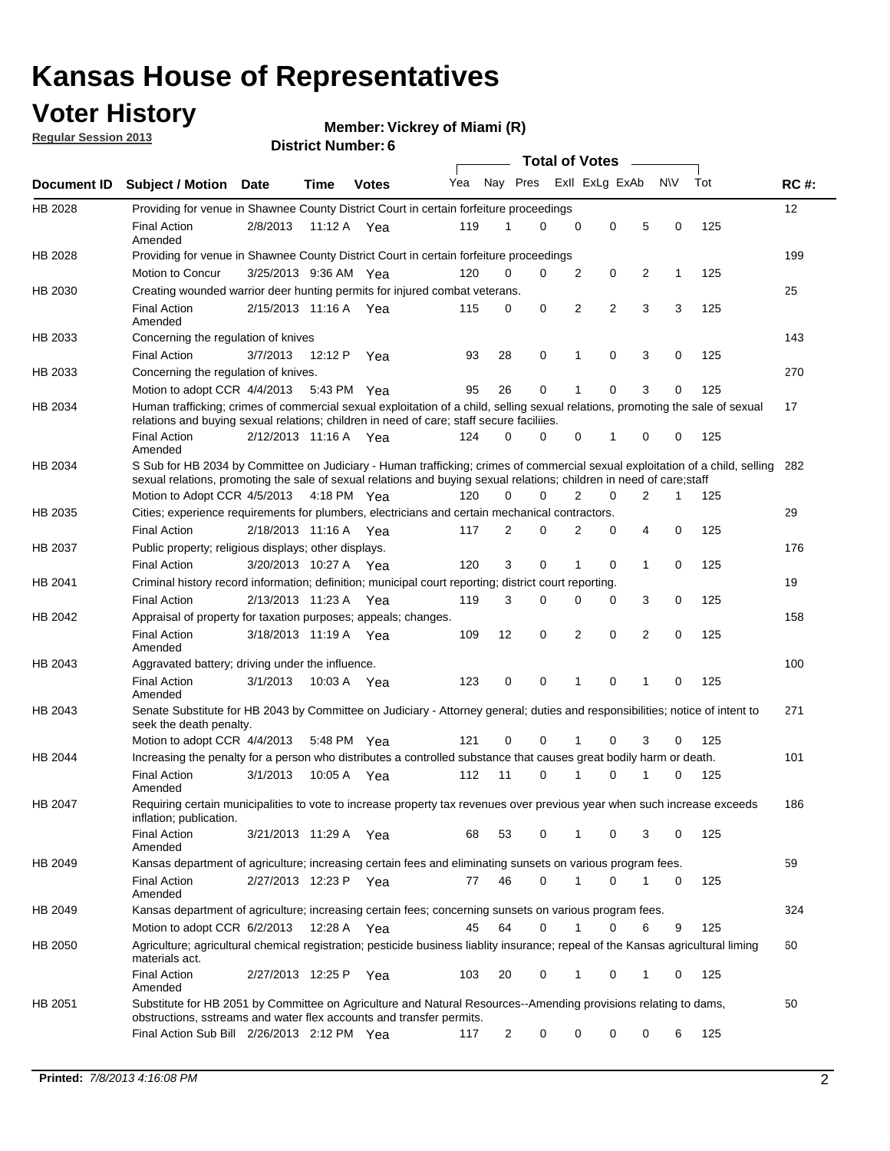### **Voter History**

**Vickrey of Miami (R)**

**Regular Session 2013**

|                |                                                                                                                                                                                                                                                        |                       |             |              |     |                         | <b>Total of Votes</b> |                |          | $\sim$         |     |     |             |
|----------------|--------------------------------------------------------------------------------------------------------------------------------------------------------------------------------------------------------------------------------------------------------|-----------------------|-------------|--------------|-----|-------------------------|-----------------------|----------------|----------|----------------|-----|-----|-------------|
| Document ID    | <b>Subject / Motion</b>                                                                                                                                                                                                                                | Date                  | <b>Time</b> | <b>Votes</b> | Yea | Nay Pres Exll ExLg ExAb |                       |                |          |                | N\V | Tot | <b>RC#:</b> |
| HB 2028        | Providing for venue in Shawnee County District Court in certain forfeiture proceedings                                                                                                                                                                 |                       |             |              |     |                         |                       |                |          |                |     |     | 12          |
|                | <b>Final Action</b><br>Amended                                                                                                                                                                                                                         | 2/8/2013              | 11:12 A Yea |              | 119 | 1                       | 0                     | 0              | 0        | 5              | 0   | 125 |             |
| HB 2028        | Providing for venue in Shawnee County District Court in certain forfeiture proceedings                                                                                                                                                                 |                       |             |              |     |                         |                       |                |          |                |     |     | 199         |
|                | Motion to Concur                                                                                                                                                                                                                                       | 3/25/2013 9:36 AM Yea |             |              | 120 | 0                       | 0                     | 2              | 0        | 2              | 1   | 125 |             |
| HB 2030        | Creating wounded warrior deer hunting permits for injured combat veterans.                                                                                                                                                                             |                       |             |              |     |                         |                       |                |          |                |     |     | 25          |
|                | <b>Final Action</b><br>Amended                                                                                                                                                                                                                         | 2/15/2013 11:16 A     |             | Yea          | 115 | 0                       | 0                     | 2              | 2        | 3              | 3   | 125 |             |
| HB 2033        | Concerning the regulation of knives                                                                                                                                                                                                                    |                       |             |              |     |                         |                       |                |          |                |     |     | 143         |
|                | <b>Final Action</b>                                                                                                                                                                                                                                    | 3/7/2013              | 12:12 P     | Yea          | 93  | 28                      | 0                     | 1              | 0        | 3              | 0   | 125 |             |
| HB 2033        | Concerning the regulation of knives.                                                                                                                                                                                                                   |                       |             |              |     |                         |                       |                |          |                |     |     | 270         |
|                | Motion to adopt CCR 4/4/2013                                                                                                                                                                                                                           |                       | 5:43 PM Yea |              | 95  | 26                      | 0                     |                | 0        | 3              | 0   | 125 |             |
| HB 2034        | Human trafficking; crimes of commercial sexual exploitation of a child, selling sexual relations, promoting the sale of sexual<br>relations and buying sexual relations; children in need of care; staff secure faciliies.                             |                       |             |              |     |                         |                       |                |          |                |     |     | 17          |
|                | <b>Final Action</b><br>Amended                                                                                                                                                                                                                         | 2/12/2013 11:16 A Yea |             |              | 124 | $\Omega$                | 0                     | 0              | 1        | 0              | 0   | 125 |             |
| HB 2034        | S Sub for HB 2034 by Committee on Judiciary - Human trafficking; crimes of commercial sexual exploitation of a child, selling<br>sexual relations, promoting the sale of sexual relations and buying sexual relations; children in need of care; staff |                       |             |              |     |                         |                       |                |          |                |     |     | 282         |
|                | Motion to Adopt CCR 4/5/2013 4:18 PM Yea                                                                                                                                                                                                               |                       |             |              | 120 | 0                       | 0                     | $\overline{2}$ | 0        | $\overline{2}$ | 1   | 125 |             |
| HB 2035        | Cities; experience requirements for plumbers, electricians and certain mechanical contractors.                                                                                                                                                         |                       |             |              |     |                         |                       |                |          |                |     |     | 29          |
|                | <b>Final Action</b>                                                                                                                                                                                                                                    | 2/18/2013 11:16 A     |             | Yea          | 117 | 2                       | 0                     | 2              | 0        | 4              | 0   | 125 |             |
| <b>HB 2037</b> | Public property; religious displays; other displays.                                                                                                                                                                                                   |                       |             |              |     |                         |                       |                |          |                |     |     | 176         |
|                | <b>Final Action</b>                                                                                                                                                                                                                                    | 3/20/2013 10:27 A     |             | Yea          | 120 | 3                       | $\mathbf 0$           | 1              | 0        | $\mathbf{1}$   | 0   | 125 |             |
| HB 2041        | Criminal history record information; definition; municipal court reporting; district court reporting.                                                                                                                                                  |                       |             |              |     |                         |                       |                |          |                |     |     | 19          |
|                | <b>Final Action</b>                                                                                                                                                                                                                                    | 2/13/2013 11:23 A     |             | Yea          | 119 | 3                       | 0                     | 0              | 0        | 3              | 0   | 125 |             |
| HB 2042        | Appraisal of property for taxation purposes; appeals; changes.                                                                                                                                                                                         |                       |             |              |     |                         |                       |                |          |                |     |     | 158         |
|                | <b>Final Action</b><br>Amended                                                                                                                                                                                                                         | 3/18/2013 11:19 A     |             | Yea          | 109 | 12                      | 0                     | 2              | 0        | 2              | 0   | 125 |             |
| HB 2043        | Aggravated battery; driving under the influence.                                                                                                                                                                                                       |                       |             |              |     |                         |                       |                |          |                |     |     | 100         |
|                | <b>Final Action</b><br>Amended                                                                                                                                                                                                                         | 3/1/2013              | 10:03 A Yea |              | 123 | 0                       | 0                     | 1              | $\Omega$ | 1              | 0   | 125 |             |
| HB 2043        | Senate Substitute for HB 2043 by Committee on Judiciary - Attorney general; duties and responsibilities; notice of intent to<br>seek the death penalty.                                                                                                |                       |             |              |     |                         |                       |                |          |                |     |     | 271         |
|                | Motion to adopt CCR 4/4/2013                                                                                                                                                                                                                           |                       | 5:48 PM Yea |              | 121 | 0                       | 0                     |                | $\Omega$ | 3              | 0   | 125 |             |
| HB 2044        | Increasing the penalty for a person who distributes a controlled substance that causes great bodily harm or death.                                                                                                                                     |                       |             |              |     |                         |                       |                |          |                |     |     | 101         |
|                | <b>Final Action</b><br>Amended                                                                                                                                                                                                                         | 3/1/2013              | 10:05 A     | Yea          | 112 | 11                      | 0                     | 1              | $\Omega$ | 1              | 0   | 125 |             |
| HB 2047        | Requiring certain municipalities to vote to increase property tax revenues over previous year when such increase exceeds<br>inflation; publication.                                                                                                    |                       |             |              |     |                         |                       |                |          |                |     |     | 186         |
|                | <b>Final Action</b><br>Amended                                                                                                                                                                                                                         | 3/21/2013 11:29 A Yea |             |              | 68  | 53                      | 0                     | 1              | 0        | 3              | 0   | 125 |             |
| HB 2049        | Kansas department of agriculture; increasing certain fees and eliminating sunsets on various program fees.                                                                                                                                             |                       |             |              |     |                         |                       |                |          |                |     |     | 59          |
|                | <b>Final Action</b><br>Amended                                                                                                                                                                                                                         | 2/27/2013 12:23 P Yea |             |              | 77  | 46                      | 0                     |                | 0        |                | 0   | 125 |             |
| HB 2049        | Kansas department of agriculture; increasing certain fees; concerning sunsets on various program fees.                                                                                                                                                 |                       |             |              |     |                         |                       |                |          |                |     |     | 324         |
|                | Motion to adopt CCR 6/2/2013                                                                                                                                                                                                                           |                       | 12:28 A     | Yea          | 45  | 64                      | 0                     | 1              | 0        | 6              | 9   | 125 |             |
| HB 2050        | Agriculture; agricultural chemical registration; pesticide business liablity insurance; repeal of the Kansas agricultural liming<br>materials act.                                                                                                     |                       |             |              |     |                         |                       |                |          |                |     |     | 60          |
|                | <b>Final Action</b><br>Amended                                                                                                                                                                                                                         | 2/27/2013 12:25 P     |             | Yea          | 103 | 20                      | 0                     |                | 0        | 1              | 0   | 125 |             |
| HB 2051        | Substitute for HB 2051 by Committee on Agriculture and Natural Resources--Amending provisions relating to dams,<br>obstructions, sstreams and water flex accounts and transfer permits.                                                                |                       |             |              |     |                         |                       |                |          |                |     |     | 50          |
|                | Final Action Sub Bill 2/26/2013 2:12 PM Yea                                                                                                                                                                                                            |                       |             |              | 117 | 2                       | 0                     | 0              | 0        | 0              | 6   | 125 |             |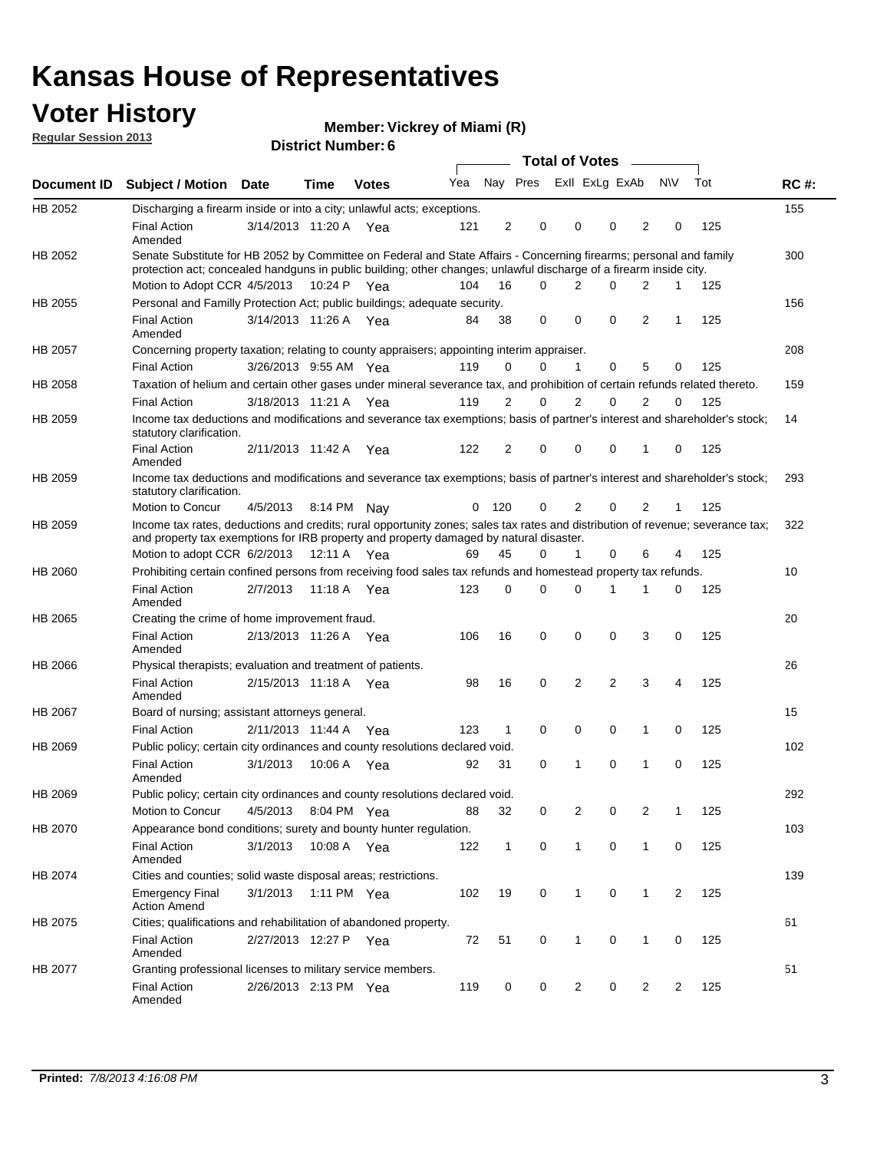### **Voter History**

**Vickrey of Miami (R)**

**Regular Session 2013**

|                | <b>DISTRICT MAILINGL.</b><br>Total of Votes –                                                                                                                                                                                            |                       |             |              |     |                |                         |  |              |             |              |                |     |             |
|----------------|------------------------------------------------------------------------------------------------------------------------------------------------------------------------------------------------------------------------------------------|-----------------------|-------------|--------------|-----|----------------|-------------------------|--|--------------|-------------|--------------|----------------|-----|-------------|
| Document ID    | <b>Subject / Motion</b>                                                                                                                                                                                                                  | Date                  | Time        | <b>Votes</b> | Yea |                | Nay Pres Exll ExLg ExAb |  |              |             |              | <b>NV</b>      | Tot | <b>RC#:</b> |
| HB 2052        | Discharging a firearm inside or into a city; unlawful acts; exceptions.                                                                                                                                                                  |                       |             |              |     |                |                         |  |              |             |              |                |     | 155         |
|                | <b>Final Action</b><br>Amended                                                                                                                                                                                                           | 3/14/2013 11:20 A Yea |             |              | 121 | 2              | 0                       |  | 0            | 0           | 2            | 0              | 125 |             |
| HB 2052        | Senate Substitute for HB 2052 by Committee on Federal and State Affairs - Concerning firearms; personal and family<br>protection act; concealed handguns in public building; other changes; unlawful discharge of a firearm inside city. |                       |             |              |     |                |                         |  |              |             |              |                |     | 300         |
|                | Motion to Adopt CCR 4/5/2013 10:24 P Yea                                                                                                                                                                                                 |                       |             |              | 104 | 16             | $\Omega$                |  | 2            | 0           | 2            | 1              | 125 |             |
| HB 2055        | Personal and Familly Protection Act; public buildings; adequate security.                                                                                                                                                                |                       |             |              |     |                |                         |  |              |             |              |                |     | 156         |
|                | <b>Final Action</b><br>Amended                                                                                                                                                                                                           | 3/14/2013 11:26 A Yea |             |              | 84  | 38             | 0                       |  | 0            | 0           | 2            | 1              | 125 |             |
| <b>HB 2057</b> | Concerning property taxation; relating to county appraisers; appointing interim appraiser.                                                                                                                                               |                       |             |              |     |                |                         |  |              |             |              |                |     | 208         |
|                | <b>Final Action</b>                                                                                                                                                                                                                      | 3/26/2013 9:55 AM Yea |             |              | 119 | 0              | 0                       |  | 1            | 0           | 5            | 0              | 125 |             |
| HB 2058        | Taxation of helium and certain other gases under mineral severance tax, and prohibition of certain refunds related thereto.                                                                                                              |                       |             |              |     |                |                         |  |              |             |              |                |     | 159         |
|                | <b>Final Action</b>                                                                                                                                                                                                                      | 3/18/2013 11:21 A Yea |             |              | 119 | 2              | 0                       |  | 2            | 0           | 2            | 0              | 125 |             |
| HB 2059        | Income tax deductions and modifications and severance tax exemptions; basis of partner's interest and shareholder's stock;<br>statutory clarification.                                                                                   |                       |             |              |     |                |                         |  |              |             |              |                |     | 14          |
|                | <b>Final Action</b><br>Amended                                                                                                                                                                                                           | 2/11/2013 11:42 A     |             | Yea          | 122 | $\overline{2}$ | 0                       |  | 0            | 0           | 1            | 0              | 125 |             |
| HB 2059        | Income tax deductions and modifications and severance tax exemptions; basis of partner's interest and shareholder's stock;<br>statutory clarification.                                                                                   |                       |             |              |     |                |                         |  |              |             |              |                |     | 293         |
|                | Motion to Concur                                                                                                                                                                                                                         | 4/5/2013              | 8:14 PM Nav |              | 0   | 120            | 0                       |  | 2            | 0           | 2            | 1              | 125 |             |
| HB 2059        | Income tax rates, deductions and credits; rural opportunity zones; sales tax rates and distribution of revenue; severance tax;<br>and property tax exemptions for IRB property and property damaged by natural disaster.                 |                       |             |              |     |                |                         |  |              |             |              |                |     | 322         |
|                | Motion to adopt CCR 6/2/2013                                                                                                                                                                                                             |                       | 12:11 A Yea |              | 69  | 45             | 0                       |  | $\mathbf{1}$ | 0           | 6            | 4              | 125 |             |
| HB 2060        | Prohibiting certain confined persons from receiving food sales tax refunds and homestead property tax refunds.                                                                                                                           |                       |             |              |     |                |                         |  |              |             |              |                |     | 10          |
|                | <b>Final Action</b><br>Amended                                                                                                                                                                                                           | 2/7/2013              | 11:18 A Yea |              | 123 | 0              | $\Omega$                |  | 0            | 1           | 1            | 0              | 125 |             |
| HB 2065        | Creating the crime of home improvement fraud.                                                                                                                                                                                            |                       |             |              |     |                |                         |  |              |             |              |                |     | 20          |
|                | <b>Final Action</b><br>Amended                                                                                                                                                                                                           | 2/13/2013 11:26 A Yea |             |              | 106 | 16             | 0                       |  | 0            | 0           | 3            | 0              | 125 |             |
| HB 2066        | Physical therapists; evaluation and treatment of patients.                                                                                                                                                                               |                       |             |              |     |                |                         |  |              |             |              |                |     | 26          |
|                | <b>Final Action</b><br>Amended                                                                                                                                                                                                           | 2/15/2013 11:18 A Yea |             |              | 98  | 16             | 0                       |  | 2            | 2           | 3            | 4              | 125 |             |
| HB 2067        | Board of nursing; assistant attorneys general.                                                                                                                                                                                           |                       |             |              |     |                |                         |  |              |             |              |                |     | 15          |
|                | <b>Final Action</b>                                                                                                                                                                                                                      | 2/11/2013 11:44 A Yea |             |              | 123 | $\mathbf{1}$   | 0                       |  | 0            | 0           | 1            | 0              | 125 |             |
| HB 2069        | Public policy; certain city ordinances and county resolutions declared void.                                                                                                                                                             |                       |             |              |     |                |                         |  |              |             |              |                |     | 102         |
|                | <b>Final Action</b><br>Amended                                                                                                                                                                                                           | 3/1/2013              | 10:06 A Yea |              | 92  | 31             | 0                       |  | 1            | $\Omega$    | 1            | 0              | 125 |             |
| HB 2069        | Public policy; certain city ordinances and county resolutions declared void.                                                                                                                                                             |                       |             |              |     |                |                         |  |              |             |              |                |     | 292         |
|                | Motion to Concur                                                                                                                                                                                                                         | 4/5/2013              | 8:04 PM Yea |              | 88  | 32             | 0                       |  | 2            | 0           | 2            | 1              | 125 |             |
| HB 2070        | Appearance bond conditions; surety and bounty hunter regulation.                                                                                                                                                                         |                       |             |              |     |                |                         |  |              |             |              |                |     | 103         |
|                | <b>Final Action</b><br>Amended                                                                                                                                                                                                           | 3/1/2013              | 10:08 A Yea |              | 122 | $\mathbf{1}$   | 0                       |  | $\mathbf{1}$ | 0           | $\mathbf{1}$ | 0              | 125 |             |
| HB 2074        | Cities and counties; solid waste disposal areas; restrictions.                                                                                                                                                                           |                       |             |              |     |                |                         |  |              |             |              |                |     | 139         |
|                | <b>Emergency Final</b><br><b>Action Amend</b>                                                                                                                                                                                            | 3/1/2013              | 1:11 PM Yea |              | 102 | 19             | 0                       |  | 1            | $\mathbf 0$ | $\mathbf{1}$ | $\overline{2}$ | 125 |             |
| HB 2075        | Cities; qualifications and rehabilitation of abandoned property.                                                                                                                                                                         |                       |             |              |     |                |                         |  |              |             |              |                |     | 61          |
|                | <b>Final Action</b><br>Amended                                                                                                                                                                                                           | 2/27/2013 12:27 P Yea |             |              | 72  | 51             | 0                       |  | 1            | 0           | 1            | 0              | 125 |             |
| HB 2077        | Granting professional licenses to military service members.<br><b>Final Action</b><br>Amended                                                                                                                                            | 2/26/2013 2:13 PM Yea |             |              | 119 | 0              | 0                       |  | 2            | 0           | 2            | 2              | 125 | 51          |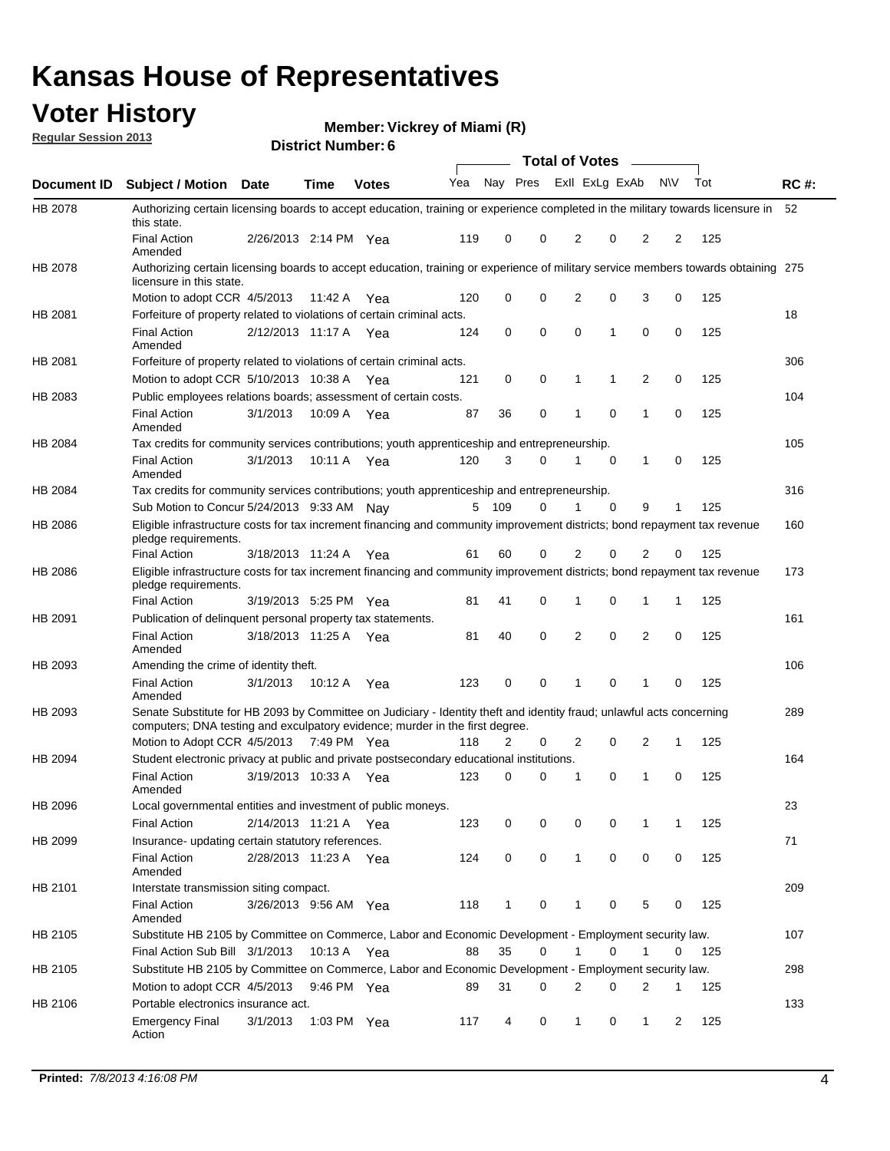#### **Voter History**

**Vickrey of Miami (R)**

| <b>Regular Session 2013</b> |  |  |
|-----------------------------|--|--|
|                             |  |  |

**Document ID Subject / Motion Date Time Votes** Yea Nay Pres ExII ExLg ExAb N\V Tot RC #: **District Number: 6 Date Votes Total of Votes Time** ExII ExLg ExAb 52 2/26/2013 Final Action Yea 125 2:14 PM 119 0 0 0 22 2 HB 2078 Amended Authorizing certain licensing boards to accept education, training or experience completed in the military towards licensure in this state. 275 Authorizing certain licensing boards to accept education, training or experience of military service members towards obtaining 4/5/2013 Motion to adopt CCR Yea 125 11:42 A 120 0 0 0 30 2 HB 2078 licensure in this state. 18 2/12/2013 Final Action Yea 125 11:17 A 124 0 1 0 00 0 HB 2081 Amended Forfeiture of property related to violations of certain criminal acts. 306 5/10/2013 Motion to adopt CCR Yea 125 10:38 A 121 0 1 0 20 1 HB 2081 Forfeiture of property related to violations of certain criminal acts. 104 3/1/2013 HB 2083 Final Action 3/1/2013 10:09 A Yea 87 36 0 1 0 1 0 125 Amended Public employees relations boards; assessment of certain costs. 10:09 A Yea 87 36 0 1 0 1 0 105 3/1/2013 Final Action Yea 125 10:11 A 120 3 0 0 10 1 HB 2084 Amended Tax credits for community services contributions; youth apprenticeship and entrepreneurship. 316 Sub Motion to Concur 5/24/2013 9:33 AM Nay  $109$  0 1 0 9 1 125 HB 2084 Tax credits for community services contributions; youth apprenticeship and entrepreneurship. 160 3/18/2013 Final Action Yea 125 11:24 A 61 60 0 0 20 2 HB 2086 Eligible infrastructure costs for tax increment financing and community improvement districts; bond repayment tax revenue pledge requirements. 173 3/19/2013 Final Action Yea 125 5:25 PM 81 41 0 0 11 1 HB 2086 Eligible infrastructure costs for tax increment financing and community improvement districts; bond repayment tax revenue pledge requirements. 161 3/18/2013 Final Action Yea 125 11:25 A 81 40 0 0 20 2 HB 2091 Amended Publication of delinquent personal property tax statements. 106 3/1/2013 Final Action Yea 125 10:12 A 123 0 0 0 10 1 HB 2093 Amended Amending the crime of identity theft. 289 Motion to Adopt CCR 4/5/2013 7:49 PM Yea 118 2 0 2 0 2 1 125 HB 2093 Senate Substitute for HB 2093 by Committee on Judiciary - Identity theft and identity fraud; unlawful acts concerning computers; DNA testing and exculpatory evidence; murder in the first degree. 7:49 PM Yea 118 2 0 2 0 2 1 164 Final Action 3/19/2013 10:33 A Yea 123 0 0 1 0 125 0 HB 2094 Amended Student electronic privacy at public and private postsecondary educational institutions. 23 2/14/2013 Final Action Yea 125 11:21 A 123 0 0 0 11 0 HB 2096 Local governmental entities and investment of public moneys. 71 2/28/2013 Final Action Yea 125 11:23 A 124 0 0 0 00 1 HB 2099 Amended Insurance- updating certain statutory references. 209 3/26/2013 Final Action Yea 125 9:56 AM 118 1 0 0 50 1 HB 2101 Amended Interstate transmission siting compact.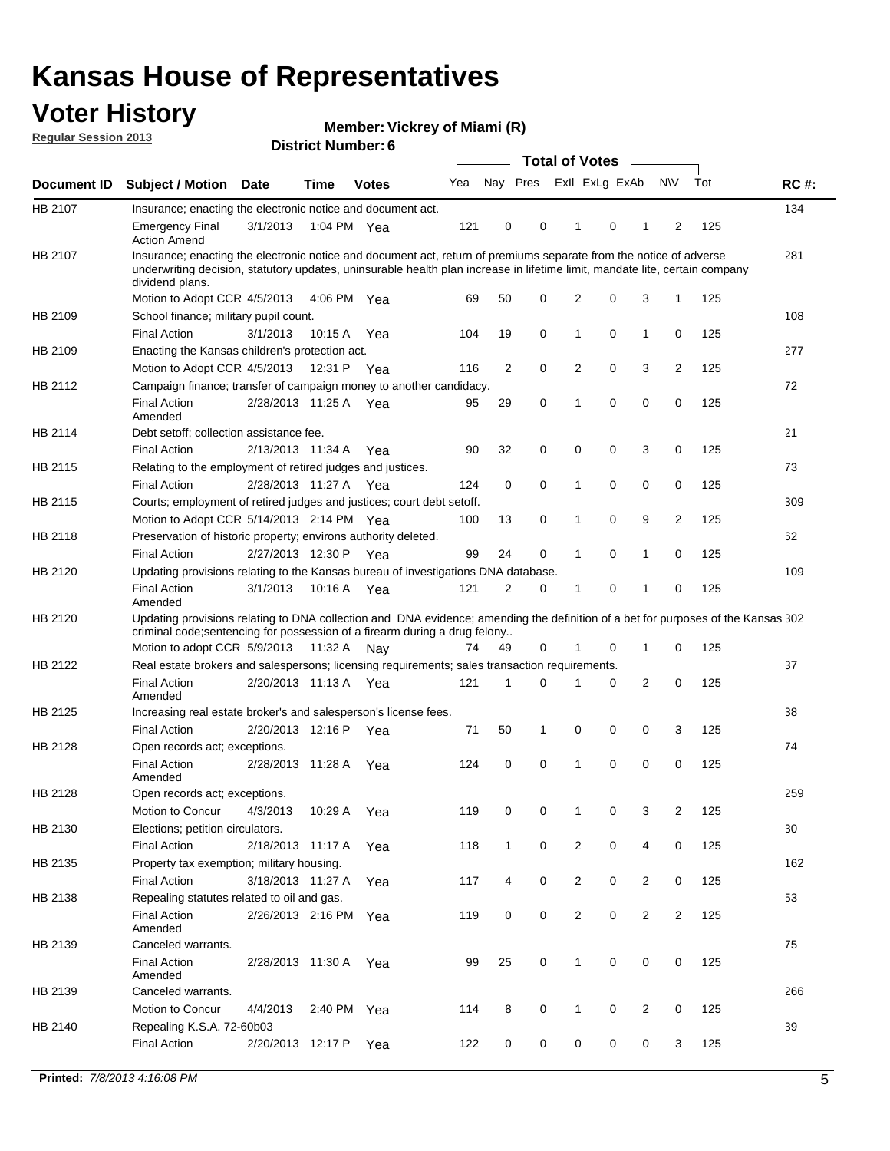### **Voter History**

**Vickrey of Miami (R)**

**Regular Session 2013**

|             |                                                                                                                                                                                                                                                                      |                       | <b>DISTRICT MAILINGL.</b> |              |     |                         | Total of Votes - |                |   |                |           |     |             |
|-------------|----------------------------------------------------------------------------------------------------------------------------------------------------------------------------------------------------------------------------------------------------------------------|-----------------------|---------------------------|--------------|-----|-------------------------|------------------|----------------|---|----------------|-----------|-----|-------------|
| Document ID | <b>Subject / Motion</b>                                                                                                                                                                                                                                              | <b>Date</b>           | <b>Time</b>               | <b>Votes</b> | Yea | Nay Pres ExII ExLg ExAb |                  |                |   |                | <b>NV</b> | Tot | <b>RC#:</b> |
| HB 2107     | Insurance; enacting the electronic notice and document act.                                                                                                                                                                                                          |                       |                           |              |     |                         |                  |                |   |                |           |     | 134         |
|             | <b>Emergency Final</b><br><b>Action Amend</b>                                                                                                                                                                                                                        | 3/1/2013              |                           | 1:04 PM Yea  | 121 | 0                       | 0                | 1              | 0 | 1              | 2         | 125 |             |
| HB 2107     | Insurance; enacting the electronic notice and document act, return of premiums separate from the notice of adverse<br>underwriting decision, statutory updates, uninsurable health plan increase in lifetime limit, mandate lite, certain company<br>dividend plans. |                       |                           |              |     |                         |                  |                |   |                |           |     | 281         |
|             | Motion to Adopt CCR 4/5/2013                                                                                                                                                                                                                                         |                       |                           | 4:06 PM Yea  | 69  | 50                      | 0                | $\overline{2}$ | 0 | 3              | 1         | 125 |             |
| HB 2109     | School finance; military pupil count.                                                                                                                                                                                                                                |                       |                           |              |     |                         |                  |                |   |                |           |     | 108         |
|             | <b>Final Action</b>                                                                                                                                                                                                                                                  | 3/1/2013              | 10:15 A                   | Yea          | 104 | 19                      | 0                | 1              | 0 | $\mathbf{1}$   | 0         | 125 |             |
| HB 2109     | Enacting the Kansas children's protection act.                                                                                                                                                                                                                       |                       |                           |              |     |                         |                  |                |   |                |           |     | 277         |
|             | Motion to Adopt CCR 4/5/2013                                                                                                                                                                                                                                         |                       | 12:31 P Yea               |              | 116 | 2                       | 0                | 2              | 0 | 3              | 2         | 125 |             |
| HB 2112     | Campaign finance; transfer of campaign money to another candidacy.                                                                                                                                                                                                   |                       |                           |              |     |                         |                  |                |   |                |           |     | 72          |
|             | <b>Final Action</b><br>Amended                                                                                                                                                                                                                                       | 2/28/2013 11:25 A Yea |                           |              | 95  | 29                      | 0                | 1              | 0 | 0              | 0         | 125 |             |
| HB 2114     | Debt setoff; collection assistance fee.                                                                                                                                                                                                                              |                       |                           |              |     |                         |                  |                |   |                |           |     | 21          |
|             | <b>Final Action</b>                                                                                                                                                                                                                                                  | 2/13/2013 11:34 A     |                           | Yea          | 90  | 32                      | 0                | 0              | 0 | 3              | 0         | 125 |             |
| HB 2115     | Relating to the employment of retired judges and justices.                                                                                                                                                                                                           |                       |                           |              |     |                         |                  |                |   |                |           |     | 73          |
|             | <b>Final Action</b>                                                                                                                                                                                                                                                  | 2/28/2013 11:27 A Yea |                           |              | 124 | 0                       | 0                | 1              | 0 | 0              | 0         | 125 |             |
| HB 2115     | Courts; employment of retired judges and justices; court debt setoff.                                                                                                                                                                                                |                       |                           |              |     |                         |                  |                |   |                |           |     | 309         |
|             | Motion to Adopt CCR 5/14/2013 2:14 PM Yea                                                                                                                                                                                                                            |                       |                           |              | 100 | 13                      | 0                | 1              | 0 | 9              | 2         | 125 |             |
| HB 2118     | Preservation of historic property; environs authority deleted.                                                                                                                                                                                                       |                       |                           |              |     |                         |                  |                |   |                |           |     | 62          |
|             | <b>Final Action</b>                                                                                                                                                                                                                                                  | 2/27/2013 12:30 P     |                           | Yea          | 99  | 24                      | 0                | 1              | 0 | 1              | 0         | 125 |             |
| HB 2120     | Updating provisions relating to the Kansas bureau of investigations DNA database.                                                                                                                                                                                    |                       |                           |              |     |                         |                  |                |   |                |           |     | 109         |
|             | <b>Final Action</b><br>Amended                                                                                                                                                                                                                                       | 3/1/2013              |                           | 10:16 A Yea  | 121 | $\overline{2}$          | 0                | 1              | 0 | 1              | 0         | 125 |             |
| HB 2120     | Updating provisions relating to DNA collection and DNA evidence; amending the definition of a bet for purposes of the Kansas 302<br>criminal code; sentencing for possession of a firearm during a drug felony                                                       |                       |                           |              |     |                         |                  |                |   |                |           |     |             |
|             | Motion to adopt CCR 5/9/2013 11:32 A                                                                                                                                                                                                                                 |                       |                           | Nav          | 74  | 49                      | 0                |                | 0 | 1              | 0         | 125 |             |
| HB 2122     | Real estate brokers and salespersons; licensing requirements; sales transaction requirements.                                                                                                                                                                        |                       |                           |              |     |                         |                  |                |   |                |           |     | 37          |
|             | <b>Final Action</b>                                                                                                                                                                                                                                                  | 2/20/2013 11:13 A     |                           | Yea          | 121 | 1                       | 0                |                | 0 | $\overline{2}$ | 0         | 125 |             |
|             | Amended                                                                                                                                                                                                                                                              |                       |                           |              |     |                         |                  |                |   |                |           |     | 38          |
| HB 2125     | Increasing real estate broker's and salesperson's license fees.                                                                                                                                                                                                      |                       |                           |              | 71  |                         |                  |                | 0 | 0              |           |     |             |
|             | <b>Final Action</b>                                                                                                                                                                                                                                                  | 2/20/2013 12:16 P Yea |                           |              |     | 50                      | 1                | 0              |   |                | 3         | 125 |             |
| HB 2128     | Open records act; exceptions.<br><b>Final Action</b><br>Amended                                                                                                                                                                                                      | 2/28/2013 11:28 A     |                           | Yea          | 124 | 0                       | 0                | 1              | 0 | 0              | 0         | 125 | 74          |
| HB 2128     | Open records act; exceptions.                                                                                                                                                                                                                                        |                       |                           |              |     |                         |                  |                |   |                |           |     | 259         |
|             | Motion to Concur                                                                                                                                                                                                                                                     | 4/3/2013              | 10:29 A                   | Yea          | 119 | 0                       | 0                |                | 0 | 3              | 2         | 125 |             |
| HB 2130     | Elections; petition circulators.                                                                                                                                                                                                                                     |                       |                           |              |     |                         |                  |                |   |                |           |     | 30          |
|             | <b>Final Action</b>                                                                                                                                                                                                                                                  | 2/18/2013 11:17 A     |                           | Yea          | 118 | $\mathbf{1}$            | 0                | 2              | 0 | 4              | 0         | 125 |             |
| HB 2135     | Property tax exemption; military housing.                                                                                                                                                                                                                            |                       |                           |              |     |                         |                  |                |   |                |           |     | 162         |
|             | <b>Final Action</b>                                                                                                                                                                                                                                                  | 3/18/2013 11:27 A     |                           | Yea          | 117 | 4                       | 0                | 2              | 0 | $\overline{2}$ | 0         | 125 |             |
| HB 2138     | Repealing statutes related to oil and gas.                                                                                                                                                                                                                           |                       |                           |              |     |                         |                  |                |   |                |           |     | 53          |
|             | <b>Final Action</b><br>Amended                                                                                                                                                                                                                                       | 2/26/2013 2:16 PM Yea |                           |              | 119 | 0                       | 0                | $\overline{2}$ | 0 | $\overline{2}$ | 2         | 125 |             |
| HB 2139     | Canceled warrants.                                                                                                                                                                                                                                                   |                       |                           |              |     |                         |                  |                |   |                |           |     | 75          |
|             | <b>Final Action</b><br>Amended                                                                                                                                                                                                                                       | 2/28/2013 11:30 A     |                           | Yea          | 99  | 25                      | 0                | 1              | 0 | 0              | 0         | 125 |             |
| HB 2139     | Canceled warrants.                                                                                                                                                                                                                                                   |                       |                           |              |     |                         |                  |                |   |                |           |     | 266         |
|             | Motion to Concur                                                                                                                                                                                                                                                     | 4/4/2013              |                           | 2:40 PM Yea  | 114 | 8                       | 0                | 1              | 0 | 2              | 0         | 125 |             |
| HB 2140     | Repealing K.S.A. 72-60b03                                                                                                                                                                                                                                            |                       |                           |              |     |                         |                  |                |   |                |           |     | 39          |
|             | <b>Final Action</b>                                                                                                                                                                                                                                                  | 2/20/2013 12:17 P     |                           | Yea          | 122 | 0                       | 0                | 0              | 0 | 0              | 3         | 125 |             |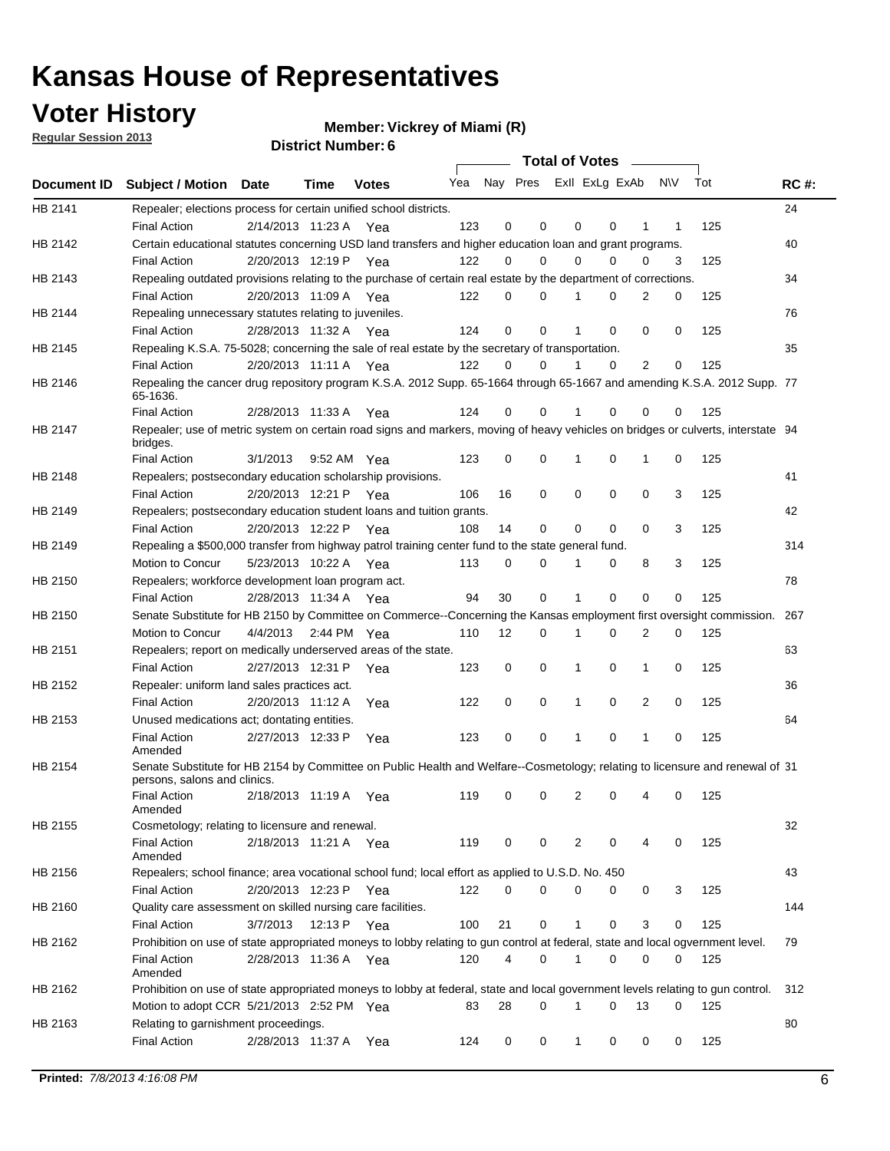**Voter History** 

**Vickrey of Miami (R)**

**Regular Session 2013**

|             |                                                                                                                                              |          |                       |              |                             |                | Total of Votes |             |             |                |     |     |             |
|-------------|----------------------------------------------------------------------------------------------------------------------------------------------|----------|-----------------------|--------------|-----------------------------|----------------|----------------|-------------|-------------|----------------|-----|-----|-------------|
| Document ID | <b>Subject / Motion Date</b>                                                                                                                 |          | Time                  | <b>Votes</b> | Yea Nay Pres ExII ExLg ExAb |                |                |             |             |                | N\V | Tot | <b>RC#:</b> |
| HB 2141     | Repealer; elections process for certain unified school districts.                                                                            |          |                       |              |                             |                | $\mathbf 0$    |             | 0           |                |     |     | 24          |
| HB 2142     | <b>Final Action</b>                                                                                                                          |          | 2/14/2013 11:23 A Yea |              | 123                         | 0              |                | 0           |             | 1              | 1   | 125 | 40          |
|             | Certain educational statutes concerning USD land transfers and higher education loan and grant programs.                                     |          |                       |              | 122                         | 0              | 0              | $\Omega$    | $\Omega$    | 0              | 3   |     |             |
| HB 2143     | <b>Final Action</b>                                                                                                                          |          | 2/20/2013 12:19 P Yea |              |                             |                |                |             |             |                |     | 125 | 34          |
|             | Repealing outdated provisions relating to the purchase of certain real estate by the department of corrections.<br><b>Final Action</b>       |          | 2/20/2013 11:09 A Yea |              | 122                         | 0              | 0              |             | $\Omega$    | $\overline{2}$ | 0   | 125 |             |
| HB 2144     |                                                                                                                                              |          |                       |              |                             |                |                |             |             |                |     |     | 76          |
|             | Repealing unnecessary statutes relating to juveniles.                                                                                        |          |                       |              |                             | 0              | $\Omega$       |             | $\Omega$    | $\Omega$       | 0   |     |             |
|             | <b>Final Action</b>                                                                                                                          |          | 2/28/2013 11:32 A Yea |              | 124                         |                |                |             |             |                |     | 125 | 35          |
| HB 2145     | Repealing K.S.A. 75-5028; concerning the sale of real estate by the secretary of transportation.<br><b>Final Action</b>                      |          |                       |              | 122                         | 0              | 0              | 1           | $\Omega$    | $\overline{2}$ | 0   | 125 |             |
| HB 2146     |                                                                                                                                              |          | 2/20/2013 11:11 A Yea |              |                             |                |                |             |             |                |     |     |             |
|             | Repealing the cancer drug repository program K.S.A. 2012 Supp. 65-1664 through 65-1667 and amending K.S.A. 2012 Supp. 77<br>65-1636.         |          |                       |              |                             |                |                |             |             |                |     |     |             |
|             | <b>Final Action</b>                                                                                                                          |          | 2/28/2013 11:33 A     | Yea          | 124                         | 0              | 0              |             | 0           | 0              | 0   | 125 |             |
| HB 2147     | Repealer; use of metric system on certain road signs and markers, moving of heavy vehicles on bridges or culverts, interstate 94<br>bridges. |          |                       |              |                             |                |                |             |             |                |     |     |             |
|             | <b>Final Action</b>                                                                                                                          | 3/1/2013 |                       | 9:52 AM Yea  | 123                         | 0              | 0              |             | 0           | 1              | 0   | 125 |             |
| HB 2148     | Repealers; postsecondary education scholarship provisions.                                                                                   |          |                       |              |                             |                |                |             |             |                |     |     | 41          |
|             | <b>Final Action</b>                                                                                                                          |          | 2/20/2013 12:21 P     | Yea          | 106                         | 16             | 0              | 0           | $\mathbf 0$ | 0              | 3   | 125 |             |
| HB 2149     | Repealers; postsecondary education student loans and tuition grants.                                                                         |          |                       |              |                             |                |                |             |             |                |     |     | 42          |
|             | <b>Final Action</b>                                                                                                                          |          | 2/20/2013 12:22 P     | Yea          | 108                         | 14             | $\mathbf 0$    | 0           | 0           | 0              | 3   | 125 |             |
| HB 2149     | Repealing a \$500,000 transfer from highway patrol training center fund to the state general fund.                                           |          |                       |              |                             |                |                |             |             |                |     |     | 314         |
|             | Motion to Concur                                                                                                                             |          | 5/23/2013 10:22 A Yea |              | 113                         | 0              | 0              | 1           | 0           | 8              | 3   | 125 |             |
| HB 2150     | Repealers; workforce development loan program act.                                                                                           |          |                       |              |                             |                |                |             |             |                |     |     | 78          |
|             | <b>Final Action</b>                                                                                                                          |          | 2/28/2013 11:34 A     | Yea          | 94                          | 30             | $\mathbf 0$    | 1           | $\mathbf 0$ | 0              | 0   | 125 |             |
| HB 2150     | Senate Substitute for HB 2150 by Committee on Commerce--Concerning the Kansas employment first oversight commission.                         |          |                       |              |                             |                |                |             |             |                |     |     | 267         |
|             | Motion to Concur                                                                                                                             |          | 4/4/2013 2:44 PM Yea  |              | 110                         | 12             | 0              | 1           | 0           | 2              | 0   | 125 |             |
| HB 2151     | Repealers; report on medically underserved areas of the state.                                                                               |          |                       |              |                             |                |                |             |             |                |     |     | 63          |
|             | <b>Final Action</b>                                                                                                                          |          | 2/27/2013 12:31 P     | Yea          | 123                         | 0              | 0              | 1           | 0           | $\mathbf{1}$   | 0   | 125 |             |
| HB 2152     | Repealer: uniform land sales practices act.                                                                                                  |          |                       |              |                             |                |                |             |             |                |     |     | 36          |
|             | <b>Final Action</b>                                                                                                                          |          | 2/20/2013 11:12 A     | Yea          | 122                         | 0              | 0              | 1           | 0           | 2              | 0   | 125 |             |
| HB 2153     | Unused medications act; dontating entities.                                                                                                  |          |                       |              |                             |                |                |             |             |                |     |     | 64          |
|             | <b>Final Action</b><br>Amended                                                                                                               |          | 2/27/2013 12:33 P     | Yea          | 123                         | 0              | $\mathbf 0$    |             | 0           | 1              | 0   | 125 |             |
| HB 2154     | Senate Substitute for HB 2154 by Committee on Public Health and Welfare--Cosmetology; relating to licensure and renewal of 31                |          |                       |              |                             |                |                |             |             |                |     |     |             |
|             | persons, salons and clinics.<br><b>Final Action</b>                                                                                          |          | 2/18/2013 11:19 A     | Yea          | 119                         | 0              | 0              | 2           | 0           |                | 0   | 125 |             |
|             | Amended                                                                                                                                      |          |                       |              |                             |                |                |             |             |                |     |     |             |
| HB 2155     | Cosmetology; relating to licensure and renewal.                                                                                              |          |                       |              |                             |                |                |             |             |                |     |     | 32          |
|             | <b>Final Action</b><br>Amended                                                                                                               |          | 2/18/2013 11:21 A Yea |              | 119                         | 0              | 0              | 2           | 0           | 4              | 0   | 125 |             |
| HB 2156     | Repealers; school finance; area vocational school fund; local effort as applied to U.S.D. No. 450                                            |          |                       |              |                             |                |                |             |             |                |     |     | 43          |
|             | <b>Final Action</b>                                                                                                                          |          | 2/20/2013 12:23 P     | Yea          | 122                         | 0              | 0              | 0           | 0           | 0              | 3   | 125 |             |
| HB 2160     | Quality care assessment on skilled nursing care facilities.                                                                                  |          |                       |              |                             |                |                |             |             |                |     |     | 144         |
|             | <b>Final Action</b>                                                                                                                          | 3/7/2013 | 12:13 P               | Yea          | 100                         | 21             | 0              | 1           | 0           | 3              | 0   | 125 |             |
| HB 2162     | Prohibition on use of state appropriated moneys to lobby relating to gun control at federal, state and local ogvernment level.               |          |                       |              |                             |                |                |             |             |                |     |     | 79          |
|             | <b>Final Action</b><br>Amended                                                                                                               |          | 2/28/2013 11:36 A Yea |              | 120                         | $\overline{4}$ | 0              | 1           | 0           | 0              | 0   | 125 |             |
| HB 2162     | Prohibition on use of state appropriated moneys to lobby at federal, state and local government levels relating to gun control.              |          |                       |              |                             |                |                |             |             |                |     |     | 312         |
|             | Motion to adopt CCR 5/21/2013 2:52 PM Yea                                                                                                    |          |                       |              | 83                          | 28             | $\Omega$       | 1           | 0           | 13             | 0   | 125 |             |
| HB 2163     | Relating to garnishment proceedings.                                                                                                         |          |                       |              |                             |                |                |             |             |                |     |     | 80          |
|             | <b>Final Action</b>                                                                                                                          |          | 2/28/2013 11:37 A Yea |              | 124                         | 0              | 0              | $\mathbf 1$ | 0           | 0              | 0   | 125 |             |
|             |                                                                                                                                              |          |                       |              |                             |                |                |             |             |                |     |     |             |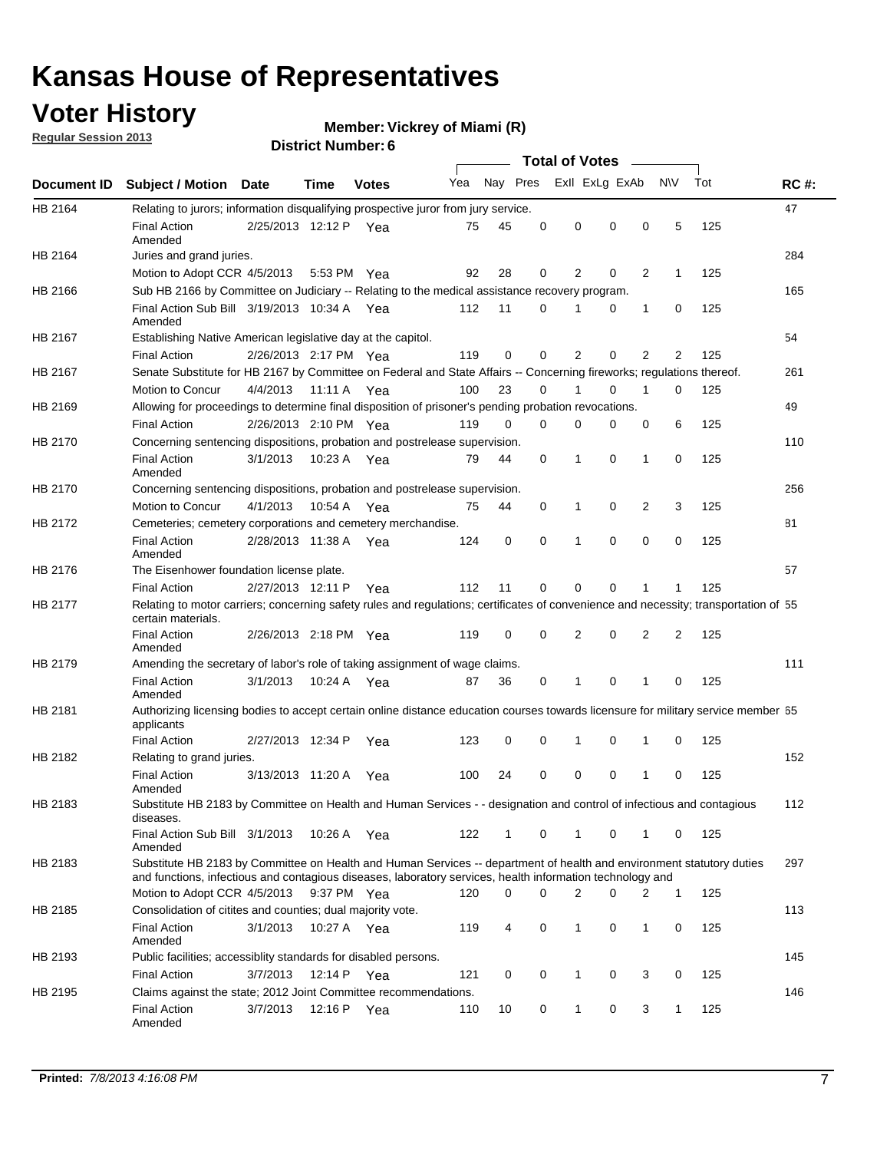### **Voter History**

**Vickrey of Miami (R)**

**Regular Session 2013**

|             |                                                                                                                                                                                                                                    |                       |             |              |     |             | <b>Total of Votes</b>   |                |          | $\overline{\phantom{a}}$ |     |     |             |
|-------------|------------------------------------------------------------------------------------------------------------------------------------------------------------------------------------------------------------------------------------|-----------------------|-------------|--------------|-----|-------------|-------------------------|----------------|----------|--------------------------|-----|-----|-------------|
| Document ID | <b>Subject / Motion Date</b>                                                                                                                                                                                                       |                       | <b>Time</b> | <b>Votes</b> | Yea |             | Nay Pres Exll ExLg ExAb |                |          |                          | N\V | Tot | <b>RC#:</b> |
| HB 2164     | Relating to jurors; information disqualifying prospective juror from jury service.                                                                                                                                                 |                       |             |              |     |             |                         |                |          |                          |     |     | 47          |
|             | <b>Final Action</b>                                                                                                                                                                                                                | 2/25/2013 12:12 P Yea |             |              | 75  | 45          | 0                       | 0              | 0        | 0                        | 5   | 125 |             |
| HB 2164     | Amended                                                                                                                                                                                                                            |                       |             |              |     |             |                         |                |          |                          |     |     | 284         |
|             | Juries and grand juries.<br>Motion to Adopt CCR 4/5/2013                                                                                                                                                                           |                       | 5:53 PM Yea |              | 92  | 28          | 0                       | $\overline{2}$ | 0        | $\overline{2}$           | 1   | 125 |             |
| HB 2166     | Sub HB 2166 by Committee on Judiciary -- Relating to the medical assistance recovery program.                                                                                                                                      |                       |             |              |     |             |                         |                |          |                          |     |     | 165         |
|             | Final Action Sub Bill 3/19/2013 10:34 A Yea                                                                                                                                                                                        |                       |             |              | 112 | 11          | 0                       |                | 0        | 1                        | 0   | 125 |             |
|             | Amended                                                                                                                                                                                                                            |                       |             |              |     |             |                         |                |          |                          |     |     |             |
| HB 2167     | Establishing Native American legislative day at the capitol.                                                                                                                                                                       |                       |             |              |     |             |                         |                |          |                          |     |     | 54          |
|             | <b>Final Action</b>                                                                                                                                                                                                                | 2/26/2013 2:17 PM Yea |             |              | 119 | 0           | 0                       | $\overline{2}$ | 0        | $\overline{2}$           | 2   | 125 |             |
| HB 2167     | Senate Substitute for HB 2167 by Committee on Federal and State Affairs -- Concerning fireworks; regulations thereof.                                                                                                              |                       |             |              |     |             |                         |                |          |                          |     |     | 261         |
|             | Motion to Concur                                                                                                                                                                                                                   | 4/4/2013              | 11:11 A Yea |              | 100 | 23          | 0                       | 1              | 0        | 1                        | 0   | 125 |             |
| HB 2169     | Allowing for proceedings to determine final disposition of prisoner's pending probation revocations.                                                                                                                               |                       |             |              |     |             |                         |                |          |                          |     |     | 49          |
|             | <b>Final Action</b>                                                                                                                                                                                                                | 2/26/2013 2:10 PM Yea |             |              | 119 | 0           | 0                       | 0              | 0        | 0                        | 6   | 125 |             |
| HB 2170     | Concerning sentencing dispositions, probation and postrelease supervision.                                                                                                                                                         |                       |             |              |     |             |                         |                |          |                          |     |     | 110         |
|             | <b>Final Action</b><br>Amended                                                                                                                                                                                                     | 3/1/2013              | 10:23 A Yea |              | 79  | 44          | 0                       | 1              | 0        | 1                        | 0   | 125 |             |
| HB 2170     | Concerning sentencing dispositions, probation and postrelease supervision.                                                                                                                                                         |                       |             |              |     |             |                         |                |          |                          |     |     | 256         |
|             | Motion to Concur                                                                                                                                                                                                                   | 4/1/2013              | 10:54 A Yea |              | 75  | 44          | 0                       | 1              | 0        | 2                        | 3   | 125 |             |
| HB 2172     | Cemeteries; cemetery corporations and cemetery merchandise.                                                                                                                                                                        |                       |             |              |     |             |                         |                |          |                          |     |     | 81          |
|             | <b>Final Action</b><br>Amended                                                                                                                                                                                                     | 2/28/2013 11:38 A Yea |             |              | 124 | $\mathbf 0$ | $\Omega$                |                | $\Omega$ | $\Omega$                 | 0   | 125 |             |
| HB 2176     | The Eisenhower foundation license plate.                                                                                                                                                                                           |                       |             |              |     |             |                         |                |          |                          |     |     | 57          |
|             | <b>Final Action</b>                                                                                                                                                                                                                | 2/27/2013 12:11 P     |             | Yea          | 112 | 11          | 0                       | 0              | 0        |                          | 1   | 125 |             |
| HB 2177     | Relating to motor carriers; concerning safety rules and regulations; certificates of convenience and necessity; transportation of 55<br>certain materials.                                                                         |                       |             |              |     |             |                         |                |          |                          |     |     |             |
|             | <b>Final Action</b><br>Amended                                                                                                                                                                                                     | 2/26/2013 2:18 PM Yea |             |              | 119 | 0           | 0                       | $\overline{2}$ | 0        | 2                        | 2   | 125 |             |
| HB 2179     | Amending the secretary of labor's role of taking assignment of wage claims.                                                                                                                                                        |                       |             |              |     |             |                         |                |          |                          |     |     | 111         |
|             | <b>Final Action</b><br>Amended                                                                                                                                                                                                     | 3/1/2013              | 10:24 A Yea |              | 87  | 36          | 0                       | 1              | 0        | 1                        | 0   | 125 |             |
| HB 2181     | Authorizing licensing bodies to accept certain online distance education courses towards licensure for military service member 55<br>applicants                                                                                    |                       |             |              |     |             |                         |                |          |                          |     |     |             |
|             | <b>Final Action</b>                                                                                                                                                                                                                | 2/27/2013 12:34 P     |             | Yea          | 123 | 0           | 0                       | 1              | 0        | 1                        | 0   | 125 |             |
| HB 2182     | Relating to grand juries.                                                                                                                                                                                                          |                       |             |              |     |             |                         |                |          |                          |     |     | 152         |
|             | <b>Final Action</b><br>Amended                                                                                                                                                                                                     | 3/13/2013 11:20 A     |             | Yea          | 100 | 24          | 0                       | 0              | 0        | 1                        | 0   | 125 |             |
| HB 2183     | Substitute HB 2183 by Committee on Health and Human Services - - designation and control of infectious and contagious<br>diseases.                                                                                                 |                       |             |              |     |             |                         |                |          |                          |     |     | 112         |
|             | Final Action Sub Bill 3/1/2013<br>Amended                                                                                                                                                                                          |                       | 10:26 A Yea |              | 122 | 1           | 0                       | $\mathbf{1}$   | 0        | 1                        | 0   | 125 |             |
| HB 2183     | Substitute HB 2183 by Committee on Health and Human Services -- department of health and environment statutory duties<br>and functions, infectious and contagious diseases, laboratory services, health information technology and |                       |             |              |     |             |                         |                |          |                          |     |     | 297         |
|             | Motion to Adopt CCR 4/5/2013                                                                                                                                                                                                       |                       | 9:37 PM Yea |              | 120 | 0           | 0                       | 2              | 0        | 2                        | 1   | 125 |             |
| HB 2185     | Consolidation of citites and counties; dual majority vote.                                                                                                                                                                         |                       |             |              |     |             |                         |                |          |                          |     |     | 113         |
|             | <b>Final Action</b><br>Amended                                                                                                                                                                                                     | 3/1/2013              | 10:27 A Yea |              | 119 | 4           | 0                       | $\mathbf{1}$   | 0        | $\mathbf{1}$             | 0   | 125 |             |
| HB 2193     | Public facilities; accessiblity standards for disabled persons.                                                                                                                                                                    |                       |             |              |     |             |                         |                |          |                          |     |     | 145         |
|             | <b>Final Action</b>                                                                                                                                                                                                                | 3/7/2013              | 12:14 P     | Yea          | 121 | 0           | 0                       | 1              | 0        | 3                        | 0   | 125 |             |
| HB 2195     | Claims against the state; 2012 Joint Committee recommendations.                                                                                                                                                                    |                       |             |              |     |             |                         |                |          |                          |     |     | 146         |
|             | <b>Final Action</b><br>Amended                                                                                                                                                                                                     | 3/7/2013              | 12:16 P Yea |              | 110 | 10          | 0                       | 1              | 0        | 3                        | 1   | 125 |             |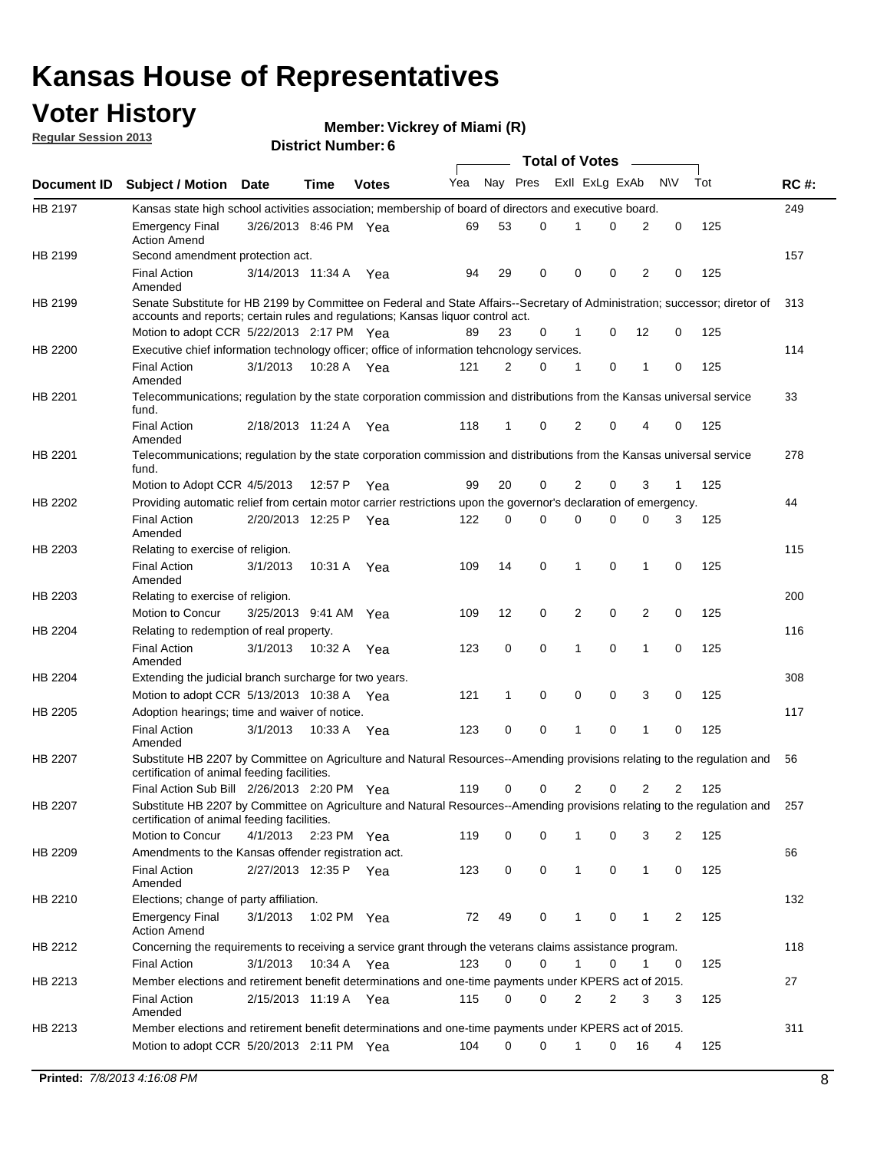### **Voter History**

**Vickrey of Miami (R)**

**Regular Session 2013**

|             |                                                                                                                                                                                                                |                       |             |              |     |              |          | <b>Total of Votes</b> |   |                |             |     |             |
|-------------|----------------------------------------------------------------------------------------------------------------------------------------------------------------------------------------------------------------|-----------------------|-------------|--------------|-----|--------------|----------|-----------------------|---|----------------|-------------|-----|-------------|
| Document ID | <b>Subject / Motion Date</b>                                                                                                                                                                                   |                       | Time        | <b>Votes</b> | Yea | Nay Pres     |          | Exll ExLg ExAb        |   |                | <b>NV</b>   | Tot | <b>RC#:</b> |
| HB 2197     | Kansas state high school activities association; membership of board of directors and executive board.                                                                                                         |                       |             |              |     |              |          |                       |   |                |             |     | 249         |
|             | <b>Emergency Final</b><br><b>Action Amend</b>                                                                                                                                                                  | 3/26/2013 8:46 PM Yea |             |              | 69  | 53           | 0        |                       | 0 | 2              | 0           | 125 |             |
| HB 2199     | Second amendment protection act.                                                                                                                                                                               |                       |             |              |     |              |          |                       |   |                |             |     | 157         |
|             | <b>Final Action</b><br>Amended                                                                                                                                                                                 | 3/14/2013 11:34 A     |             | Yea          | 94  | 29           | 0        | 0                     | 0 | 2              | 0           | 125 |             |
| HB 2199     | Senate Substitute for HB 2199 by Committee on Federal and State Affairs--Secretary of Administration; successor; diretor of<br>accounts and reports; certain rules and regulations; Kansas liguor control act. |                       |             |              |     |              |          |                       |   |                |             |     | 313         |
|             | Motion to adopt CCR 5/22/2013 2:17 PM Yea                                                                                                                                                                      |                       |             |              | 89  | 23           | 0        | 1                     | 0 | 12             | 0           | 125 |             |
| HB 2200     | Executive chief information technology officer; office of information tehcnology services.                                                                                                                     |                       |             |              |     |              |          |                       |   |                |             |     | 114         |
|             | <b>Final Action</b><br>Amended                                                                                                                                                                                 | 3/1/2013              | 10:28 A     | Yea          | 121 | 2            | 0        | 1                     | 0 | 1              | 0           | 125 |             |
| HB 2201     | Telecommunications; regulation by the state corporation commission and distributions from the Kansas universal service<br>fund.                                                                                |                       |             |              |     |              |          |                       |   |                |             |     | 33          |
|             | <b>Final Action</b><br>Amended                                                                                                                                                                                 | 2/18/2013 11:24 A     |             | Yea          | 118 | $\mathbf{1}$ | 0        | 2                     | 0 | 4              | 0           | 125 |             |
| HB 2201     | Telecommunications; regulation by the state corporation commission and distributions from the Kansas universal service<br>fund.                                                                                |                       |             |              |     |              |          |                       |   |                |             |     | 278         |
|             | Motion to Adopt CCR 4/5/2013                                                                                                                                                                                   |                       | 12:57 P     | Yea          | 99  | 20           | 0        | 2                     | 0 | 3              | 1           | 125 |             |
| HB 2202     | Providing automatic relief from certain motor carrier restrictions upon the governor's declaration of emergency.                                                                                               |                       |             |              |     |              |          |                       |   |                |             |     | 44          |
|             | <b>Final Action</b><br>Amended                                                                                                                                                                                 | 2/20/2013 12:25 P     |             | Yea          | 122 | 0            | 0        | 0                     | 0 | 0              | 3           | 125 |             |
| HB 2203     | Relating to exercise of religion.                                                                                                                                                                              |                       |             |              |     |              |          |                       |   |                |             |     | 115         |
|             | <b>Final Action</b><br>Amended                                                                                                                                                                                 | 3/1/2013              |             | 10:31 A Yea  | 109 | 14           | 0        | $\mathbf 1$           | 0 | 1              | 0           | 125 |             |
| HB 2203     | Relating to exercise of religion.                                                                                                                                                                              |                       |             |              |     |              |          |                       |   |                |             |     | 200         |
|             | Motion to Concur                                                                                                                                                                                               | 3/25/2013 9:41 AM Yea |             |              | 109 | 12           | 0        | 2                     | 0 | $\overline{2}$ | 0           | 125 |             |
| HB 2204     | Relating to redemption of real property.                                                                                                                                                                       |                       |             |              |     |              |          |                       |   |                |             |     | 116         |
|             | <b>Final Action</b><br>Amended                                                                                                                                                                                 | 3/1/2013              | 10:32 A     | Yea          | 123 | 0            | 0        | 1                     | 0 | $\mathbf{1}$   | $\mathbf 0$ | 125 |             |
| HB 2204     | Extending the judicial branch surcharge for two years.                                                                                                                                                         |                       |             |              |     |              |          |                       |   |                |             |     | 308         |
|             | Motion to adopt CCR 5/13/2013 10:38 A Yea                                                                                                                                                                      |                       |             |              | 121 | 1            | 0        | 0                     | 0 | 3              | 0           | 125 |             |
| HB 2205     | Adoption hearings; time and waiver of notice.                                                                                                                                                                  |                       |             |              |     |              |          |                       |   |                |             |     | 117         |
|             | <b>Final Action</b><br>Amended                                                                                                                                                                                 | 3/1/2013              | 10:33 A Yea |              | 123 | 0            | 0        | 1                     | 0 | 1              | 0           | 125 |             |
| HB 2207     | Substitute HB 2207 by Committee on Agriculture and Natural Resources--Amending provisions relating to the regulation and<br>certification of animal feeding facilities.                                        |                       |             |              |     |              |          |                       |   |                |             |     | 56          |
|             | Final Action Sub Bill 2/26/2013 2:20 PM Yea                                                                                                                                                                    |                       |             |              | 119 | 0            | 0        | 2                     | 0 | 2              | 2           | 125 |             |
| HB 2207     | Substitute HB 2207 by Committee on Agriculture and Natural Resources--Amending provisions relating to the regulation and 257<br>certification of animal feeding facilities.                                    |                       |             |              |     |              |          |                       |   |                |             |     |             |
|             | Motion to Concur                                                                                                                                                                                               | 4/1/2013              | 2:23 PM Yea |              | 119 | 0            | 0        | 1                     | 0 | 3              | 2           | 125 |             |
| HB 2209     | Amendments to the Kansas offender registration act.                                                                                                                                                            |                       |             |              |     |              |          |                       |   |                |             |     | 66          |
|             | <b>Final Action</b><br>Amended                                                                                                                                                                                 | 2/27/2013 12:35 P Yea |             |              | 123 | 0            | 0        | $\mathbf{1}$          | 0 | $\mathbf{1}$   | 0           | 125 |             |
| HB 2210     | Elections; change of party affiliation.                                                                                                                                                                        |                       |             |              |     |              |          |                       |   |                |             |     | 132         |
|             | <b>Emergency Final</b><br><b>Action Amend</b>                                                                                                                                                                  | 3/1/2013              | 1:02 PM Yea |              | 72  | 49           | 0        | 1                     | 0 | 1              | 2           | 125 |             |
| HB 2212     | Concerning the requirements to receiving a service grant through the veterans claims assistance program.                                                                                                       |                       |             |              |     |              |          |                       |   |                |             |     | 118         |
|             | <b>Final Action</b>                                                                                                                                                                                            | 3/1/2013              | 10:34 A Yea |              | 123 | 0            | 0        | $\mathbf{1}$          | 0 | 1              | 0           | 125 |             |
| HB 2213     | Member elections and retirement benefit determinations and one-time payments under KPERS act of 2015.                                                                                                          |                       |             |              |     |              |          |                       |   |                |             |     | 27          |
|             | <b>Final Action</b><br>Amended                                                                                                                                                                                 | 2/15/2013 11:19 A Yea |             |              | 115 | 0            | 0        | 2                     | 2 | 3              | 3           | 125 |             |
| HB 2213     | Member elections and retirement benefit determinations and one-time payments under KPERS act of 2015.                                                                                                          |                       |             |              |     |              |          |                       |   |                |             |     | 311         |
|             | Motion to adopt CCR 5/20/2013 2:11 PM Yea                                                                                                                                                                      |                       |             |              | 104 | $\Omega$     | $\Omega$ | $\mathbf 1$           | 0 | 16             | 4           | 125 |             |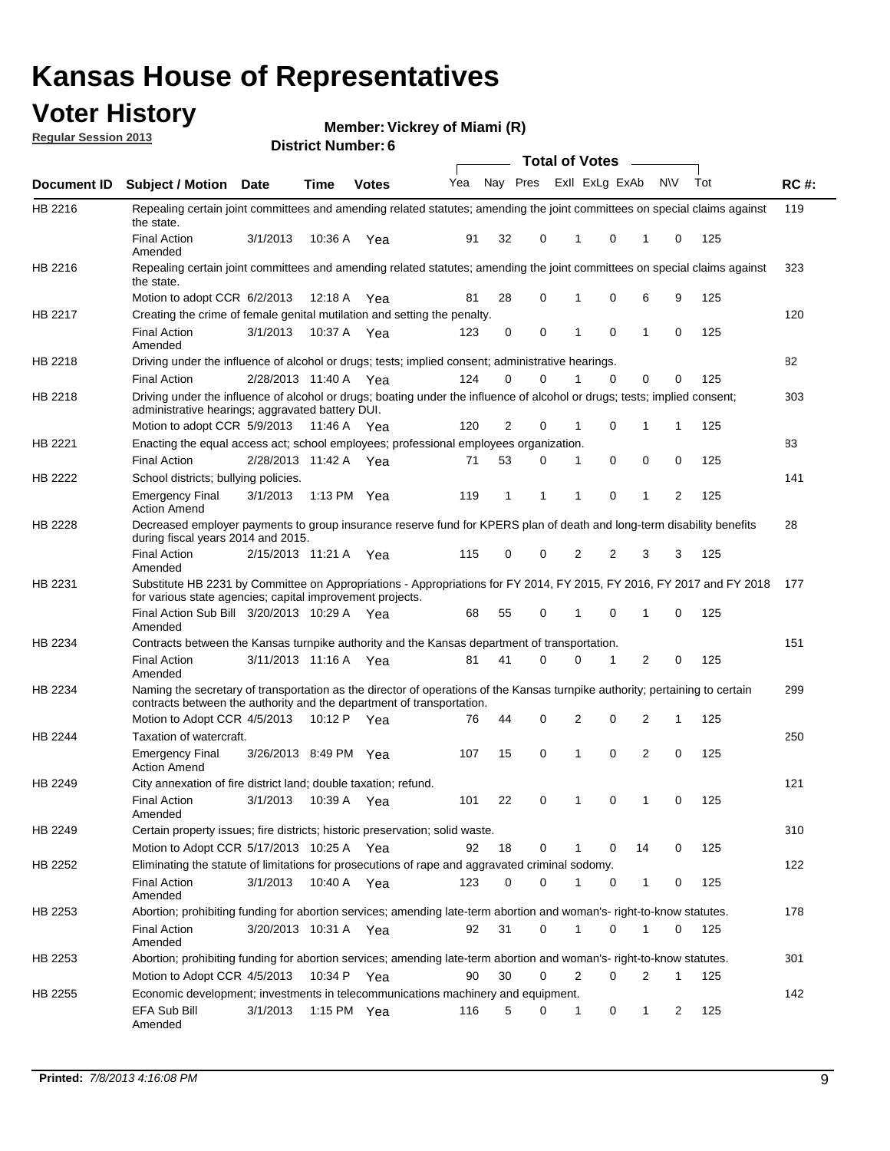### **Voter History**

**Vickrey of Miami (R)**

**Regular Session 2013**

|             |                                                                                                                                                                                                       |                       |             |              |     |              |          | <b>Total of Votes</b> |   |                |           |     |             |
|-------------|-------------------------------------------------------------------------------------------------------------------------------------------------------------------------------------------------------|-----------------------|-------------|--------------|-----|--------------|----------|-----------------------|---|----------------|-----------|-----|-------------|
| Document ID | <b>Subject / Motion Date</b>                                                                                                                                                                          |                       | Time        | <b>Votes</b> | Yea | Nay Pres     |          | Exll ExLg ExAb        |   |                | <b>NV</b> | Tot | <b>RC#:</b> |
| HB 2216     | Repealing certain joint committees and amending related statutes; amending the joint committees on special claims against<br>the state.                                                               |                       |             |              |     |              |          |                       |   |                |           |     | 119         |
|             | <b>Final Action</b><br>Amended                                                                                                                                                                        | 3/1/2013              | 10:36 A     | Yea          | 91  | 32           | 0        | 1                     | 0 | 1              | 0         | 125 |             |
| HB 2216     | Repealing certain joint committees and amending related statutes; amending the joint committees on special claims against<br>the state.                                                               |                       |             |              |     |              |          |                       |   |                |           |     | 323         |
|             | Motion to adopt CCR 6/2/2013                                                                                                                                                                          |                       | 12:18 A     | Yea          | 81  | 28           | 0        |                       | 0 | 6              | 9         | 125 |             |
| HB 2217     | Creating the crime of female genital mutilation and setting the penalty.                                                                                                                              |                       |             |              |     |              |          |                       |   |                |           |     | 120         |
|             | <b>Final Action</b><br>Amended                                                                                                                                                                        | 3/1/2013              | 10:37 A     | Yea          | 123 | 0            | 0        | 1                     | 0 | 1              | 0         | 125 |             |
| HB 2218     | Driving under the influence of alcohol or drugs; tests; implied consent; administrative hearings.                                                                                                     |                       |             |              |     |              |          |                       |   |                |           |     | 82          |
|             | <b>Final Action</b>                                                                                                                                                                                   | 2/28/2013 11:40 A Yea |             |              | 124 | 0            | 0        | 1                     | 0 | 0              | 0         | 125 |             |
| HB 2218     | Driving under the influence of alcohol or drugs; boating under the influence of alcohol or drugs; tests; implied consent;<br>administrative hearings; aggravated battery DUI.                         |                       |             |              |     |              |          |                       |   |                |           |     | 303         |
|             | Motion to adopt CCR 5/9/2013                                                                                                                                                                          |                       | 11:46 A Yea |              | 120 | 2            | 0        | 1                     | 0 | 1              | 1         | 125 |             |
| HB 2221     | Enacting the equal access act; school employees; professional employees organization.                                                                                                                 |                       |             |              |     |              |          |                       |   |                |           |     | 83          |
|             | <b>Final Action</b>                                                                                                                                                                                   | 2/28/2013 11:42 A Yea |             |              | 71  | 53           | 0        | 1                     | 0 | 0              | 0         | 125 |             |
| HB 2222     | School districts; bullying policies.                                                                                                                                                                  |                       |             |              |     |              |          |                       |   |                |           |     | 141         |
|             | Emergency Final<br><b>Action Amend</b>                                                                                                                                                                | 3/1/2013              | 1:13 PM Yea |              | 119 | $\mathbf{1}$ | 1        | 1                     | 0 | 1              | 2         | 125 |             |
| HB 2228     | Decreased employer payments to group insurance reserve fund for KPERS plan of death and long-term disability benefits<br>during fiscal years 2014 and 2015.                                           |                       |             |              |     |              |          |                       |   |                |           |     | 28          |
|             | <b>Final Action</b><br>Amended                                                                                                                                                                        | 2/15/2013 11:21 A Yea |             |              | 115 | 0            | 0        | 2                     | 2 | 3              | 3         | 125 |             |
| HB 2231     | Substitute HB 2231 by Committee on Appropriations - Appropriations for FY 2014, FY 2015, FY 2016, FY 2017 and FY 2018<br>for various state agencies; capital improvement projects.                    |                       |             |              |     |              |          |                       |   |                |           |     | 177         |
|             | Final Action Sub Bill 3/20/2013 10:29 A<br>Amended                                                                                                                                                    |                       |             | Yea          | 68  | 55           | 0        |                       | 0 | 1              | 0         | 125 |             |
| HB 2234     | Contracts between the Kansas turnpike authority and the Kansas department of transportation.                                                                                                          |                       |             |              |     |              |          |                       |   |                |           |     | 151         |
|             | <b>Final Action</b><br>Amended                                                                                                                                                                        | 3/11/2013 11:16 A     |             | Yea          | 81  | 41           | $\Omega$ | 0                     | 1 | 2              | 0         | 125 |             |
| HB 2234     | Naming the secretary of transportation as the director of operations of the Kansas turnpike authority; pertaining to certain<br>contracts between the authority and the department of transportation. |                       |             |              |     |              |          |                       |   |                |           |     | 299         |
|             | Motion to Adopt CCR 4/5/2013                                                                                                                                                                          |                       | 10:12 P     | Yea          | 76  | 44           | 0        | 2                     | 0 | 2              | 1         | 125 |             |
| HB 2244     | Taxation of watercraft.                                                                                                                                                                               |                       |             |              |     |              |          |                       |   |                |           |     | 250         |
|             | <b>Emergency Final</b><br><b>Action Amend</b>                                                                                                                                                         | 3/26/2013 8:49 PM     |             | Yea          | 107 | 15           | 0        | 1                     | 0 | $\overline{2}$ | 0         | 125 |             |
| HB 2249     | City annexation of fire district land; double taxation; refund.                                                                                                                                       |                       |             |              |     |              |          |                       |   |                |           |     | 121         |
|             | <b>Final Action</b><br>Amended                                                                                                                                                                        | 3/1/2013              | 10:39 A     | Yea          | 101 | 22           | 0        | 1                     | 0 | 1              | 0         | 125 |             |
| HB 2249     | Certain property issues; fire districts; historic preservation; solid waste.                                                                                                                          |                       |             |              |     |              |          |                       |   |                |           |     | 310         |
|             | Motion to Adopt CCR 5/17/2013 10:25 A Yea                                                                                                                                                             |                       |             |              | 92  | 18           | 0        | 1                     | 0 | 14             | 0         | 125 |             |
| HB 2252     | Eliminating the statute of limitations for prosecutions of rape and aggravated criminal sodomy.                                                                                                       |                       |             |              |     |              |          |                       |   |                |           |     | 122         |
|             | <b>Final Action</b><br>Amended                                                                                                                                                                        | 3/1/2013              |             | 10:40 A Yea  | 123 | 0            | 0        | 1                     | 0 | 1              | 0         | 125 |             |
| HB 2253     | Abortion; prohibiting funding for abortion services; amending late-term abortion and woman's- right-to-know statutes.                                                                                 |                       |             |              |     |              |          |                       |   |                |           |     | 178         |
|             | Final Action<br>Amended                                                                                                                                                                               | 3/20/2013 10:31 A Yea |             |              | 92  | 31           | 0        | 1                     | 0 | 1              | 0         | 125 |             |
| HB 2253     | Abortion; prohibiting funding for abortion services; amending late-term abortion and woman's- right-to-know statutes.                                                                                 |                       |             |              |     |              |          |                       |   |                |           |     | 301         |
|             | Motion to Adopt CCR 4/5/2013                                                                                                                                                                          |                       |             | 10:34 P Yea  | 90  | 30           | 0        | 2                     | 0 | 2              | 1         | 125 |             |
| HB 2255     | Economic development; investments in telecommunications machinery and equipment.                                                                                                                      |                       |             |              |     |              |          |                       |   |                |           |     | 142         |
|             | EFA Sub Bill<br>Amended                                                                                                                                                                               | 3/1/2013              |             | 1:15 PM Yea  | 116 | 5            | 0        | 1                     | 0 | 1              | 2         | 125 |             |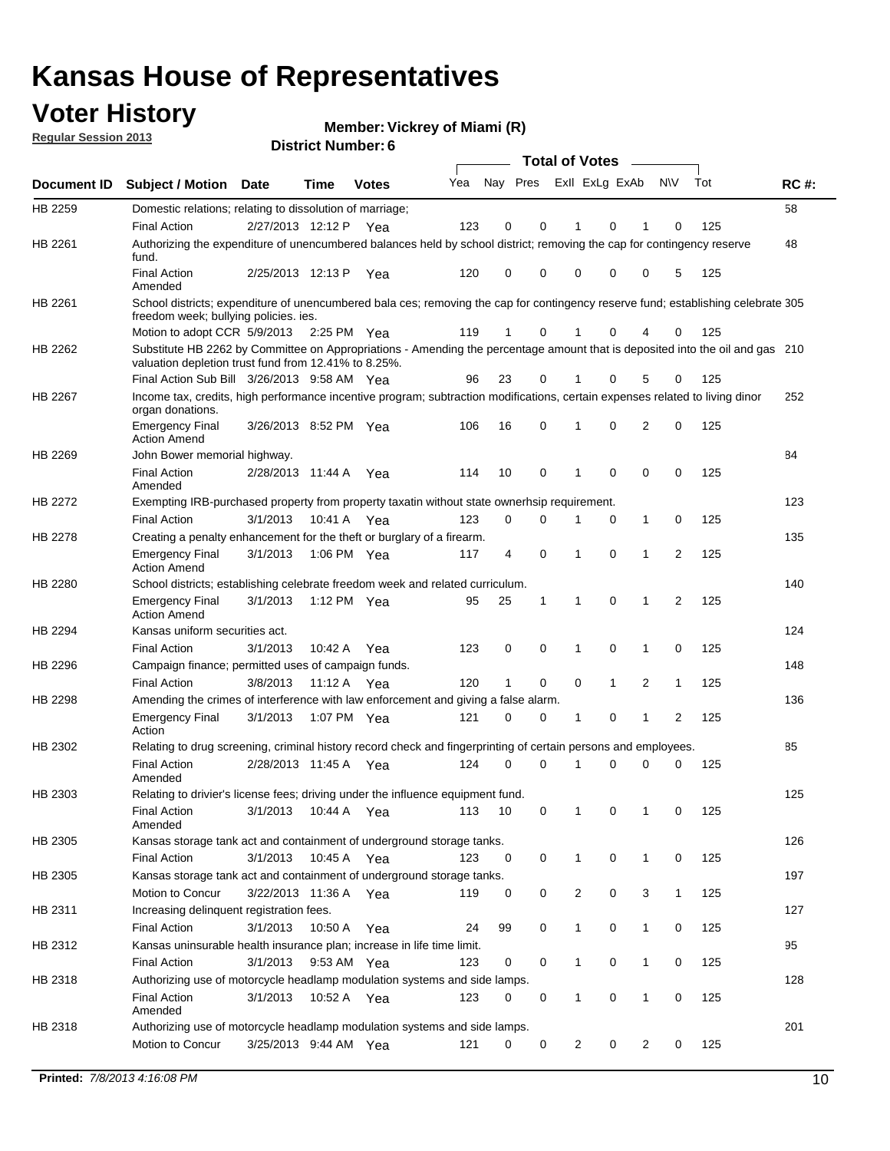### **Voter History**

**Vickrey of Miami (R)**

**Regular Session 2013**

|                    |                                                                                                                                                                                       |                       |             |              |     |                         |          | <b>Total of Votes</b> |   | $\overline{\phantom{a}}$ |                |     |             |
|--------------------|---------------------------------------------------------------------------------------------------------------------------------------------------------------------------------------|-----------------------|-------------|--------------|-----|-------------------------|----------|-----------------------|---|--------------------------|----------------|-----|-------------|
| <b>Document ID</b> | <b>Subject / Motion Date</b>                                                                                                                                                          |                       | <b>Time</b> | <b>Votes</b> | Yea | Nay Pres Exll ExLg ExAb |          |                       |   |                          | <b>NV</b>      | Tot | <b>RC#:</b> |
| HB 2259            | Domestic relations; relating to dissolution of marriage;                                                                                                                              |                       |             |              |     |                         |          |                       |   |                          |                |     | 58          |
|                    | <b>Final Action</b>                                                                                                                                                                   | 2/27/2013 12:12 P     |             | Yea          | 123 | 0                       | 0        | 1                     | 0 | 1                        | 0              | 125 |             |
| HB 2261            | Authorizing the expenditure of unencumbered balances held by school district; removing the cap for contingency reserve<br>fund.                                                       |                       |             |              |     |                         |          |                       |   |                          |                |     | 48          |
|                    | <b>Final Action</b><br>Amended                                                                                                                                                        | 2/25/2013 12:13 P     |             | Yea          | 120 | 0                       | 0        | 0                     | 0 | 0                        | 5              | 125 |             |
| HB 2261            | School districts; expenditure of unencumbered bala ces; removing the cap for contingency reserve fund; establishing celebrate 305<br>freedom week; bullying policies. ies.            |                       |             |              |     |                         |          |                       |   |                          |                |     |             |
|                    | Motion to adopt CCR 5/9/2013                                                                                                                                                          |                       | 2:25 PM Yea |              | 119 | 1                       | 0        | 1                     | 0 | 4                        | 0              | 125 |             |
| HB 2262            | Substitute HB 2262 by Committee on Appropriations - Amending the percentage amount that is deposited into the oil and gas 210<br>valuation depletion trust fund from 12.41% to 8.25%. |                       |             |              |     |                         |          |                       |   |                          |                |     |             |
|                    | Final Action Sub Bill 3/26/2013 9:58 AM Yea                                                                                                                                           |                       |             |              | 96  | 23                      | 0        |                       | 0 | 5                        | 0              | 125 |             |
| HB 2267            | Income tax, credits, high performance incentive program; subtraction modifications, certain expenses related to living dinor<br>organ donations.                                      |                       |             |              |     |                         |          |                       |   |                          |                |     | 252         |
|                    | <b>Emergency Final</b><br><b>Action Amend</b>                                                                                                                                         | 3/26/2013 8:52 PM Yea |             |              | 106 | 16                      | 0        | 1                     | 0 | 2                        | 0              | 125 |             |
| HB 2269            | John Bower memorial highway.                                                                                                                                                          |                       |             |              |     |                         |          |                       |   |                          |                |     | 84          |
|                    | <b>Final Action</b><br>Amended                                                                                                                                                        | 2/28/2013 11:44 A     |             | Yea          | 114 | 10                      | 0        | $\mathbf 1$           | 0 | 0                        | 0              | 125 |             |
| HB 2272            | Exempting IRB-purchased property from property taxatin without state ownerhsip requirement.                                                                                           |                       |             |              |     |                         |          |                       |   |                          |                |     | 123         |
|                    | <b>Final Action</b>                                                                                                                                                                   | 3/1/2013              | 10:41 A     | Yea          | 123 | 0                       | 0        | 1                     | 0 | $\mathbf{1}$             | 0              | 125 |             |
| HB 2278            | Creating a penalty enhancement for the theft or burglary of a firearm.                                                                                                                |                       |             |              |     |                         |          |                       |   |                          |                |     | 135         |
|                    | <b>Emergency Final</b><br><b>Action Amend</b>                                                                                                                                         | 3/1/2013              | 1:06 PM Yea |              | 117 | 4                       | 0        | 1                     | 0 | 1                        | $\overline{2}$ | 125 |             |
| HB 2280            | School districts; establishing celebrate freedom week and related curriculum.                                                                                                         |                       |             |              |     |                         |          |                       |   |                          |                |     | 140         |
|                    | <b>Emergency Final</b><br><b>Action Amend</b>                                                                                                                                         | 3/1/2013              | 1:12 PM Yea |              | 95  | 25                      | 1        | 1                     | 0 | 1                        | 2              | 125 |             |
| HB 2294            | Kansas uniform securities act.                                                                                                                                                        |                       |             |              |     |                         |          |                       |   |                          |                |     | 124         |
|                    | <b>Final Action</b>                                                                                                                                                                   | 3/1/2013              | 10:42 A     | Yea          | 123 | 0                       | 0        | 1                     | 0 | 1                        | 0              | 125 |             |
| HB 2296            | Campaign finance; permitted uses of campaign funds.                                                                                                                                   |                       |             |              |     |                         |          |                       |   |                          |                |     | 148         |
|                    | <b>Final Action</b>                                                                                                                                                                   | 3/8/2013              | 11:12 A Yea |              | 120 | 1                       | 0        | 0                     | 1 | 2                        | 1              | 125 |             |
| HB 2298            | Amending the crimes of interference with law enforcement and giving a false alarm.                                                                                                    |                       |             |              |     |                         |          |                       |   |                          |                |     | 136         |
|                    | <b>Emergency Final</b><br>Action                                                                                                                                                      | 3/1/2013              | 1:07 PM Yea |              | 121 | 0                       | 0        | 1                     | 0 | 1                        | 2              | 125 |             |
| HB 2302            | Relating to drug screening, criminal history record check and fingerprinting of certain persons and employees.                                                                        |                       |             |              |     |                         |          |                       |   |                          |                |     | 85          |
|                    | <b>Final Action</b><br>Amended                                                                                                                                                        | 2/28/2013 11:45 A     |             | Yea          | 124 | 0                       | $\Omega$ | 1                     | 0 | 0                        | 0              | 125 |             |
| HB 2303            | Relating to drivier's license fees; driving under the influence equipment fund.                                                                                                       |                       |             |              |     |                         |          |                       |   |                          |                |     | 125         |
|                    | <b>Final Action</b><br>Amended                                                                                                                                                        | 3/1/2013              | 10:44 A     | Yea          | 113 | 10                      | 0        |                       | 0 |                          | 0              | 125 |             |
| HB 2305            | Kansas storage tank act and containment of underground storage tanks.                                                                                                                 |                       |             |              |     |                         |          |                       |   |                          |                |     | 126         |
|                    | <b>Final Action</b>                                                                                                                                                                   | 3/1/2013              | 10:45 A     | Yea          | 123 | 0                       | 0        | 1                     | 0 | 1                        | 0              | 125 |             |
| HB 2305            | Kansas storage tank act and containment of underground storage tanks.                                                                                                                 |                       |             |              |     |                         |          |                       |   |                          |                |     | 197         |
|                    | Motion to Concur                                                                                                                                                                      | 3/22/2013 11:36 A     |             | Yea          | 119 | 0                       | 0        | 2                     | 0 | 3                        | $\mathbf{1}$   | 125 |             |
| HB 2311            | Increasing delinquent registration fees.                                                                                                                                              |                       |             |              |     |                         |          |                       |   |                          |                |     | 127         |
|                    | <b>Final Action</b>                                                                                                                                                                   | 3/1/2013              | 10:50 A     | Yea          | 24  | 99                      | 0        | 1                     | 0 | $\mathbf{1}$             | 0              | 125 |             |
| HB 2312            | Kansas uninsurable health insurance plan; increase in life time limit.                                                                                                                |                       |             |              |     |                         |          |                       |   |                          |                |     | 95          |
|                    | <b>Final Action</b>                                                                                                                                                                   | 3/1/2013              | 9:53 AM Yea |              | 123 | 0                       | 0        | 1                     | 0 | $\mathbf{1}$             | 0              | 125 |             |
| HB 2318            | Authorizing use of motorcycle headlamp modulation systems and side lamps.                                                                                                             |                       |             |              |     |                         |          |                       |   |                          |                |     | 128         |
|                    | <b>Final Action</b><br>Amended                                                                                                                                                        | 3/1/2013              | 10:52 A     | Yea          | 123 | 0                       | 0        | 1                     | 0 | 1                        | 0              | 125 |             |
| HB 2318            | Authorizing use of motorcycle headlamp modulation systems and side lamps.                                                                                                             |                       |             |              |     |                         |          |                       |   |                          |                |     | 201         |
|                    | Motion to Concur                                                                                                                                                                      | 3/25/2013 9:44 AM Yea |             |              | 121 | 0                       | 0        | 2                     | 0 | 2                        | 0              | 125 |             |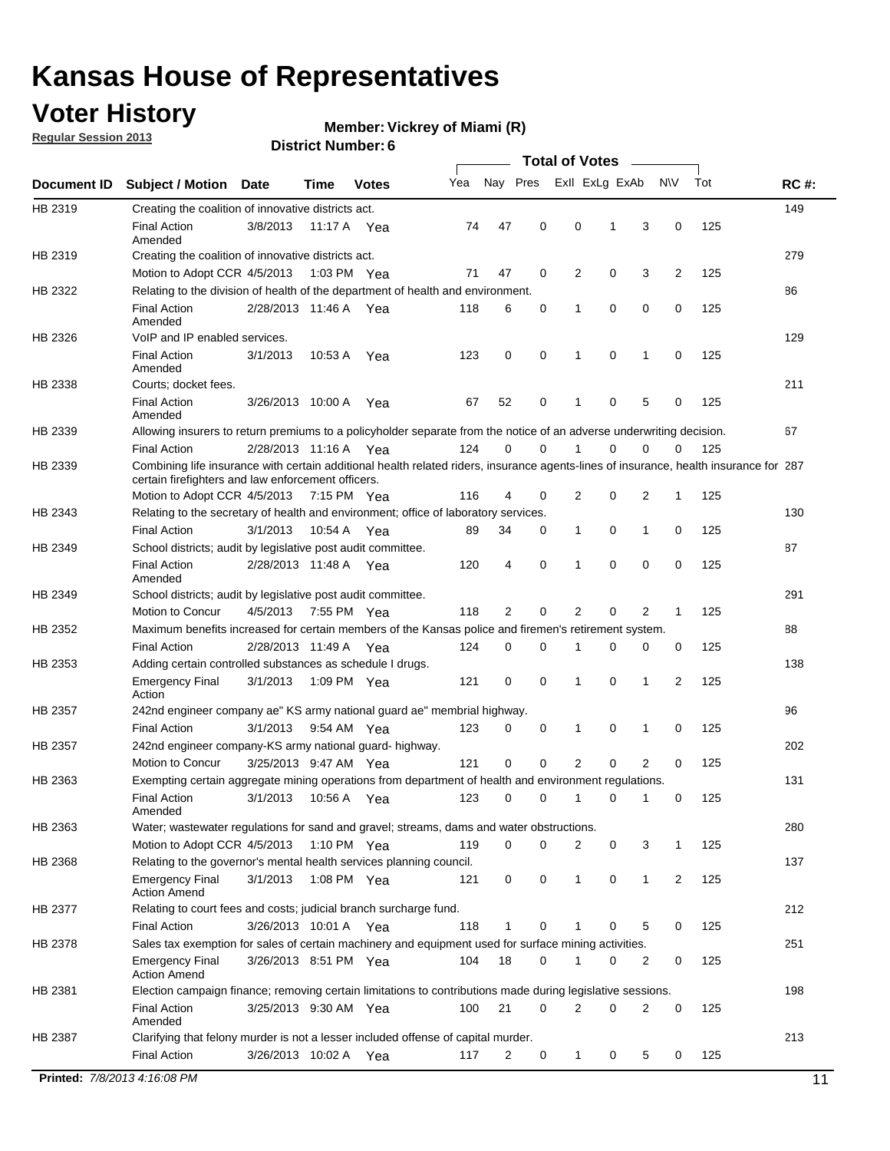### **Voter History**

**Vickrey of Miami (R)**

**Regular Session 2013**

|             |                                                                                                                                                                                             |                       |                   |               |     |             |             | <b>Total of Votes</b> |   |                |           |     |             |
|-------------|---------------------------------------------------------------------------------------------------------------------------------------------------------------------------------------------|-----------------------|-------------------|---------------|-----|-------------|-------------|-----------------------|---|----------------|-----------|-----|-------------|
| Document ID | <b>Subject / Motion</b>                                                                                                                                                                     | <b>Date</b>           | Time              | <b>Votes</b>  | Yea | Nay Pres    |             | Exll ExLg ExAb        |   |                | <b>NV</b> | Tot | <b>RC#:</b> |
| HB 2319     | Creating the coalition of innovative districts act.                                                                                                                                         |                       |                   |               |     |             |             |                       |   |                |           |     | 149         |
|             | <b>Final Action</b><br>Amended                                                                                                                                                              | 3/8/2013              | 11:17 A           | Yea           | 74  | 47          | 0           | 0                     | 1 | 3              | 0         | 125 |             |
| HB 2319     | Creating the coalition of innovative districts act.                                                                                                                                         |                       |                   |               |     |             |             |                       |   |                |           |     | 279         |
|             | Motion to Adopt CCR 4/5/2013                                                                                                                                                                |                       |                   | 1:03 PM Yea   | 71  | 47          | 0           | 2                     | 0 | 3              | 2         | 125 |             |
| HB 2322     | Relating to the division of health of the department of health and environment.                                                                                                             |                       |                   |               |     |             |             |                       |   |                |           |     | 86          |
|             | <b>Final Action</b><br>Amended                                                                                                                                                              | 2/28/2013 11:46 A Yea |                   |               | 118 | 6           | 0           | 1                     | 0 | 0              | 0         | 125 |             |
| HB 2326     | VoIP and IP enabled services.                                                                                                                                                               |                       |                   |               |     |             |             |                       |   |                |           |     | 129         |
|             | <b>Final Action</b><br>Amended                                                                                                                                                              | 3/1/2013              | 10.53 A           | Yea           | 123 | $\mathbf 0$ | 0           | $\mathbf{1}$          | 0 | 1              | 0         | 125 |             |
| HB 2338     | Courts; docket fees.                                                                                                                                                                        |                       |                   |               |     |             |             |                       |   |                |           |     | 211         |
|             | <b>Final Action</b><br>Amended                                                                                                                                                              | 3/26/2013 10:00 A     |                   | Yea           | 67  | 52          | 0           | $\mathbf 1$           | 0 | 5              | 0         | 125 |             |
| HB 2339     | Allowing insurers to return premiums to a policyholder separate from the notice of an adverse underwriting decision.                                                                        |                       |                   |               |     |             |             |                       |   |                |           |     | 67          |
|             | <b>Final Action</b>                                                                                                                                                                         | 2/28/2013 11:16 A Yea |                   |               | 124 | 0           | 0           |                       | 0 | 0              | 0         | 125 |             |
| HB 2339     | Combining life insurance with certain additional health related riders, insurance agents-lines of insurance, health insurance for 287<br>certain firefighters and law enforcement officers. |                       |                   |               |     |             |             |                       |   |                |           |     |             |
|             | Motion to Adopt CCR 4/5/2013 7:15 PM Yea                                                                                                                                                    |                       |                   |               | 116 | 4           | 0           | 2                     | 0 | 2              | -1        | 125 |             |
| HB 2343     | Relating to the secretary of health and environment; office of laboratory services.                                                                                                         |                       |                   |               |     |             |             |                       |   |                |           |     | 130         |
|             | <b>Final Action</b>                                                                                                                                                                         | 3/1/2013              | 10:54 A Yea       |               | 89  | 34          | 0           | 1                     | 0 | $\mathbf{1}$   | 0         | 125 |             |
| HB 2349     | School districts; audit by legislative post audit committee.                                                                                                                                |                       |                   |               |     |             |             |                       |   |                |           |     | 87          |
|             | <b>Final Action</b><br>Amended                                                                                                                                                              | 2/28/2013 11:48 A Yea |                   |               | 120 | 4           | $\mathbf 0$ | $\mathbf{1}$          | 0 | $\mathbf 0$    | 0         | 125 |             |
| HB 2349     | School districts; audit by legislative post audit committee.                                                                                                                                |                       |                   |               |     |             |             |                       |   |                |           |     | 291         |
|             | Motion to Concur                                                                                                                                                                            | 4/5/2013              |                   | 7:55 PM Yea   | 118 | 2           | 0           | 2                     | 0 | 2              | 1         | 125 |             |
| HB 2352     | Maximum benefits increased for certain members of the Kansas police and firemen's retirement system.                                                                                        |                       |                   |               |     |             |             |                       |   |                |           |     | 88          |
|             | <b>Final Action</b>                                                                                                                                                                         | 2/28/2013 11:49 A     |                   | Yea           | 124 | 0           | 0           | 1                     | 0 | 0              | 0         | 125 |             |
| HB 2353     | Adding certain controlled substances as schedule I drugs.                                                                                                                                   |                       |                   |               |     |             |             |                       |   |                |           |     | 138         |
|             | Emergency Final<br>Action                                                                                                                                                                   | 3/1/2013              |                   | 1:09 PM Yea   | 121 | 0           | 0           | $\mathbf{1}$          | 0 | 1              | 2         | 125 |             |
| HB 2357     | 242nd engineer company ae" KS army national guard ae" membrial highway.                                                                                                                     |                       |                   |               |     |             |             |                       |   |                |           |     | 96          |
|             | <b>Final Action</b>                                                                                                                                                                         | 3/1/2013              |                   | 9:54 AM Yea   | 123 | 0           | 0           | 1                     | 0 | 1              | 0         | 125 |             |
| HB 2357     | 242nd engineer company-KS army national guard- highway.                                                                                                                                     |                       |                   |               |     |             |             |                       |   |                |           |     | 202         |
|             | Motion to Concur                                                                                                                                                                            | 3/25/2013 9:47 AM Yea |                   |               | 121 | $\mathbf 0$ | $\mathbf 0$ | 2                     | 0 | $\overline{2}$ | 0         | 125 |             |
| HB 2363     | Exempting certain aggregate mining operations from department of health and environment regulations.                                                                                        |                       |                   |               |     |             |             |                       |   |                |           |     | 131         |
|             | <b>Final Action</b><br>Amended                                                                                                                                                              | 3/1/2013              | 10:56 A           | Yea           | 123 | 0           | 0           | 1                     | 0 | 1              | 0         | 125 |             |
| HB 2363     | Water; wastewater regulations for sand and gravel; streams, dams and water obstructions.                                                                                                    |                       |                   |               |     |             |             |                       |   |                |           |     | 280         |
|             | Motion to Adopt CCR 4/5/2013                                                                                                                                                                |                       |                   | 1:10 PM $Yea$ | 119 | 0           | 0           | 2                     | 0 | 3              | 1         | 125 |             |
| HB 2368     | Relating to the governor's mental health services planning council.<br>Emergency Final                                                                                                      | 3/1/2013              |                   | 1:08 PM Yea   | 121 | 0           | 0           | 1                     | 0 | $\mathbf{1}$   | 2         | 125 | 137         |
| HB 2377     | <b>Action Amend</b><br>Relating to court fees and costs; judicial branch surcharge fund.                                                                                                    |                       |                   |               |     |             |             |                       |   |                |           |     | 212         |
|             | <b>Final Action</b>                                                                                                                                                                         | 3/26/2013 10:01 A Yea |                   |               | 118 | 1           | 0           |                       | 0 | 5              | 0         | 125 |             |
| HB 2378     | Sales tax exemption for sales of certain machinery and equipment used for surface mining activities.                                                                                        |                       |                   |               |     |             |             |                       |   |                |           |     | 251         |
|             | Emergency Final<br><b>Action Amend</b>                                                                                                                                                      | 3/26/2013 8:51 PM Yea |                   |               | 104 | 18          | 0           | 1                     | 0 | 2              | 0         | 125 |             |
| HB 2381     | Election campaign finance; removing certain limitations to contributions made during legislative sessions.                                                                                  |                       |                   |               |     |             |             |                       |   |                |           |     | 198         |
|             | <b>Final Action</b>                                                                                                                                                                         | 3/25/2013 9:30 AM Yea |                   |               | 100 | 21          | 0           | 2                     | 0 | 2              | 0         | 125 |             |
|             | Amended                                                                                                                                                                                     |                       |                   |               |     |             |             |                       |   |                |           |     |             |
| HB 2387     | Clarifying that felony murder is not a lesser included offense of capital murder.                                                                                                           |                       |                   |               |     |             |             |                       |   |                |           |     | 213         |
|             | <b>Final Action</b>                                                                                                                                                                         |                       | 3/26/2013 10:02 A | Yea           | 117 | 2           | 0           | 1                     | 0 | 5              | 0         | 125 |             |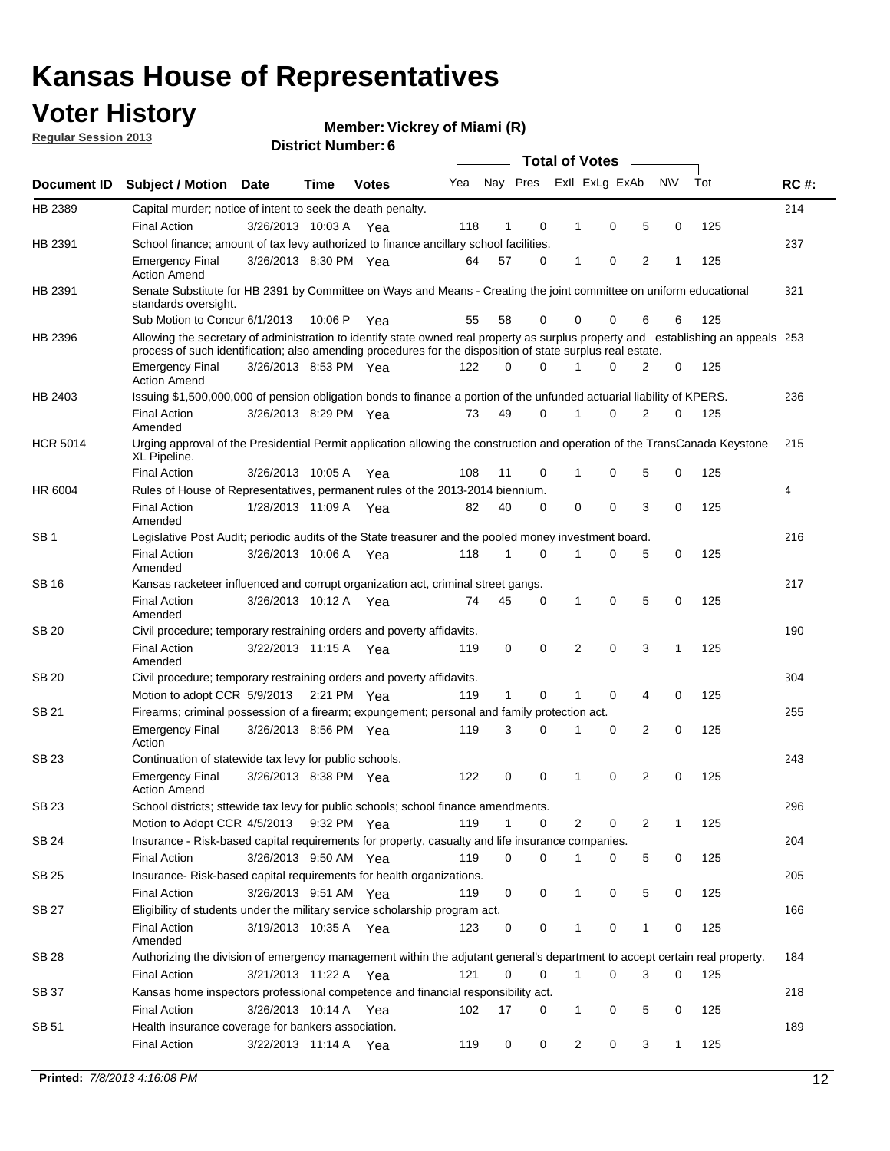### **Voter History**

**Vickrey of Miami (R)**

**Regular Session 2013**

|                 |                                                                                                                                                                                                                                                  |                       |             |              |     |              |          | <b>Total of Votes</b> |   |   |              |     |             |
|-----------------|--------------------------------------------------------------------------------------------------------------------------------------------------------------------------------------------------------------------------------------------------|-----------------------|-------------|--------------|-----|--------------|----------|-----------------------|---|---|--------------|-----|-------------|
| Document ID     | Subject / Motion Date                                                                                                                                                                                                                            |                       | Time        | <b>Votes</b> | Yea | Nay Pres     |          | Exll ExLg ExAb        |   |   | <b>NV</b>    | Tot | <b>RC#:</b> |
| HB 2389         | Capital murder; notice of intent to seek the death penalty.                                                                                                                                                                                      |                       |             |              |     |              |          |                       |   |   |              |     | 214         |
|                 | <b>Final Action</b>                                                                                                                                                                                                                              | 3/26/2013 10:03 A     |             | Yea          | 118 | 1            | 0        | 1                     | 0 | 5 | 0            | 125 |             |
| HB 2391         | School finance; amount of tax levy authorized to finance ancillary school facilities.                                                                                                                                                            |                       |             |              |     |              |          |                       |   |   |              |     | 237         |
|                 | <b>Emergency Final</b><br><b>Action Amend</b>                                                                                                                                                                                                    | 3/26/2013 8:30 PM Yea |             |              | 64  | 57           | 0        | 1                     | 0 | 2 | 1            | 125 |             |
| HB 2391         | Senate Substitute for HB 2391 by Committee on Ways and Means - Creating the joint committee on uniform educational<br>standards oversight.                                                                                                       |                       |             |              |     |              |          |                       |   |   |              |     | 321         |
|                 | Sub Motion to Concur 6/1/2013                                                                                                                                                                                                                    |                       | 10:06 P     | Yea          | 55  | 58           | 0        | 0                     | 0 | 6 | 6            | 125 |             |
| HB 2396         | Allowing the secretary of administration to identify state owned real property as surplus property and establishing an appeals 253<br>process of such identification; also amending procedures for the disposition of state surplus real estate. |                       |             |              |     |              |          |                       |   |   |              |     |             |
|                 | <b>Emergency Final</b><br>Action Amend                                                                                                                                                                                                           | 3/26/2013 8:53 PM Yea |             |              | 122 | 0            | 0        |                       | 0 | 2 | 0            | 125 |             |
| HB 2403         | Issuing \$1,500,000,000 of pension obligation bonds to finance a portion of the unfunded actuarial liability of KPERS.                                                                                                                           |                       |             |              |     |              |          |                       |   |   |              |     | 236         |
|                 | <b>Final Action</b><br>Amended                                                                                                                                                                                                                   | 3/26/2013 8:29 PM Yea |             |              | 73  | 49           | 0        | 1                     | 0 | 2 | 0            | 125 |             |
| <b>HCR 5014</b> | Urging approval of the Presidential Permit application allowing the construction and operation of the TransCanada Keystone<br>XL Pipeline.                                                                                                       |                       |             |              |     |              |          |                       |   |   |              |     | 215         |
|                 | <b>Final Action</b>                                                                                                                                                                                                                              | 3/26/2013 10:05 A     |             | Yea          | 108 | 11           | 0        |                       | 0 | 5 | 0            | 125 |             |
| HR 6004         | Rules of House of Representatives, permanent rules of the 2013-2014 biennium.                                                                                                                                                                    |                       |             |              |     |              |          |                       |   |   |              |     | 4           |
|                 | <b>Final Action</b><br>Amended                                                                                                                                                                                                                   | 1/28/2013 11:09 A     |             | Yea          | 82  | 40           | 0        | 0                     | 0 | 3 | 0            | 125 |             |
| SB 1            | Legislative Post Audit; periodic audits of the State treasurer and the pooled money investment board.                                                                                                                                            |                       |             |              |     |              |          |                       |   |   |              |     | 216         |
|                 | <b>Final Action</b><br>Amended                                                                                                                                                                                                                   | 3/26/2013 10:06 A     |             | Yea          | 118 | 1            | 0        | 1                     | 0 | 5 | 0            | 125 |             |
| SB 16           | Kansas racketeer influenced and corrupt organization act, criminal street gangs.                                                                                                                                                                 |                       |             |              |     |              |          |                       |   |   |              |     | 217         |
|                 | <b>Final Action</b><br>Amended                                                                                                                                                                                                                   | 3/26/2013 10:12 A Yea |             |              | 74  | 45           | 0        | 1                     | 0 | 5 | 0            | 125 |             |
| SB 20           | Civil procedure; temporary restraining orders and poverty affidavits.                                                                                                                                                                            |                       |             |              |     |              |          |                       |   |   |              |     | 190         |
|                 | <b>Final Action</b><br>Amended                                                                                                                                                                                                                   | 3/22/2013 11:15 A     |             | Yea          | 119 | 0            | 0        | 2                     | 0 | 3 | 1            | 125 |             |
| SB 20           | Civil procedure; temporary restraining orders and poverty affidavits.                                                                                                                                                                            |                       |             |              |     |              |          |                       |   |   |              |     | 304         |
|                 | Motion to adopt CCR 5/9/2013                                                                                                                                                                                                                     |                       | 2:21 PM Yea |              | 119 | $\mathbf{1}$ | 0        | 1                     | 0 | 4 | 0            | 125 |             |
| SB 21           | Firearms; criminal possession of a firearm; expungement; personal and family protection act.                                                                                                                                                     |                       |             |              |     |              |          |                       |   |   |              |     | 255         |
|                 | <b>Emergency Final</b><br>Action                                                                                                                                                                                                                 | 3/26/2013 8:56 PM Yea |             |              | 119 | 3            | 0        |                       | 0 | 2 | 0            | 125 |             |
| SB 23           | Continuation of statewide tax levy for public schools.                                                                                                                                                                                           |                       |             |              |     |              |          |                       |   |   |              |     | 243         |
|                 | <b>Emergency Final</b><br><b>Action Amend</b>                                                                                                                                                                                                    | 3/26/2013 8:38 PM Yea |             |              | 122 | 0            | 0        | 1                     | 0 | 2 | 0            | 125 |             |
| <b>SB 23</b>    | School districts; sttewide tax levy for public schools; school finance amendments.                                                                                                                                                               |                       |             |              |     |              |          |                       |   |   |              |     | 296         |
|                 | Motion to Adopt CCR 4/5/2013 9:32 PM Yea                                                                                                                                                                                                         |                       |             |              | 119 | 1            | 0        | 2                     | 0 | 2 | 1            | 125 |             |
| <b>SB 24</b>    | Insurance - Risk-based capital requirements for property, casualty and life insurance companies.                                                                                                                                                 |                       |             |              |     |              |          |                       |   |   |              |     | 204         |
|                 | <b>Final Action</b>                                                                                                                                                                                                                              | 3/26/2013 9:50 AM Yea |             |              | 119 | 0            | 0        |                       | 0 | 5 | 0            | 125 |             |
| SB 25           | Insurance-Risk-based capital requirements for health organizations.                                                                                                                                                                              |                       |             |              |     |              |          |                       |   |   |              |     | 205         |
|                 | <b>Final Action</b>                                                                                                                                                                                                                              | 3/26/2013 9:51 AM Yea |             |              | 119 | 0            | 0        | 1                     | 0 | 5 | 0            | 125 |             |
| SB 27           | Eligibility of students under the military service scholarship program act.                                                                                                                                                                      |                       |             |              |     |              |          |                       |   |   |              |     | 166         |
|                 | <b>Final Action</b><br>Amended                                                                                                                                                                                                                   | 3/19/2013 10:35 A Yea |             |              | 123 | 0            | 0        |                       | 0 | 1 | 0            | 125 |             |
| SB 28           | Authorizing the division of emergency management within the adjutant general's department to accept certain real property.                                                                                                                       |                       |             |              |     |              |          |                       |   |   |              |     | 184         |
|                 | <b>Final Action</b>                                                                                                                                                                                                                              | 3/21/2013 11:22 A Yea |             |              | 121 | 0            | $\Omega$ | 1                     | 0 | 3 | $\Omega$     | 125 |             |
| SB 37           | Kansas home inspectors professional competence and financial responsibility act.                                                                                                                                                                 |                       |             |              |     |              |          |                       |   |   |              |     | 218         |
|                 | <b>Final Action</b>                                                                                                                                                                                                                              | 3/26/2013 10:14 A Yea |             |              | 102 | 17           | 0        | 1                     | 0 | 5 | 0            | 125 |             |
| SB 51           | Health insurance coverage for bankers association.                                                                                                                                                                                               |                       |             |              |     |              |          |                       |   |   |              |     | 189         |
|                 | <b>Final Action</b>                                                                                                                                                                                                                              | 3/22/2013 11:14 A Yea |             |              | 119 | 0            | 0        | $\overline{2}$        | 0 | 3 | $\mathbf{1}$ | 125 |             |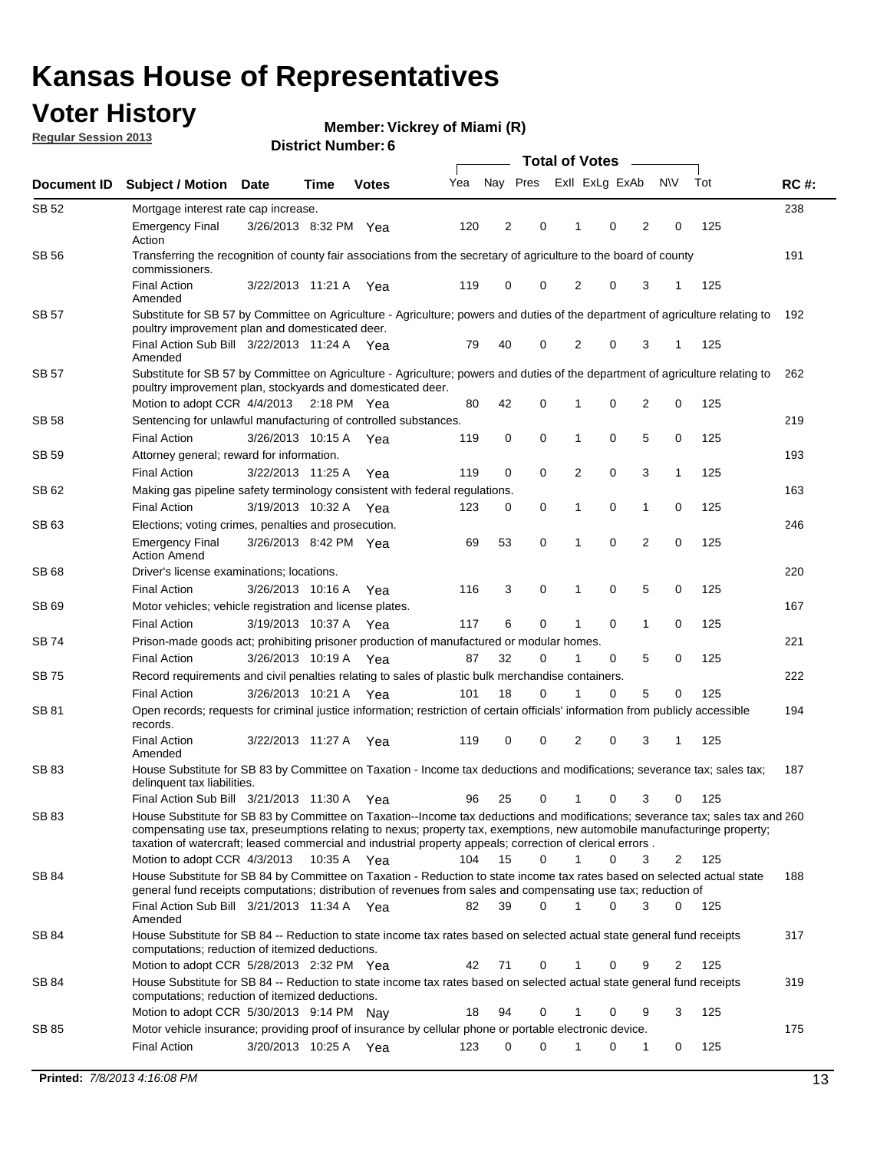### **Voter History**

**Vickrey of Miami (R)**

**Regular Session 2013**

|              |                                                                                                                                                                                                                                                                                                                                                                         |                       |             |              |     | <b>Total of Votes</b> |          |                |   |                |           |     |             |  |
|--------------|-------------------------------------------------------------------------------------------------------------------------------------------------------------------------------------------------------------------------------------------------------------------------------------------------------------------------------------------------------------------------|-----------------------|-------------|--------------|-----|-----------------------|----------|----------------|---|----------------|-----------|-----|-------------|--|
| Document ID  | <b>Subject / Motion</b>                                                                                                                                                                                                                                                                                                                                                 | <b>Date</b>           | Time        | <b>Votes</b> | Yea | Nay Pres              |          | Exll ExLg ExAb |   |                | <b>NV</b> | Tot | <b>RC#:</b> |  |
| SB 52        | Mortgage interest rate cap increase.                                                                                                                                                                                                                                                                                                                                    |                       |             |              |     |                       |          |                |   |                |           |     | 238         |  |
|              | <b>Emergency Final</b><br>Action                                                                                                                                                                                                                                                                                                                                        | 3/26/2013 8:32 PM Yea |             |              | 120 | 2                     | 0        | 1              | 0 | 2              | 0         | 125 |             |  |
| SB 56        | Transferring the recognition of county fair associations from the secretary of agriculture to the board of county<br>commissioners.                                                                                                                                                                                                                                     |                       |             |              |     |                       |          |                |   |                |           |     | 191         |  |
|              | <b>Final Action</b><br>Amended                                                                                                                                                                                                                                                                                                                                          | 3/22/2013 11:21 A     |             | Yea          | 119 | $\mathbf 0$           | 0        | $\overline{2}$ | 0 | 3              | 1         | 125 |             |  |
| <b>SB 57</b> | Substitute for SB 57 by Committee on Agriculture - Agriculture; powers and duties of the department of agriculture relating to<br>poultry improvement plan and domesticated deer.                                                                                                                                                                                       |                       |             |              |     |                       |          |                |   |                |           |     | 192         |  |
|              | Final Action Sub Bill 3/22/2013 11:24 A Yea<br>Amended                                                                                                                                                                                                                                                                                                                  |                       |             |              | 79  | 40                    | 0        | 2              | 0 | 3              | -1        | 125 |             |  |
| SB 57        | Substitute for SB 57 by Committee on Agriculture - Agriculture; powers and duties of the department of agriculture relating to<br>poultry improvement plan, stockyards and domesticated deer.                                                                                                                                                                           |                       |             |              |     |                       |          |                |   |                |           |     | 262         |  |
|              | Motion to adopt CCR 4/4/2013 2:18 PM Yea                                                                                                                                                                                                                                                                                                                                |                       |             |              | 80  | 42                    | 0        | 1              | 0 | 2              | 0         | 125 |             |  |
| SB 58        | Sentencing for unlawful manufacturing of controlled substances.                                                                                                                                                                                                                                                                                                         |                       |             |              |     |                       |          |                |   |                |           |     | 219         |  |
|              | <b>Final Action</b>                                                                                                                                                                                                                                                                                                                                                     | 3/26/2013 10:15 A     |             | Yea          | 119 | 0                     | 0        | 1              | 0 | 5              | 0         | 125 |             |  |
| SB 59        | Attorney general; reward for information.                                                                                                                                                                                                                                                                                                                               |                       |             |              |     |                       |          |                |   |                |           |     | 193         |  |
|              | <b>Final Action</b>                                                                                                                                                                                                                                                                                                                                                     | 3/22/2013 11:25 A     |             | Yea          | 119 | $\mathbf 0$           | 0        | 2              | 0 | 3              | 1         | 125 |             |  |
| SB 62        | Making gas pipeline safety terminology consistent with federal regulations.                                                                                                                                                                                                                                                                                             |                       |             |              |     |                       |          |                |   |                |           |     | 163         |  |
|              | <b>Final Action</b>                                                                                                                                                                                                                                                                                                                                                     | 3/19/2013 10:32 A     |             | Yea          | 123 | 0                     | 0        | 1              | 0 | 1              | 0         | 125 |             |  |
| SB 63        | Elections; voting crimes, penalties and prosecution.                                                                                                                                                                                                                                                                                                                    |                       |             |              |     |                       |          |                |   |                |           |     | 246         |  |
|              | <b>Emergency Final</b><br><b>Action Amend</b>                                                                                                                                                                                                                                                                                                                           | 3/26/2013 8:42 PM Yea |             |              | 69  | 53                    | 0        | 1              | 0 | $\overline{2}$ | 0         | 125 |             |  |
| SB 68        | Driver's license examinations; locations.                                                                                                                                                                                                                                                                                                                               |                       |             |              |     |                       |          |                |   |                |           |     | 220         |  |
|              | <b>Final Action</b>                                                                                                                                                                                                                                                                                                                                                     | 3/26/2013 10:16 A     |             | Yea          | 116 | 3                     | 0        | 1              | 0 | 5              | 0         | 125 |             |  |
| SB 69        | Motor vehicles; vehicle registration and license plates.                                                                                                                                                                                                                                                                                                                |                       |             |              |     |                       |          |                |   |                |           |     | 167         |  |
|              | <b>Final Action</b>                                                                                                                                                                                                                                                                                                                                                     | 3/19/2013 10:37 A     |             | Yea          | 117 | 6                     | 0        | 1              | 0 | 1              | 0         | 125 |             |  |
| SB 74        | Prison-made goods act; prohibiting prisoner production of manufactured or modular homes.                                                                                                                                                                                                                                                                                |                       |             |              |     |                       |          |                |   |                |           |     | 221         |  |
|              | <b>Final Action</b>                                                                                                                                                                                                                                                                                                                                                     | 3/26/2013 10:19 A     |             | Yea          | 87  | 32                    | 0        | 1              | 0 | 5              | 0         | 125 |             |  |
| SB 75        | Record requirements and civil penalties relating to sales of plastic bulk merchandise containers.                                                                                                                                                                                                                                                                       |                       |             |              |     |                       |          |                |   |                |           |     | 222         |  |
|              | <b>Final Action</b>                                                                                                                                                                                                                                                                                                                                                     | 3/26/2013 10:21 A     |             | Yea          | 101 | 18                    | 0        | 1              | 0 | 5              | 0         | 125 |             |  |
| SB 81        | Open records; requests for criminal justice information; restriction of certain officials' information from publicly accessible<br>records.                                                                                                                                                                                                                             |                       |             |              |     |                       |          |                |   |                |           |     | 194         |  |
|              | <b>Final Action</b><br>Amended                                                                                                                                                                                                                                                                                                                                          | 3/22/2013 11:27 A     |             | Yea          | 119 | 0                     | 0        | 2              | 0 | 3              | 1         | 125 |             |  |
| SB 83        | House Substitute for SB 83 by Committee on Taxation - Income tax deductions and modifications; severance tax; sales tax;<br>delinquent tax liabilities.                                                                                                                                                                                                                 |                       |             |              |     |                       |          |                |   |                |           |     | 187         |  |
|              | Final Action Sub Bill 3/21/2013 11:30 A Yea                                                                                                                                                                                                                                                                                                                             |                       |             |              | 96  | 25                    | 0        | $\mathbf{1}$   | 0 | 3              | 0         | 125 |             |  |
| SB 83        | House Substitute for SB 83 by Committee on Taxation--Income tax deductions and modifications; severance tax; sales tax and 260<br>compensating use tax, preseumptions relating to nexus; property tax, exemptions, new automobile manufacturinge property;<br>taxation of watercraft; leased commercial and industrial property appeals; correction of clerical errors. |                       |             |              |     |                       |          |                |   |                |           |     |             |  |
|              | Motion to adopt CCR 4/3/2013                                                                                                                                                                                                                                                                                                                                            |                       | 10:35 A Yea |              | 104 | 15                    | $\Omega$ | $\mathbf{1}$   | 0 | 3              | 2         | 125 |             |  |
| SB 84        | House Substitute for SB 84 by Committee on Taxation - Reduction to state income tax rates based on selected actual state<br>general fund receipts computations; distribution of revenues from sales and compensating use tax; reduction of                                                                                                                              |                       |             |              |     |                       | 0        |                |   |                |           |     | 188         |  |
|              | Final Action Sub Bill 3/21/2013 11:34 A Yea<br>Amended                                                                                                                                                                                                                                                                                                                  |                       |             |              | 82  | 39                    |          |                | 0 | 3              | 0         | 125 |             |  |
| SB 84        | House Substitute for SB 84 -- Reduction to state income tax rates based on selected actual state general fund receipts<br>computations; reduction of itemized deductions.                                                                                                                                                                                               |                       |             |              |     |                       |          |                |   |                |           |     | 317         |  |
|              | Motion to adopt CCR 5/28/2013 2:32 PM Yea                                                                                                                                                                                                                                                                                                                               |                       |             |              | 42  | 71                    | 0        | 1              | 0 | 9              | 2         | 125 |             |  |
| SB 84        | House Substitute for SB 84 -- Reduction to state income tax rates based on selected actual state general fund receipts<br>computations; reduction of itemized deductions.                                                                                                                                                                                               |                       |             |              |     |                       |          |                |   |                |           |     | 319         |  |
|              | Motion to adopt CCR 5/30/2013 9:14 PM Nay                                                                                                                                                                                                                                                                                                                               |                       |             |              | 18  | 94                    | 0        | 1              | 0 | 9              | 3         | 125 |             |  |
| SB 85        | Motor vehicle insurance; providing proof of insurance by cellular phone or portable electronic device.<br><b>Final Action</b>                                                                                                                                                                                                                                           | 3/20/2013 10:25 A Yea |             |              | 123 | $\Omega$              | 0        | 1              | 0 | 1              | 0         | 125 | 175         |  |
|              |                                                                                                                                                                                                                                                                                                                                                                         |                       |             |              |     |                       |          |                |   |                |           |     |             |  |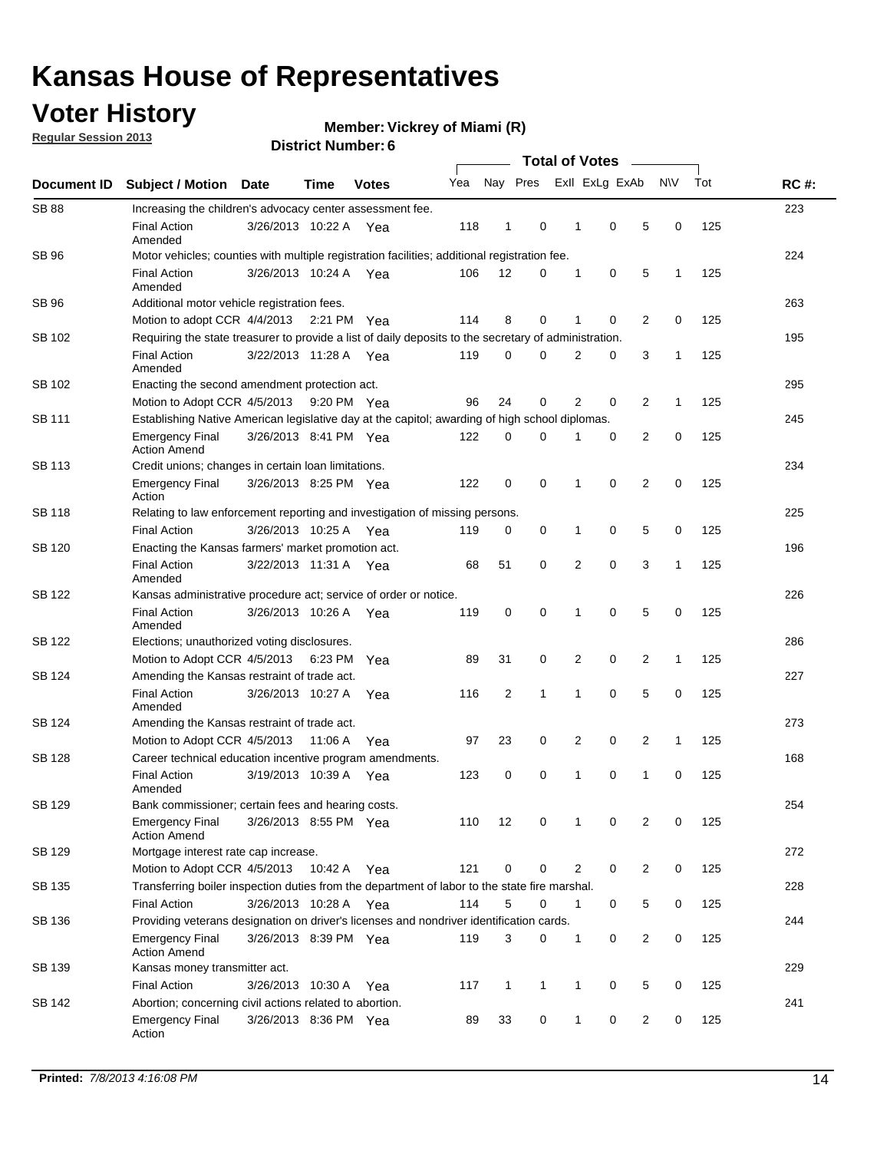### **Voter History**

**Vickrey of Miami (R)**

**Regular Session 2013**

| Document ID   |                                                                                                       | <b>Total of Votes</b>                                                                          |             |              |     |                |              |  |              |                |                |              |     |             |
|---------------|-------------------------------------------------------------------------------------------------------|------------------------------------------------------------------------------------------------|-------------|--------------|-----|----------------|--------------|--|--------------|----------------|----------------|--------------|-----|-------------|
|               | Subject / Motion Date                                                                                 |                                                                                                | <b>Time</b> | <b>Votes</b> | Yea | Nay Pres       |              |  |              | Exll ExLg ExAb |                | N\V          | Tot | <b>RC#:</b> |
| <b>SB 88</b>  | Increasing the children's advocacy center assessment fee.                                             |                                                                                                |             |              |     |                |              |  |              |                |                |              |     | 223         |
|               | <b>Final Action</b><br>Amended                                                                        | 3/26/2013 10:22 A Yea                                                                          |             |              | 118 | $\mathbf{1}$   | $\mathbf 0$  |  | 1            | 0              | 5              | 0            | 125 |             |
| SB 96         | Motor vehicles; counties with multiple registration facilities; additional registration fee.          |                                                                                                |             |              |     |                |              |  |              |                |                |              |     | 224         |
|               | <b>Final Action</b><br>Amended                                                                        | 3/26/2013 10:24 A Yea                                                                          |             |              | 106 | 12             | 0            |  | 1            | 0              | 5              | 1            | 125 |             |
| <b>SB 96</b>  | Additional motor vehicle registration fees.                                                           |                                                                                                |             |              |     |                |              |  |              |                |                |              |     | 263         |
|               | Motion to adopt CCR 4/4/2013 2:21 PM Yea                                                              |                                                                                                |             |              | 114 | 8              | 0            |  | 1            | 0              | 2              | 0            | 125 |             |
| SB 102        | Requiring the state treasurer to provide a list of daily deposits to the secretary of administration. |                                                                                                |             |              |     |                |              |  |              |                |                |              |     | 195         |
|               | <b>Final Action</b><br>Amended                                                                        | 3/22/2013 11:28 A Yea                                                                          |             |              | 119 | 0              | 0            |  | 2            | 0              | 3              | 1            | 125 |             |
| SB 102        | Enacting the second amendment protection act.                                                         |                                                                                                |             |              |     |                |              |  |              |                |                |              |     | 295         |
|               | Motion to Adopt CCR 4/5/2013 9:20 PM Yea                                                              |                                                                                                |             |              | 96  | 24             | 0            |  | 2            | 0              | 2              | 1            | 125 |             |
| <b>SB 111</b> |                                                                                                       | Establishing Native American legislative day at the capitol; awarding of high school diplomas. |             |              |     |                |              |  |              |                |                |              |     |             |
|               | Emergency Final<br><b>Action Amend</b>                                                                | 3/26/2013 8:41 PM Yea                                                                          |             |              | 122 | $\mathbf 0$    | $\Omega$     |  | 1            | 0              | 2              | 0            | 125 |             |
| SB 113        | Credit unions; changes in certain loan limitations.                                                   |                                                                                                |             |              |     |                |              |  |              |                |                |              |     | 234         |
|               | <b>Emergency Final</b><br>Action                                                                      | 3/26/2013 8:25 PM Yea                                                                          |             |              | 122 | 0              | 0            |  | 1            | 0              | $\overline{2}$ | 0            | 125 |             |
| SB 118        | Relating to law enforcement reporting and investigation of missing persons.                           |                                                                                                |             |              |     |                |              |  |              |                |                |              |     | 225         |
|               | <b>Final Action</b>                                                                                   | 3/26/2013 10:25 A Yea                                                                          |             |              | 119 | 0              | 0            |  | 1            | 0              | 5              | 0            | 125 |             |
| SB 120        | Enacting the Kansas farmers' market promotion act.                                                    |                                                                                                |             |              |     |                |              |  |              |                |                |              |     | 196         |
|               | <b>Final Action</b><br>Amended                                                                        | 3/22/2013 11:31 A Yea                                                                          |             |              | 68  | 51             | $\mathbf 0$  |  | 2            | $\mathbf 0$    | 3              | 1            | 125 |             |
| SB 122        | Kansas administrative procedure act; service of order or notice.                                      |                                                                                                |             |              |     |                |              |  |              |                |                |              |     | 226         |
|               | <b>Final Action</b><br>Amended                                                                        | 3/26/2013 10:26 A Yea                                                                          |             |              | 119 | 0              | 0            |  | 1            | $\Omega$       | 5              | 0            | 125 |             |
| SB 122        | Elections; unauthorized voting disclosures.                                                           |                                                                                                |             |              |     |                |              |  |              |                |                |              | 286 |             |
|               | Motion to Adopt CCR 4/5/2013                                                                          |                                                                                                | 6:23 PM Yea |              | 89  | 31             | 0            |  | 2            | 0              | 2              | 1            | 125 |             |
| SB 124        | Amending the Kansas restraint of trade act.                                                           |                                                                                                |             |              |     |                |              |  |              |                |                |              |     | 227         |
|               | <b>Final Action</b><br>Amended                                                                        | 3/26/2013 10:27 A                                                                              |             | Yea          | 116 | $\overline{2}$ | 1            |  | 1            | $\mathbf 0$    | 5              | $\mathbf 0$  | 125 |             |
| SB 124        | Amending the Kansas restraint of trade act.                                                           |                                                                                                |             |              |     |                |              |  |              |                |                |              |     | 273         |
|               | Motion to Adopt CCR 4/5/2013                                                                          |                                                                                                | 11:06 A     | Yea          | 97  | 23             | 0            |  | 2            | 0              | 2              | $\mathbf{1}$ | 125 |             |
| SB 128        | Career technical education incentive program amendments.                                              |                                                                                                |             |              |     |                |              |  |              |                |                |              |     | 168         |
|               | <b>Final Action</b><br>Amended                                                                        | 3/19/2013 10:39 A                                                                              |             | Yea          | 123 | 0              | 0            |  | 1            | 0              | 1              | 0            | 125 |             |
| SB 129        | Bank commissioner; certain fees and hearing costs.                                                    |                                                                                                |             |              |     |                |              |  |              |                |                |              |     | 254         |
|               | <b>Emergency Final</b><br><b>Action Amend</b>                                                         | 3/26/2013 8:55 PM Yea                                                                          |             |              | 110 | 12             | 0            |  | 1            | 0              | 2              | 0            | 125 |             |
| SB 129        | Mortgage interest rate cap increase.                                                                  |                                                                                                |             |              |     |                |              |  |              |                |                |              |     | 272         |
|               | Motion to Adopt CCR 4/5/2013                                                                          |                                                                                                | 10:42 A     | Yea          | 121 | 0              | 0            |  | 2            | 0              | 2              | 0            | 125 |             |
| SB 135        | Transferring boiler inspection duties from the department of labor to the state fire marshal.         |                                                                                                |             |              |     |                |              |  |              |                |                |              |     | 228         |
|               | <b>Final Action</b>                                                                                   | 3/26/2013 10:28 A Yea                                                                          |             |              | 114 | 5              | 0            |  | 1            | 0              | 5              | 0            | 125 |             |
| SB 136        | Providing veterans designation on driver's licenses and nondriver identification cards.               |                                                                                                |             |              |     |                |              |  |              |                |                |              |     | 244         |
|               | <b>Emergency Final</b><br><b>Action Amend</b>                                                         | 3/26/2013 8:39 PM Yea                                                                          |             |              | 119 | 3              | 0            |  | 1            | 0              | $\overline{2}$ | 0            | 125 |             |
| SB 139        | Kansas money transmitter act.                                                                         |                                                                                                |             |              |     |                |              |  |              |                |                |              |     | 229         |
|               | <b>Final Action</b>                                                                                   | 3/26/2013 10:30 A Yea                                                                          |             |              | 117 | $\mathbf{1}$   | $\mathbf{1}$ |  | 1            | $\mathbf 0$    | 5              | 0            | 125 |             |
| SB 142        | Abortion; concerning civil actions related to abortion.                                               |                                                                                                |             |              |     |                |              |  |              |                |                |              |     | 241         |
|               | <b>Emergency Final</b><br>Action                                                                      | 3/26/2013 8:36 PM Yea                                                                          |             |              | 89  | 33             | 0            |  | $\mathbf{1}$ | 0              | $\overline{2}$ | 0            | 125 |             |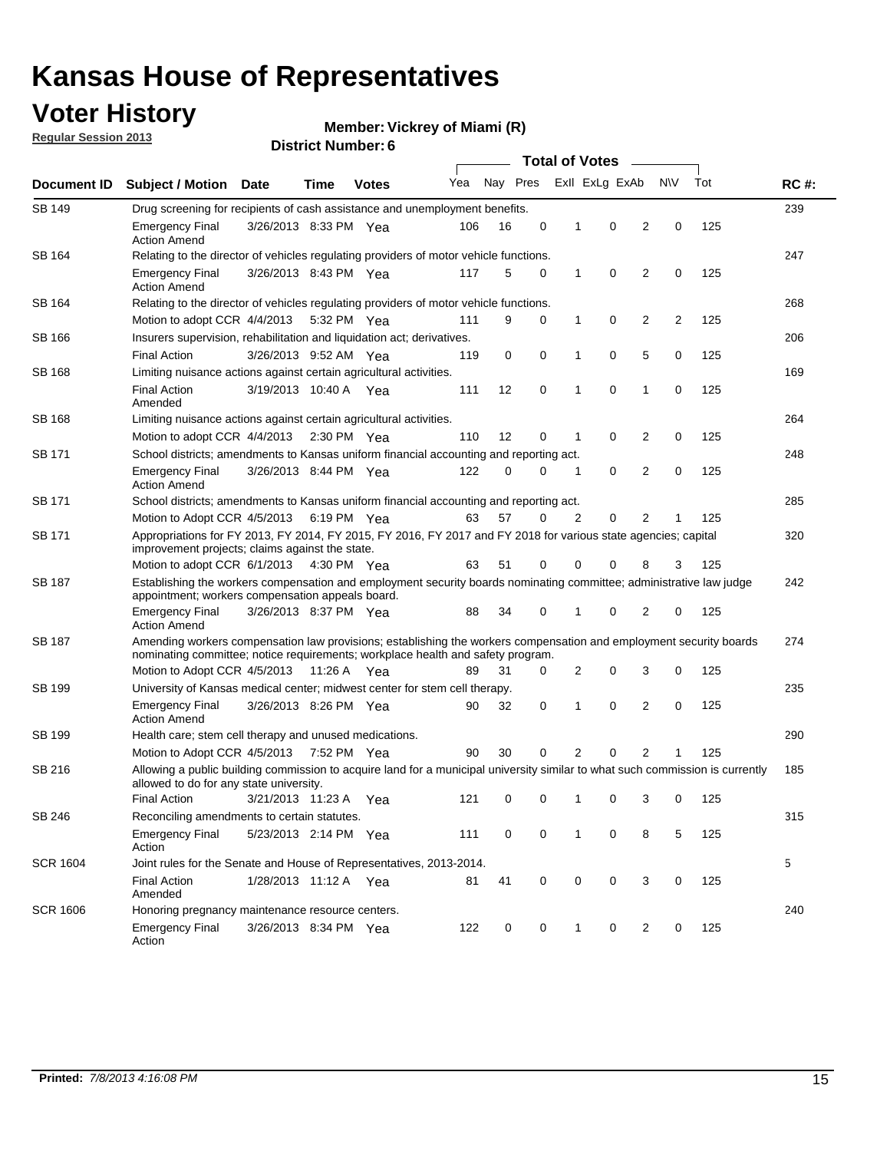### **Voter History**

**Vickrey of Miami (R)**

**Regular Session 2013**

| Document ID     |                                                                                                                                                                                                       |                                                                                         |             |              |     | <b>Total of Votes</b><br>$\sim$ |   |   |                |                |           |     |             |  |  |  |  |
|-----------------|-------------------------------------------------------------------------------------------------------------------------------------------------------------------------------------------------------|-----------------------------------------------------------------------------------------|-------------|--------------|-----|---------------------------------|---|---|----------------|----------------|-----------|-----|-------------|--|--|--|--|
|                 | <b>Subject / Motion Date</b>                                                                                                                                                                          |                                                                                         | Time        | <b>Votes</b> | Yea | Nay Pres                        |   |   | Exll ExLg ExAb |                | <b>NV</b> | Tot | <b>RC#:</b> |  |  |  |  |
| <b>SB 149</b>   |                                                                                                                                                                                                       | Drug screening for recipients of cash assistance and unemployment benefits.             |             |              |     |                                 |   |   |                |                |           |     |             |  |  |  |  |
|                 | <b>Emergency Final</b><br><b>Action Amend</b>                                                                                                                                                         | 3/26/2013 8:33 PM Yea                                                                   |             |              | 106 | 16                              | 0 | 1 | 0              | 2              | 0         | 125 |             |  |  |  |  |
| SB 164          | Relating to the director of vehicles regulating providers of motor vehicle functions.                                                                                                                 |                                                                                         |             |              |     |                                 |   |   |                |                |           |     | 247         |  |  |  |  |
|                 | <b>Emergency Final</b><br><b>Action Amend</b>                                                                                                                                                         | 3/26/2013 8:43 PM Yea                                                                   |             |              | 117 | 5                               | 0 | 1 | 0              | 2              | 0         | 125 |             |  |  |  |  |
| SB 164          | Relating to the director of vehicles regulating providers of motor vehicle functions.                                                                                                                 |                                                                                         |             |              |     |                                 |   |   |                |                |           |     | 268         |  |  |  |  |
|                 |                                                                                                                                                                                                       | 0<br>Motion to adopt CCR 4/4/2013<br>9<br>0<br>1<br>2<br>2<br>125<br>5:32 PM Yea<br>111 |             |              |     |                                 |   |   |                |                |           |     |             |  |  |  |  |
| SB 166          | Insurers supervision, rehabilitation and liquidation act; derivatives.                                                                                                                                |                                                                                         |             |              |     |                                 |   |   |                |                |           |     | 206         |  |  |  |  |
|                 | <b>Final Action</b>                                                                                                                                                                                   | 3/26/2013 9:52 AM Yea                                                                   |             |              | 119 | 0                               | 0 | 1 | 0              | 5              | 0         | 125 |             |  |  |  |  |
| SB 168          | Limiting nuisance actions against certain agricultural activities.                                                                                                                                    |                                                                                         |             |              |     |                                 |   |   |                |                |           |     | 169         |  |  |  |  |
|                 | <b>Final Action</b><br>Amended                                                                                                                                                                        | 3/19/2013 10:40 A Yea                                                                   |             |              | 111 | 12                              | 0 | 1 | 0              | 1              | 0         | 125 |             |  |  |  |  |
| SB 168          | Limiting nuisance actions against certain agricultural activities.                                                                                                                                    |                                                                                         |             |              |     |                                 |   |   |                |                |           |     | 264         |  |  |  |  |
|                 | Motion to adopt CCR 4/4/2013                                                                                                                                                                          |                                                                                         |             | 2:30 PM Yea  | 110 | 12                              | 0 | 1 | 0              | 2              | 0         | 125 |             |  |  |  |  |
| <b>SB 171</b>   | School districts; amendments to Kansas uniform financial accounting and reporting act.                                                                                                                |                                                                                         |             |              |     |                                 |   |   |                |                |           |     | 248         |  |  |  |  |
|                 | <b>Emergency Final</b><br><b>Action Amend</b>                                                                                                                                                         | 3/26/2013 8:44 PM Yea                                                                   |             |              | 122 | 0                               | 0 | 1 | 0              | 2              | 0         | 125 |             |  |  |  |  |
| SB 171          | School districts; amendments to Kansas uniform financial accounting and reporting act.                                                                                                                |                                                                                         |             |              |     |                                 |   |   |                |                |           |     | 285         |  |  |  |  |
|                 | Motion to Adopt CCR 4/5/2013                                                                                                                                                                          |                                                                                         | 6:19 PM Yea |              | 63  | 57                              | 0 | 2 | 0              | 2<br>125       |           |     |             |  |  |  |  |
| SB 171          | Appropriations for FY 2013, FY 2014, FY 2015, FY 2016, FY 2017 and FY 2018 for various state agencies; capital<br>improvement projects; claims against the state.                                     |                                                                                         |             |              |     |                                 |   |   |                |                |           | 320 |             |  |  |  |  |
|                 | Motion to adopt CCR 6/1/2013 4:30 PM Yea                                                                                                                                                              |                                                                                         |             |              | 63  | 51                              | 0 | 0 | 0              | 8              | 3         | 125 |             |  |  |  |  |
| SB 187          | Establishing the workers compensation and employment security boards nominating committee; administrative law judge<br>appointment; workers compensation appeals board.                               |                                                                                         |             |              |     |                                 |   |   |                |                |           |     | 242         |  |  |  |  |
|                 | <b>Emergency Final</b><br><b>Action Amend</b>                                                                                                                                                         | 3/26/2013 8:37 PM Yea                                                                   |             |              | 88  | 34                              | 0 | 1 | 0              | 2              | 0         | 125 |             |  |  |  |  |
| SB 187          | Amending workers compensation law provisions; establishing the workers compensation and employment security boards<br>nominating committee; notice requirements; workplace health and safety program. |                                                                                         |             |              |     |                                 |   |   |                |                |           |     | 274         |  |  |  |  |
|                 | Motion to Adopt CCR 4/5/2013 11:26 A Yea                                                                                                                                                              |                                                                                         |             |              | 89  | 31                              | 0 | 2 | 0              | 3              | 0         | 125 |             |  |  |  |  |
| SB 199          | University of Kansas medical center; midwest center for stem cell therapy.                                                                                                                            |                                                                                         |             |              |     |                                 |   |   |                |                |           |     | 235         |  |  |  |  |
|                 | <b>Emergency Final</b><br><b>Action Amend</b>                                                                                                                                                         | 3/26/2013 8:26 PM Yea                                                                   |             |              | 90  | 32                              | 0 | 1 | 0              | 2              | 0         | 125 |             |  |  |  |  |
| SB 199          | Health care; stem cell therapy and unused medications.                                                                                                                                                |                                                                                         |             |              |     |                                 |   |   |                |                |           |     | 290         |  |  |  |  |
|                 | Motion to Adopt CCR 4/5/2013                                                                                                                                                                          |                                                                                         | 7:52 PM Yea |              | 90  | 30                              | 0 | 2 | 0              | $\overline{2}$ | 1         | 125 |             |  |  |  |  |
| SB 216          | Allowing a public building commission to acquire land for a municipal university similar to what such commission is currently<br>allowed to do for any state university.                              |                                                                                         |             |              |     |                                 |   |   |                |                |           |     | 185         |  |  |  |  |
|                 | <b>Final Action</b>                                                                                                                                                                                   | 3/21/2013 11:23 A Yea                                                                   |             |              | 121 | 0                               | 0 | 1 | 0              | 3              | 0         | 125 |             |  |  |  |  |
| SB 246          | Reconciling amendments to certain statutes.                                                                                                                                                           |                                                                                         |             |              |     |                                 |   |   |                |                |           |     | 315         |  |  |  |  |
|                 | <b>Emergency Final</b><br>Action                                                                                                                                                                      | 5/23/2013 2:14 PM Yea                                                                   |             |              | 111 | 0                               | 0 | 1 | 0              | 8              | 5         | 125 |             |  |  |  |  |
| <b>SCR 1604</b> | Joint rules for the Senate and House of Representatives, 2013-2014.                                                                                                                                   |                                                                                         |             |              |     |                                 |   |   |                |                |           |     | 5           |  |  |  |  |
|                 | <b>Final Action</b><br>Amended                                                                                                                                                                        | 1/28/2013 11:12 A Yea                                                                   |             |              | 81  | 41                              | 0 | 0 | 0              | 3              | 0         | 125 |             |  |  |  |  |
| <b>SCR 1606</b> |                                                                                                                                                                                                       | Honoring pregnancy maintenance resource centers.                                        |             |              |     |                                 |   |   |                |                |           | 240 |             |  |  |  |  |
|                 | <b>Emergency Final</b><br>Action                                                                                                                                                                      | 3/26/2013 8:34 PM Yea                                                                   |             |              | 122 | 0                               | 0 | 1 | 0              | 2              | 0         | 125 |             |  |  |  |  |